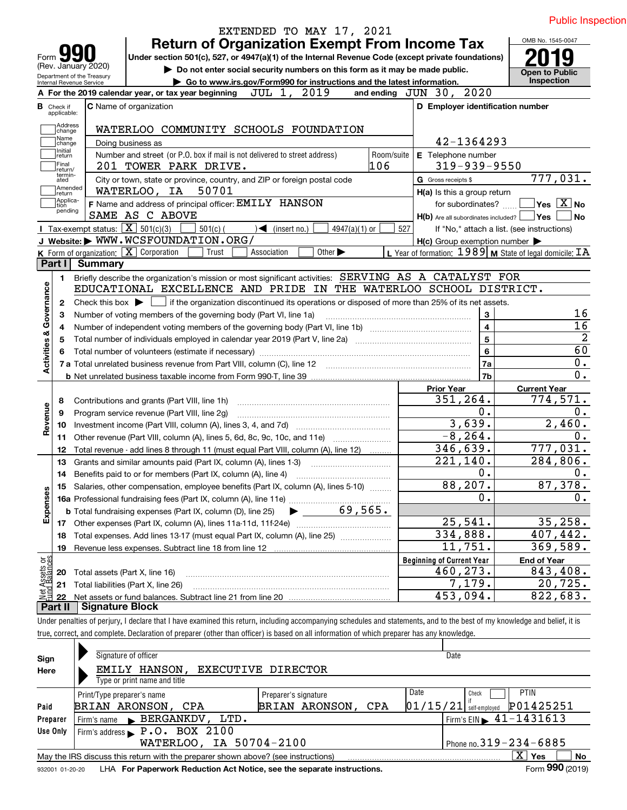| Form JY                                                | <b>Return of Organization Exempt From Income Tax</b><br>Under section 501(c), 527, or 4947(a)(1) of the Internal Revenue Code (except private foundations) |                             |            |                                                             |                                            |
|--------------------------------------------------------|------------------------------------------------------------------------------------------------------------------------------------------------------------|-----------------------------|------------|-------------------------------------------------------------|--------------------------------------------|
| (Rev. January 2020)                                    | Do not enter social security numbers on this form as it may be made public.                                                                                |                             |            |                                                             | <b>Open to Public</b>                      |
| Department of the Treasury<br>Internal Revenue Service | Go to www.irs.gov/Form990 for instructions and the latest information.                                                                                     |                             |            |                                                             | Inspection                                 |
|                                                        | A For the 2019 calendar year, or tax year beginning                                                                                                        | JUL 1, 2019                 |            | and ending JUN 30, 2020                                     |                                            |
| <b>B</b> Check if                                      | <b>C</b> Name of organization                                                                                                                              |                             |            | D Employer identification number                            |                                            |
| applicable:                                            |                                                                                                                                                            |                             |            |                                                             |                                            |
| Address<br>change                                      | WATERLOO COMMUNITY SCHOOLS FOUNDATION                                                                                                                      |                             |            |                                                             |                                            |
| Name<br>change                                         | Doing business as                                                                                                                                          |                             |            | 42-1364293                                                  |                                            |
| Initial<br>return                                      | Number and street (or P.O. box if mail is not delivered to street address)                                                                                 |                             | Room/suite | E Telephone number                                          |                                            |
| Final<br>return/<br>termin-                            | 201 TOWER PARK DRIVE.                                                                                                                                      |                             | 106        | $319 - 939 - 9550$                                          |                                            |
| ated                                                   | City or town, state or province, country, and ZIP or foreign postal code                                                                                   |                             |            | G Gross receipts \$                                         | 777,031.                                   |
| Amended<br> return<br> Applica-                        | 50701<br>WATERLOO, IA                                                                                                                                      |                             |            | H(a) Is this a group return                                 |                                            |
| tion<br>pending                                        | F Name and address of principal officer: EMILY HANSON                                                                                                      |                             |            | for subordinates? []                                        | $\blacksquare$ Yes $\overline{X}$ No       |
|                                                        | SAME AS C ABOVE                                                                                                                                            |                             |            | $H(b)$ Are all subordinates included? $\Box$ Yes            | No                                         |
|                                                        | Tax-exempt status: $\boxed{\mathbf{X}}$ 501(c)(3)<br>$501(c)$ (<br>$\sqrt{\frac{1}{1}}$ (insert no.)                                                       | 4947(a)(1) or               | 527        |                                                             | If "No," attach a list. (see instructions) |
|                                                        | J Website: WWW.WCSFOUNDATION.ORG/                                                                                                                          |                             |            | $H(c)$ Group exemption number $\blacktriangleright$         |                                            |
| Part I I                                               | <b>K</b> Form of organization: $\boxed{\mathbf{X}}$ Corporation<br>Association<br>Trust                                                                    | Other $\blacktriangleright$ |            | L Year of formation: $1989$ M State of legal domicile: $TA$ |                                            |
|                                                        | <b>Summary</b>                                                                                                                                             |                             |            |                                                             |                                            |
| 1.                                                     | Briefly describe the organization's mission or most significant activities: SERVING AS A CATALYST FOR                                                      |                             |            |                                                             |                                            |
|                                                        | EDUCATIONAL EXCELLENCE AND PRIDE IN THE WATERLOO SCHOOL DISTRICT.                                                                                          |                             |            |                                                             |                                            |
| 2                                                      | Check this box $\blacktriangleright$ $\blacksquare$ if the organization discontinued its operations or disposed of more than 25% of its net assets.        |                             |            |                                                             |                                            |
| Governance<br>3                                        | Number of voting members of the governing body (Part VI, line 1a)                                                                                          |                             |            | 3                                                           | 16                                         |
| 4                                                      |                                                                                                                                                            |                             |            | $\overline{\mathbf{4}}$                                     | $\overline{16}$                            |
| <b>Activities &amp;</b><br>5                           |                                                                                                                                                            |                             |            | 5                                                           | 60                                         |
| 6                                                      |                                                                                                                                                            |                             |            | 6                                                           | 0.                                         |
|                                                        | 7 a Total unrelated business revenue from Part VIII, column (C), line 12                                                                                   |                             |            | 7a                                                          | 0.                                         |
|                                                        |                                                                                                                                                            |                             |            | 7b                                                          |                                            |
|                                                        |                                                                                                                                                            |                             |            | <b>Prior Year</b><br>351,264.                               | <b>Current Year</b><br>774,571.            |
| 8                                                      | Contributions and grants (Part VIII, line 1h)                                                                                                              |                             |            | 0.                                                          | 0.                                         |
| Revenue<br>9                                           | Program service revenue (Part VIII, line 2g)                                                                                                               |                             |            | 3,639.                                                      | 2,460.                                     |
| 10                                                     |                                                                                                                                                            |                             |            | $-8, 264.$                                                  | 0.                                         |
| 11                                                     | Other revenue (Part VIII, column (A), lines 5, 6d, 8c, 9c, 10c, and 11e)                                                                                   |                             |            | 346,639.                                                    | 777,031.                                   |
| 12                                                     | Total revenue - add lines 8 through 11 (must equal Part VIII, column (A), line 12)<br>Grants and similar amounts paid (Part IX, column (A), lines 1-3)     |                             |            | 221,140.                                                    | 284,806.                                   |
| 13                                                     |                                                                                                                                                            |                             |            | $0$ .                                                       | 0.                                         |
| 14                                                     | Benefits paid to or for members (Part IX, column (A), line 4)                                                                                              |                             |            | 88,207.                                                     | 87,378.                                    |
|                                                        | Salaries, other compensation, employee benefits (Part IX, column (A), lines 5-10)                                                                          |                             |            | $\mathbf 0$ .                                               | 0.                                         |
|                                                        |                                                                                                                                                            |                             |            |                                                             |                                            |
| Expenses                                               |                                                                                                                                                            |                             |            | 25,541.                                                     | 35, 258.                                   |
| 17                                                     |                                                                                                                                                            |                             | 334,888.   | 407,442.                                                    |                                            |
| 18                                                     | Total expenses. Add lines 13-17 (must equal Part IX, column (A), line 25)                                                                                  |                             |            | 11,751.                                                     | 369,589.                                   |
| 19                                                     |                                                                                                                                                            |                             |            |                                                             |                                            |
| t Assets or<br>d Balances                              |                                                                                                                                                            |                             |            | <b>Beginning of Current Year</b><br>460,273.                | <b>End of Year</b><br>843,408.             |
| 20                                                     | Total assets (Part X, line 16)                                                                                                                             |                             |            | 7,179.                                                      | 20,725.                                    |
|                                                        | Total liabilities (Part X, line 26)                                                                                                                        |                             |            |                                                             |                                            |
| 21                                                     |                                                                                                                                                            |                             |            |                                                             |                                            |
| 혏<br>22<br>Part II                                     | <b>Signature Block</b>                                                                                                                                     |                             |            | 453,094.                                                    | 822,683.                                   |

| Sign            | Signature of officer                                                                                                  |                                          | Date                                        |  |  |  |  |  |  |  |  |
|-----------------|-----------------------------------------------------------------------------------------------------------------------|------------------------------------------|---------------------------------------------|--|--|--|--|--|--|--|--|
| Here            | EMILY HANSON,                                                                                                         | EXECUTIVE DIRECTOR                       |                                             |  |  |  |  |  |  |  |  |
|                 | Type or print name and title                                                                                          |                                          |                                             |  |  |  |  |  |  |  |  |
|                 | Print/Type preparer's name                                                                                            | Date<br><b>PTIN</b><br>Check             |                                             |  |  |  |  |  |  |  |  |
| Paid            | BRIAN ARONSON, CPA                                                                                                    | P01425251<br> 01/15/21 <br>self-emploved |                                             |  |  |  |  |  |  |  |  |
| Preparer        | BERGANKDV,<br>LTD.<br>Firm's name<br>$\blacksquare$                                                                   |                                          | Firm's EIN $\blacktriangleright$ 41-1431613 |  |  |  |  |  |  |  |  |
| Use Only        | Firm's address P.O. BOX 2100                                                                                          |                                          |                                             |  |  |  |  |  |  |  |  |
|                 | WATERLOO, IA 50704-2100                                                                                               |                                          | Phone no. $319 - 234 - 6885$                |  |  |  |  |  |  |  |  |
|                 | $\mathbf{x}$<br><b>No</b><br>Yes<br>May the IRS discuss this return with the preparer shown above? (see instructions) |                                          |                                             |  |  |  |  |  |  |  |  |
| 932001 01-20-20 | LHA For Paperwork Reduction Act Notice, see the separate instructions.                                                |                                          | Form 990 (2019)                             |  |  |  |  |  |  |  |  |
|                 |                                                                                                                       |                                          |                                             |  |  |  |  |  |  |  |  |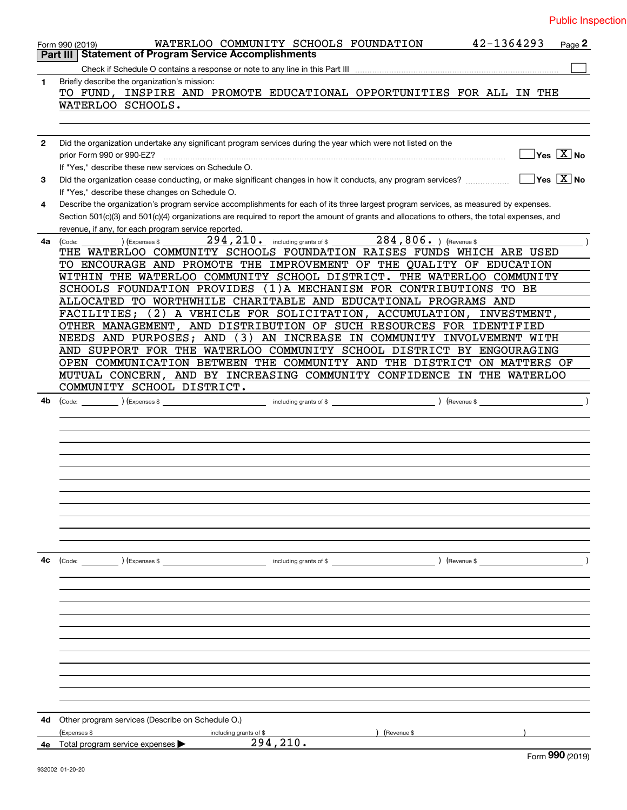| <b>Public Inspection</b> |  |  |  |
|--------------------------|--|--|--|
|                          |  |  |  |

|              | 42-1364293<br>WATERLOO COMMUNITY SCHOOLS FOUNDATION<br>Page 2<br>Form 990 (2019)                                                                                                |
|--------------|---------------------------------------------------------------------------------------------------------------------------------------------------------------------------------|
|              | <b>Statement of Program Service Accomplishments</b><br>Part III                                                                                                                 |
|              |                                                                                                                                                                                 |
| 1.           | Briefly describe the organization's mission:<br>TO FUND, INSPIRE AND PROMOTE EDUCATIONAL OPPORTUNITIES FOR ALL IN THE                                                           |
|              | WATERLOO SCHOOLS.                                                                                                                                                               |
|              |                                                                                                                                                                                 |
| $\mathbf{2}$ | Did the organization undertake any significant program services during the year which were not listed on the                                                                    |
|              | $\overline{\mathsf{Yes}}$ $\overline{\mathsf{X}}$ No                                                                                                                            |
|              | If "Yes," describe these new services on Schedule O.                                                                                                                            |
| 3            | $ Yes X $ No<br>Did the organization cease conducting, or make significant changes in how it conducts, any program services?<br>If "Yes," describe these changes on Schedule O. |
| 4            | Describe the organization's program service accomplishments for each of its three largest program services, as measured by expenses.                                            |
|              | Section 501(c)(3) and 501(c)(4) organizations are required to report the amount of grants and allocations to others, the total expenses, and                                    |
|              | revenue, if any, for each program service reported.<br>294, 210. including grants of \$284, 806. ) (Revenue \$                                                                  |
| 4a           | (Code:<br>(Expenses \$<br>THE WATERLOO COMMUNITY SCHOOLS FOUNDATION RAISES FUNDS WHICH ARE USED                                                                                 |
|              |                                                                                                                                                                                 |
|              | TO ENCOURAGE AND PROMOTE THE IMPROVEMENT OF THE QUALITY OF EDUCATION                                                                                                            |
|              | WITHIN THE WATERLOO COMMUNITY SCHOOL DISTRICT. THE WATERLOO COMMUNITY                                                                                                           |
|              | SCHOOLS FOUNDATION PROVIDES<br>(1) A MECHANISM FOR CONTRIBUTIONS TO BE                                                                                                          |
|              | ALLOCATED TO WORTHWHILE CHARITABLE AND EDUCATIONAL PROGRAMS AND                                                                                                                 |
|              | A VEHICLE FOR SOLICITATION, ACCUMULATION, INVESTMENT,<br>2)<br>FACILITIES;                                                                                                      |
|              | OTHER MANAGEMENT, AND DISTRIBUTION OF SUCH RESOURCES FOR IDENTIFIED                                                                                                             |
|              | NEEDS AND PURPOSES; AND (3) AN INCREASE IN COMMUNITY INVOLVEMENT WITH                                                                                                           |
|              | AND SUPPORT FOR THE WATERLOO COMMUNITY SCHOOL DISTRICT BY ENGOURAGING                                                                                                           |
|              | OPEN COMMUNICATION BETWEEN THE COMMUNITY AND THE DISTRICT ON MATTERS OF                                                                                                         |
|              | MUTUAL CONCERN, AND BY INCREASING COMMUNITY CONFIDENCE IN THE WATERLOO                                                                                                          |
|              |                                                                                                                                                                                 |
|              | COMMUNITY SCHOOL DISTRICT.                                                                                                                                                      |
| 4b           |                                                                                                                                                                                 |
|              |                                                                                                                                                                                 |
|              |                                                                                                                                                                                 |
|              |                                                                                                                                                                                 |
|              |                                                                                                                                                                                 |
|              |                                                                                                                                                                                 |
|              |                                                                                                                                                                                 |
|              |                                                                                                                                                                                 |
|              |                                                                                                                                                                                 |
|              |                                                                                                                                                                                 |
|              |                                                                                                                                                                                 |
|              |                                                                                                                                                                                 |
|              |                                                                                                                                                                                 |
|              |                                                                                                                                                                                 |
| 4с           | (Code: <u>Code:</u> etc. ) (Expenses \$                                                                                                                                         |
|              |                                                                                                                                                                                 |
|              |                                                                                                                                                                                 |
|              |                                                                                                                                                                                 |
|              |                                                                                                                                                                                 |
|              |                                                                                                                                                                                 |
|              |                                                                                                                                                                                 |
|              |                                                                                                                                                                                 |
|              |                                                                                                                                                                                 |
|              |                                                                                                                                                                                 |
|              |                                                                                                                                                                                 |
|              |                                                                                                                                                                                 |
|              |                                                                                                                                                                                 |
|              |                                                                                                                                                                                 |
|              |                                                                                                                                                                                 |
| 4d -         | Other program services (Describe on Schedule O.)                                                                                                                                |
|              | ) (Revenue \$<br>(Expenses \$<br>including grants of \$                                                                                                                         |
| 4е           | 294, 210.<br>Total program service expenses                                                                                                                                     |
|              | Form 990 (2019)                                                                                                                                                                 |
|              |                                                                                                                                                                                 |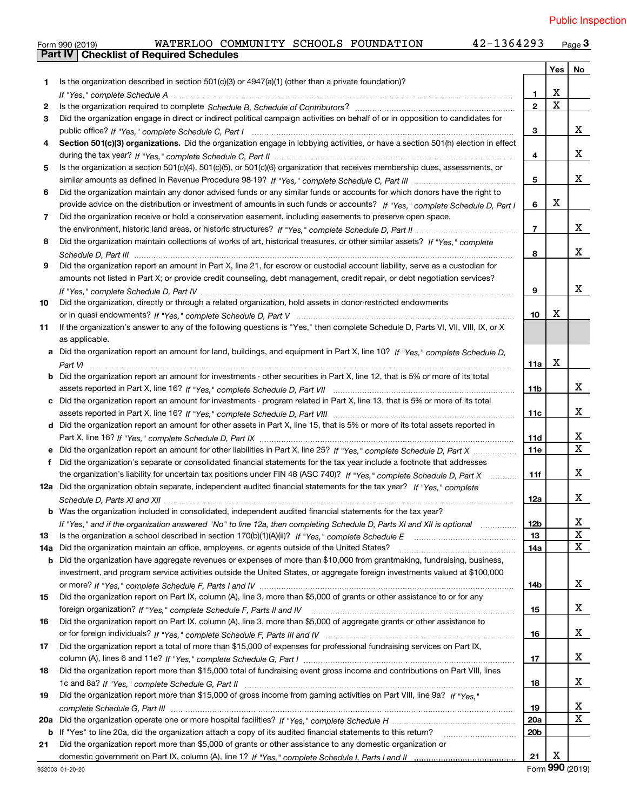|     | 42-1364293<br>WATERLOO COMMUNITY SCHOOLS FOUNDATION<br>Form 990 (2019)                                                                |                 |                         | Page $3$                |
|-----|---------------------------------------------------------------------------------------------------------------------------------------|-----------------|-------------------------|-------------------------|
|     | <b>Checklist of Required Schedules</b><br><b>Part IV</b>                                                                              |                 |                         |                         |
|     |                                                                                                                                       |                 | Yes                     | No                      |
| 1   | Is the organization described in section $501(c)(3)$ or $4947(a)(1)$ (other than a private foundation)?                               |                 |                         |                         |
|     |                                                                                                                                       | 1               | X                       |                         |
| 2   |                                                                                                                                       | $\overline{2}$  | $\overline{\mathbf{x}}$ |                         |
| 3   | Did the organization engage in direct or indirect political campaign activities on behalf of or in opposition to candidates for       |                 |                         |                         |
|     |                                                                                                                                       | 3               |                         | x                       |
| 4   | Section 501(c)(3) organizations. Did the organization engage in lobbying activities, or have a section 501(h) election in effect      |                 |                         |                         |
|     |                                                                                                                                       | 4               |                         | x                       |
| 5   | Is the organization a section 501(c)(4), 501(c)(5), or 501(c)(6) organization that receives membership dues, assessments, or          |                 |                         |                         |
|     |                                                                                                                                       | 5               |                         | x                       |
| 6   | Did the organization maintain any donor advised funds or any similar funds or accounts for which donors have the right to             |                 |                         |                         |
|     | provide advice on the distribution or investment of amounts in such funds or accounts? If "Yes," complete Schedule D, Part I          | 6               | x                       |                         |
| 7   | Did the organization receive or hold a conservation easement, including easements to preserve open space,                             |                 |                         |                         |
|     |                                                                                                                                       | $\overline{7}$  |                         | x                       |
| 8   | Did the organization maintain collections of works of art, historical treasures, or other similar assets? If "Yes," complete          |                 |                         |                         |
|     |                                                                                                                                       | 8               |                         | x                       |
| 9   | Did the organization report an amount in Part X, line 21, for escrow or custodial account liability, serve as a custodian for         |                 |                         |                         |
|     | amounts not listed in Part X; or provide credit counseling, debt management, credit repair, or debt negotiation services?             |                 |                         |                         |
|     |                                                                                                                                       | 9               |                         | x                       |
| 10  | Did the organization, directly or through a related organization, hold assets in donor-restricted endowments                          |                 |                         |                         |
|     |                                                                                                                                       | 10              | x                       |                         |
| 11  | If the organization's answer to any of the following questions is "Yes," then complete Schedule D, Parts VI, VII, VIII, IX, or X      |                 |                         |                         |
|     | as applicable.                                                                                                                        |                 |                         |                         |
|     | a Did the organization report an amount for land, buildings, and equipment in Part X, line 10? If "Yes," complete Schedule D.         |                 |                         |                         |
|     |                                                                                                                                       | 11a             | X                       |                         |
|     | <b>b</b> Did the organization report an amount for investments - other securities in Part X, line 12, that is 5% or more of its total |                 |                         |                         |
|     |                                                                                                                                       | 11 <sub>b</sub> |                         | x                       |
|     | c Did the organization report an amount for investments - program related in Part X, line 13, that is 5% or more of its total         |                 |                         |                         |
|     |                                                                                                                                       | 11c             |                         | x                       |
|     | d Did the organization report an amount for other assets in Part X, line 15, that is 5% or more of its total assets reported in       |                 |                         |                         |
|     |                                                                                                                                       | 11d             |                         | X                       |
|     | e Did the organization report an amount for other liabilities in Part X, line 25? If "Yes," complete Schedule D, Part X               | <b>11e</b>      |                         | $\overline{\mathbf{X}}$ |
| f   | Did the organization's separate or consolidated financial statements for the tax year include a footnote that addresses               |                 |                         |                         |
|     | the organization's liability for uncertain tax positions under FIN 48 (ASC 740)? If "Yes," complete Schedule D, Part X                | 11f             |                         | x                       |
|     | 12a Did the organization obtain separate, independent audited financial statements for the tax year? If "Yes." complete               |                 |                         |                         |
|     |                                                                                                                                       | 12a             |                         | X                       |
|     | <b>b</b> Was the organization included in consolidated, independent audited financial statements for the tax year?                    |                 |                         |                         |
|     | If "Yes," and if the organization answered "No" to line 12a, then completing Schedule D, Parts XI and XII is optional                 | 12b             |                         | X.                      |
| 13  |                                                                                                                                       | 13              |                         | $\mathbf X$             |
| 14a | Did the organization maintain an office, employees, or agents outside of the United States?                                           | 14a             |                         | X                       |
| b   | Did the organization have aggregate revenues or expenses of more than \$10,000 from grantmaking, fundraising, business,               |                 |                         |                         |
|     | investment, and program service activities outside the United States, or aggregate foreign investments valued at \$100,000            |                 |                         |                         |
|     |                                                                                                                                       | 14b             |                         | x                       |
| 15  | Did the organization report on Part IX, column (A), line 3, more than \$5,000 of grants or other assistance to or for any             |                 |                         |                         |
|     |                                                                                                                                       | 15              |                         | x                       |
| 16  | Did the organization report on Part IX, column (A), line 3, more than \$5,000 of aggregate grants or other assistance to              |                 |                         |                         |
|     |                                                                                                                                       | 16              |                         | x                       |
| 17  | Did the organization report a total of more than \$15,000 of expenses for professional fundraising services on Part IX,               |                 |                         |                         |
|     |                                                                                                                                       | 17              |                         | x                       |
| 18  | Did the organization report more than \$15,000 total of fundraising event gross income and contributions on Part VIII, lines          |                 |                         |                         |
|     |                                                                                                                                       | 18              |                         | x                       |
| 19  | Did the organization report more than \$15,000 of gross income from gaming activities on Part VIII, line 9a? If "Yes."                |                 |                         |                         |
|     |                                                                                                                                       | 19              |                         | X                       |
| 20a |                                                                                                                                       | 20a             |                         | X                       |
| b   | If "Yes" to line 20a, did the organization attach a copy of its audited financial statements to this return?                          | 20 <sub>b</sub> |                         |                         |
| 21  | Did the organization report more than \$5,000 of grants or other assistance to any domestic organization or                           |                 |                         |                         |
|     |                                                                                                                                       | 21              | х                       |                         |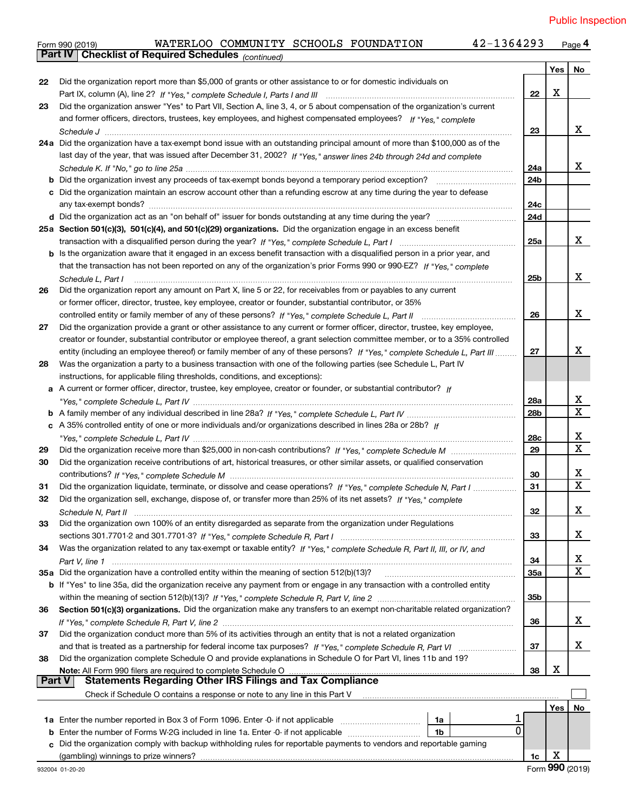|               | 42-1364293<br>WATERLOO COMMUNITY SCHOOLS FOUNDATION<br>Form 990 (2019)                                                             |                 |     | Page 4       |
|---------------|------------------------------------------------------------------------------------------------------------------------------------|-----------------|-----|--------------|
|               | Part IV   Checklist of Required Schedules (continued)                                                                              |                 |     |              |
|               |                                                                                                                                    |                 | Yes | No           |
| 22            | Did the organization report more than \$5,000 of grants or other assistance to or for domestic individuals on                      |                 |     |              |
|               |                                                                                                                                    | 22              | X   |              |
| 23            | Did the organization answer "Yes" to Part VII, Section A, line 3, 4, or 5 about compensation of the organization's current         |                 |     |              |
|               | and former officers, directors, trustees, key employees, and highest compensated employees? If "Yes," complete                     |                 |     |              |
|               |                                                                                                                                    | 23              |     | X.           |
|               | 24a Did the organization have a tax-exempt bond issue with an outstanding principal amount of more than \$100,000 as of the        |                 |     |              |
|               | last day of the year, that was issued after December 31, 2002? If "Yes," answer lines 24b through 24d and complete                 |                 |     |              |
|               |                                                                                                                                    | 24a             |     | X.           |
|               |                                                                                                                                    | 24b             |     |              |
|               | c Did the organization maintain an escrow account other than a refunding escrow at any time during the year to defease             |                 |     |              |
|               |                                                                                                                                    | 24c             |     |              |
|               |                                                                                                                                    | 24d             |     |              |
|               | d Did the organization act as an "on behalf of" issuer for bonds outstanding at any time during the year?                          |                 |     |              |
|               | 25a Section 501(c)(3), 501(c)(4), and 501(c)(29) organizations. Did the organization engage in an excess benefit                   |                 |     |              |
|               |                                                                                                                                    | 25a             |     | X.           |
|               | b Is the organization aware that it engaged in an excess benefit transaction with a disqualified person in a prior year, and       |                 |     |              |
|               | that the transaction has not been reported on any of the organization's prior Forms 990 or 990-EZ? If "Yes," complete              |                 |     |              |
|               | Schedule L. Part I                                                                                                                 | 25 <sub>b</sub> |     | X.           |
| 26            | Did the organization report any amount on Part X, line 5 or 22, for receivables from or payables to any current                    |                 |     |              |
|               | or former officer, director, trustee, key employee, creator or founder, substantial contributor, or 35%                            |                 |     |              |
|               |                                                                                                                                    | 26              |     | X.           |
| 27            | Did the organization provide a grant or other assistance to any current or former officer, director, trustee, key employee,        |                 |     |              |
|               | creator or founder, substantial contributor or employee thereof, a grant selection committee member, or to a 35% controlled        |                 |     |              |
|               | entity (including an employee thereof) or family member of any of these persons? If "Yes," complete Schedule L, Part III           | 27              |     | X.           |
| 28            | Was the organization a party to a business transaction with one of the following parties (see Schedule L, Part IV                  |                 |     |              |
|               | instructions, for applicable filing thresholds, conditions, and exceptions):                                                       |                 |     |              |
|               | a A current or former officer, director, trustee, key employee, creator or founder, or substantial contributor? If                 |                 |     |              |
|               |                                                                                                                                    | 28a             |     | X            |
|               |                                                                                                                                    | 28b             |     | $\mathbf{x}$ |
|               | c A 35% controlled entity of one or more individuals and/or organizations described in lines 28a or 28b? If                        |                 |     |              |
|               |                                                                                                                                    | <b>28c</b>      |     | x            |
| 29            |                                                                                                                                    | 29              |     | $\mathbf X$  |
| 30            | Did the organization receive contributions of art, historical treasures, or other similar assets, or qualified conservation        |                 |     |              |
|               |                                                                                                                                    | 30              |     | X,           |
| 31            | Did the organization liquidate, terminate, or dissolve and cease operations? If "Yes," complete Schedule N, Part I                 | 31              |     | $\mathbf X$  |
|               | Did the organization sell, exchange, dispose of, or transfer more than 25% of its net assets? If "Yes," complete                   |                 |     |              |
| 32            |                                                                                                                                    |                 |     | x            |
|               |                                                                                                                                    | 32              |     |              |
| 33            | Did the organization own 100% of an entity disregarded as separate from the organization under Regulations                         |                 |     |              |
|               |                                                                                                                                    | 33              |     | x            |
| 34            | Was the organization related to any tax-exempt or taxable entity? If "Yes," complete Schedule R, Part II, III, or IV, and          |                 |     |              |
|               |                                                                                                                                    | 34              |     | x            |
|               | 35a Did the organization have a controlled entity within the meaning of section 512(b)(13)?                                        | 35a             |     | $\mathbf X$  |
|               | <b>b</b> If "Yes" to line 35a, did the organization receive any payment from or engage in any transaction with a controlled entity |                 |     |              |
|               |                                                                                                                                    | 35b             |     |              |
| 36            | Section 501(c)(3) organizations. Did the organization make any transfers to an exempt non-charitable related organization?         |                 |     |              |
|               |                                                                                                                                    | 36              |     | x            |
| 37            | Did the organization conduct more than 5% of its activities through an entity that is not a related organization                   |                 |     |              |
|               |                                                                                                                                    | 37              |     | x            |
| 38            | Did the organization complete Schedule O and provide explanations in Schedule O for Part VI, lines 11b and 19?                     |                 |     |              |
|               | Note: All Form 990 filers are required to complete Schedule O                                                                      | 38              | х   |              |
| <b>Part V</b> | <b>Statements Regarding Other IRS Filings and Tax Compliance</b>                                                                   |                 |     |              |
|               | Check if Schedule O contains a response or note to any line in this Part V                                                         |                 |     |              |
|               |                                                                                                                                    |                 | Yes | No           |
|               | 1a                                                                                                                                 |                 |     |              |
| b             | 0<br>Enter the number of Forms W-2G included in line 1a. Enter -0- if not applicable<br>1b                                         |                 |     |              |
|               | Did the organization comply with backup withholding rules for reportable payments to vendors and reportable gaming                 |                 |     |              |
|               | (gambling) winnings to prize winners?                                                                                              | 1c              | х   |              |
|               |                                                                                                                                    |                 |     |              |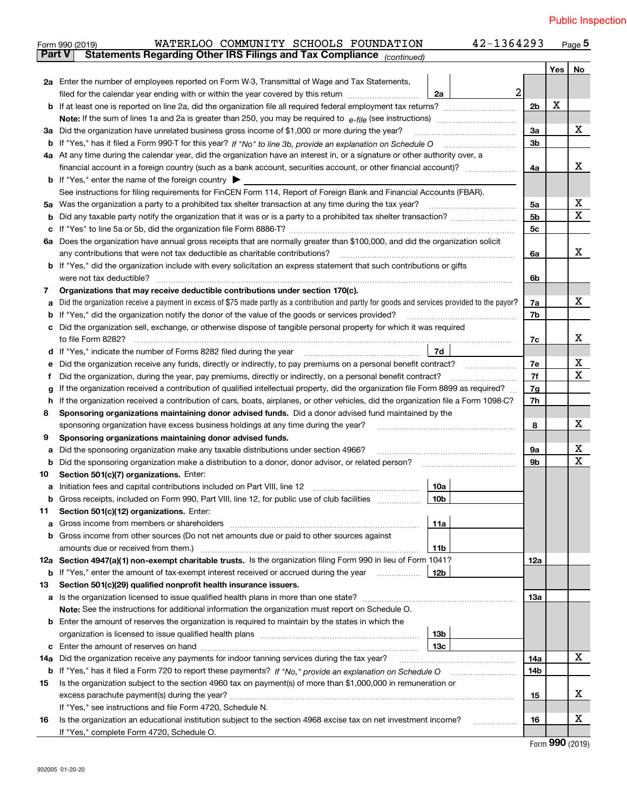|        | 42-1364293<br>WATERLOO COMMUNITY SCHOOLS FOUNDATION<br>Form 990 (2019)                                                                          |                |     | Page $5$ |  |  |  |  |  |  |
|--------|-------------------------------------------------------------------------------------------------------------------------------------------------|----------------|-----|----------|--|--|--|--|--|--|
| Part V | Statements Regarding Other IRS Filings and Tax Compliance (continued)                                                                           |                |     |          |  |  |  |  |  |  |
|        |                                                                                                                                                 |                | Yes | No       |  |  |  |  |  |  |
|        | 2a Enter the number of employees reported on Form W-3, Transmittal of Wage and Tax Statements,                                                  |                |     |          |  |  |  |  |  |  |
|        | $\overline{2}$<br>filed for the calendar year ending with or within the year covered by this return<br>2a                                       |                | X   |          |  |  |  |  |  |  |
|        |                                                                                                                                                 |                |     |          |  |  |  |  |  |  |
|        |                                                                                                                                                 |                |     |          |  |  |  |  |  |  |
| За     | Did the organization have unrelated business gross income of \$1,000 or more during the year?                                                   | 3a             |     | x        |  |  |  |  |  |  |
|        |                                                                                                                                                 | 3 <sub>b</sub> |     |          |  |  |  |  |  |  |
|        | 4a At any time during the calendar year, did the organization have an interest in, or a signature or other authority over, a                    |                |     |          |  |  |  |  |  |  |
|        | financial account in a foreign country (such as a bank account, securities account, or other financial account)?                                | 4a             |     | x        |  |  |  |  |  |  |
|        | <b>b</b> If "Yes," enter the name of the foreign country $\blacktriangleright$                                                                  |                |     |          |  |  |  |  |  |  |
|        | See instructions for filing requirements for FinCEN Form 114, Report of Foreign Bank and Financial Accounts (FBAR).                             |                |     |          |  |  |  |  |  |  |
| 5a     | Was the organization a party to a prohibited tax shelter transaction at any time during the tax year?                                           | 5a             |     | х        |  |  |  |  |  |  |
| b      |                                                                                                                                                 | 5 <sub>b</sub> |     | X        |  |  |  |  |  |  |
| с      |                                                                                                                                                 | 5c             |     |          |  |  |  |  |  |  |
|        | 6a Does the organization have annual gross receipts that are normally greater than \$100,000, and did the organization solicit                  |                |     |          |  |  |  |  |  |  |
|        |                                                                                                                                                 | 6a             |     | X.       |  |  |  |  |  |  |
|        | <b>b</b> If "Yes," did the organization include with every solicitation an express statement that such contributions or gifts                   |                |     |          |  |  |  |  |  |  |
|        | were not tax deductible?                                                                                                                        | 6b             |     |          |  |  |  |  |  |  |
| 7      | Organizations that may receive deductible contributions under section 170(c).                                                                   |                |     |          |  |  |  |  |  |  |
| а      | Did the organization receive a payment in excess of \$75 made partly as a contribution and partly for goods and services provided to the payor? | 7a             |     | X        |  |  |  |  |  |  |
| b      | If "Yes," did the organization notify the donor of the value of the goods or services provided?                                                 | 7b             |     |          |  |  |  |  |  |  |
|        | Did the organization sell, exchange, or otherwise dispose of tangible personal property for which it was required                               |                |     |          |  |  |  |  |  |  |
|        |                                                                                                                                                 | 7c             |     | x        |  |  |  |  |  |  |
|        | 7d                                                                                                                                              |                |     |          |  |  |  |  |  |  |
| е      | Did the organization receive any funds, directly or indirectly, to pay premiums on a personal benefit contract?                                 | 7e             |     | x        |  |  |  |  |  |  |
| f      | Did the organization, during the year, pay premiums, directly or indirectly, on a personal benefit contract?                                    | 7f             |     | X        |  |  |  |  |  |  |
| g      | If the organization received a contribution of qualified intellectual property, did the organization file Form 8899 as required?                | 7g             |     |          |  |  |  |  |  |  |
| h      | If the organization received a contribution of cars, boats, airplanes, or other vehicles, did the organization file a Form 1098-C?              | 7h             |     |          |  |  |  |  |  |  |
| 8      | Sponsoring organizations maintaining donor advised funds. Did a donor advised fund maintained by the                                            |                |     |          |  |  |  |  |  |  |
|        | sponsoring organization have excess business holdings at any time during the year?                                                              | 8              |     | х        |  |  |  |  |  |  |
| 9      | Sponsoring organizations maintaining donor advised funds.                                                                                       |                |     |          |  |  |  |  |  |  |
| а      | Did the sponsoring organization make any taxable distributions under section 4966?                                                              | 9а             |     | x        |  |  |  |  |  |  |
| b      | Did the sponsoring organization make a distribution to a donor, donor advisor, or related person?                                               | 9b             |     | X        |  |  |  |  |  |  |
| 10     | Section 501(c)(7) organizations. Enter:                                                                                                         |                |     |          |  |  |  |  |  |  |
|        | 10a                                                                                                                                             |                |     |          |  |  |  |  |  |  |
|        | 10b<br>Gross receipts, included on Form 990, Part VIII, line 12, for public use of club facilities                                              |                |     |          |  |  |  |  |  |  |
| 11     | Section 501(c)(12) organizations. Enter:                                                                                                        |                |     |          |  |  |  |  |  |  |
| a      | 11a<br>Gross income from members or shareholders                                                                                                |                |     |          |  |  |  |  |  |  |
| b      | Gross income from other sources (Do not net amounts due or paid to other sources against                                                        |                |     |          |  |  |  |  |  |  |
|        | 11 <sub>b</sub><br>amounts due or received from them.)                                                                                          |                |     |          |  |  |  |  |  |  |
|        | 12a Section 4947(a)(1) non-exempt charitable trusts. Is the organization filing Form 990 in lieu of Form 1041?                                  | 12a            |     |          |  |  |  |  |  |  |
|        | 12b<br><b>b</b> If "Yes," enter the amount of tax-exempt interest received or accrued during the year                                           |                |     |          |  |  |  |  |  |  |
| 13     | Section 501(c)(29) qualified nonprofit health insurance issuers.                                                                                |                |     |          |  |  |  |  |  |  |
|        | a Is the organization licensed to issue qualified health plans in more than one state?                                                          | 13а            |     |          |  |  |  |  |  |  |
|        | Note: See the instructions for additional information the organization must report on Schedule O.                                               |                |     |          |  |  |  |  |  |  |
| b      | Enter the amount of reserves the organization is required to maintain by the states in which the                                                |                |     |          |  |  |  |  |  |  |
|        | 13b                                                                                                                                             |                |     |          |  |  |  |  |  |  |
| с      | 13c                                                                                                                                             |                |     |          |  |  |  |  |  |  |
| 14a    | Did the organization receive any payments for indoor tanning services during the tax year?                                                      | 14a            |     | X        |  |  |  |  |  |  |
|        | <b>b</b> If "Yes," has it filed a Form 720 to report these payments? If "No," provide an explanation on Schedule O                              | 14b            |     |          |  |  |  |  |  |  |
| 15     | Is the organization subject to the section 4960 tax on payment(s) of more than \$1,000,000 in remuneration or                                   |                |     |          |  |  |  |  |  |  |
|        |                                                                                                                                                 | 15             |     | x        |  |  |  |  |  |  |
|        | If "Yes," see instructions and file Form 4720, Schedule N.                                                                                      |                |     |          |  |  |  |  |  |  |
| 16     | Is the organization an educational institution subject to the section 4968 excise tax on net investment income?                                 | 16             |     | х        |  |  |  |  |  |  |
|        | If "Yes," complete Form 4720, Schedule O.                                                                                                       |                |     |          |  |  |  |  |  |  |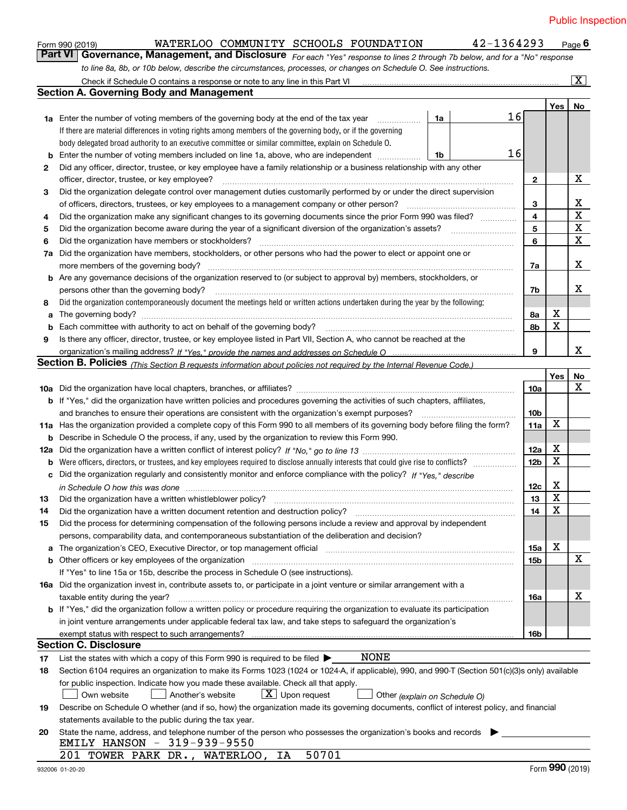|    | WATERLOO COMMUNITY SCHOOLS FOUNDATION<br>Form 990 (2019)                                                                                                                                                                                             |    | 42-1364293 |                 |                         | Page $6$           |
|----|------------------------------------------------------------------------------------------------------------------------------------------------------------------------------------------------------------------------------------------------------|----|------------|-----------------|-------------------------|--------------------|
|    | Part VI<br>Governance, Management, and Disclosure For each "Yes" response to lines 2 through 7b below, and for a "No" response                                                                                                                       |    |            |                 |                         |                    |
|    | to line 8a, 8b, or 10b below, describe the circumstances, processes, or changes on Schedule O. See instructions.                                                                                                                                     |    |            |                 |                         |                    |
|    | Check if Schedule O contains a response or note to any line in this Part VI [11] [12] [12] [13] Check if Schedule O contains a response or note to any line in this Part VI                                                                          |    |            |                 |                         | $\boxed{\text{X}}$ |
|    | <b>Section A. Governing Body and Management</b>                                                                                                                                                                                                      |    |            |                 |                         |                    |
|    |                                                                                                                                                                                                                                                      |    |            |                 | Yes <sub>1</sub>        | No                 |
|    | <b>1a</b> Enter the number of voting members of the governing body at the end of the tax year                                                                                                                                                        | 1a | 16         |                 |                         |                    |
|    | If there are material differences in voting rights among members of the governing body, or if the governing                                                                                                                                          |    |            |                 |                         |                    |
|    | body delegated broad authority to an executive committee or similar committee, explain on Schedule O.                                                                                                                                                |    |            |                 |                         |                    |
| b  | Enter the number of voting members included on line 1a, above, who are independent                                                                                                                                                                   | 1b | 16         |                 |                         |                    |
| 2  | Did any officer, director, trustee, or key employee have a family relationship or a business relationship with any other                                                                                                                             |    |            |                 |                         |                    |
|    | officer, director, trustee, or key employee?                                                                                                                                                                                                         |    |            | 2               |                         | х                  |
| 3  | Did the organization delegate control over management duties customarily performed by or under the direct supervision                                                                                                                                |    |            |                 |                         |                    |
|    |                                                                                                                                                                                                                                                      |    |            | 3               |                         | х                  |
| 4  | Did the organization make any significant changes to its governing documents since the prior Form 990 was filed?                                                                                                                                     |    |            | 4               |                         | $\mathbf X$        |
| 5  |                                                                                                                                                                                                                                                      |    |            | 5               |                         | X                  |
| 6  | Did the organization have members or stockholders?                                                                                                                                                                                                   |    |            | 6               |                         | X                  |
|    | Did the organization have members, stockholders, or other persons who had the power to elect or appoint one or                                                                                                                                       |    |            |                 |                         |                    |
| 7a |                                                                                                                                                                                                                                                      |    |            |                 |                         | х                  |
|    |                                                                                                                                                                                                                                                      |    |            | 7a              |                         |                    |
|    | <b>b</b> Are any governance decisions of the organization reserved to (or subject to approval by) members, stockholders, or                                                                                                                          |    |            |                 |                         |                    |
|    | persons other than the governing body?                                                                                                                                                                                                               |    |            | 7b              |                         | x                  |
| 8  | Did the organization contemporaneously document the meetings held or written actions undertaken during the year by the following:                                                                                                                    |    |            |                 |                         |                    |
| a  |                                                                                                                                                                                                                                                      |    |            | 8a              | х                       |                    |
| b  |                                                                                                                                                                                                                                                      |    |            | 8b              | X                       |                    |
| 9  | Is there any officer, director, trustee, or key employee listed in Part VII, Section A, who cannot be reached at the                                                                                                                                 |    |            |                 |                         |                    |
|    |                                                                                                                                                                                                                                                      |    |            | 9               |                         | X                  |
|    | Section B. Policies <i>(This Section B requests information about policies not required by the Internal Revenue Code.)</i>                                                                                                                           |    |            |                 |                         |                    |
|    |                                                                                                                                                                                                                                                      |    |            |                 | Yes                     | No                 |
|    |                                                                                                                                                                                                                                                      |    |            | 10a             |                         | х                  |
|    | <b>b</b> If "Yes," did the organization have written policies and procedures governing the activities of such chapters, affiliates,                                                                                                                  |    |            |                 |                         |                    |
|    | and branches to ensure their operations are consistent with the organization's exempt purposes?                                                                                                                                                      |    |            | 10b             |                         |                    |
|    | 11a Has the organization provided a complete copy of this Form 990 to all members of its governing body before filing the form?                                                                                                                      |    |            | 11a             | X                       |                    |
| b  | Describe in Schedule O the process, if any, used by the organization to review this Form 990.                                                                                                                                                        |    |            |                 |                         |                    |
|    |                                                                                                                                                                                                                                                      |    |            | 12a             | х                       |                    |
| b  | Were officers, directors, or trustees, and key employees required to disclose annually interests that could give rise to conflicts?                                                                                                                  |    |            | 12 <sub>b</sub> | X                       |                    |
|    | c Did the organization regularly and consistently monitor and enforce compliance with the policy? If "Yes," describe                                                                                                                                 |    |            |                 |                         |                    |
|    | in Schedule O how this was done with an announcement control to the state of the state of the state of the sta                                                                                                                                       |    |            | 12c             | х                       |                    |
|    |                                                                                                                                                                                                                                                      |    |            | 13              | $\overline{\textbf{X}}$ |                    |
| 14 | Did the organization have a written document retention and destruction policy? manufactured and the organization have a written document retention and destruction policy?                                                                           |    |            | 14              | X                       |                    |
| 15 | Did the process for determining compensation of the following persons include a review and approval by independent                                                                                                                                   |    |            |                 |                         |                    |
|    | persons, comparability data, and contemporaneous substantiation of the deliberation and decision?                                                                                                                                                    |    |            |                 |                         |                    |
|    | a The organization's CEO, Executive Director, or top management official [11] [12] The organization's CEO, Executive Director, or top management official [12] [12] [12] [12] The organization's CEO, Executive Director, or t                       |    |            | 15a             | х                       |                    |
|    |                                                                                                                                                                                                                                                      |    |            | 15b             |                         | x                  |
|    | If "Yes" to line 15a or 15b, describe the process in Schedule O (see instructions).                                                                                                                                                                  |    |            |                 |                         |                    |
|    | 16a Did the organization invest in, contribute assets to, or participate in a joint venture or similar arrangement with a                                                                                                                            |    |            |                 |                         |                    |
|    | taxable entity during the year?                                                                                                                                                                                                                      |    |            | 16a             |                         | х                  |
|    | b If "Yes," did the organization follow a written policy or procedure requiring the organization to evaluate its participation                                                                                                                       |    |            |                 |                         |                    |
|    | in joint venture arrangements under applicable federal tax law, and take steps to safeguard the organization's                                                                                                                                       |    |            |                 |                         |                    |
|    |                                                                                                                                                                                                                                                      |    |            | 16b             |                         |                    |
|    | <b>Section C. Disclosure</b>                                                                                                                                                                                                                         |    |            |                 |                         |                    |
|    | NONE                                                                                                                                                                                                                                                 |    |            |                 |                         |                    |
| 17 | List the states with which a copy of this Form 990 is required to be filed $\blacktriangleright$<br>Section 6104 requires an organization to make its Forms 1023 (1024 or 1024-A, if applicable), 990, and 990-T (Section 501(c)(3)s only) available |    |            |                 |                         |                    |
| 18 |                                                                                                                                                                                                                                                      |    |            |                 |                         |                    |
|    | for public inspection. Indicate how you made these available. Check all that apply.                                                                                                                                                                  |    |            |                 |                         |                    |
|    | $X$ Upon request<br>Another's website<br>Own website<br>Other (explain on Schedule O)                                                                                                                                                                |    |            |                 |                         |                    |
| 19 | Describe on Schedule O whether (and if so, how) the organization made its governing documents, conflict of interest policy, and financial                                                                                                            |    |            |                 |                         |                    |
|    | statements available to the public during the tax year.                                                                                                                                                                                              |    |            |                 |                         |                    |
| 20 | State the name, address, and telephone number of the person who possesses the organization's books and records                                                                                                                                       |    |            |                 |                         |                    |
|    | EMILY HANSON - 319-939-9550                                                                                                                                                                                                                          |    |            |                 |                         |                    |
|    | 50701<br>201 TOWER PARK DR., WATERLOO, IA                                                                                                                                                                                                            |    |            |                 |                         |                    |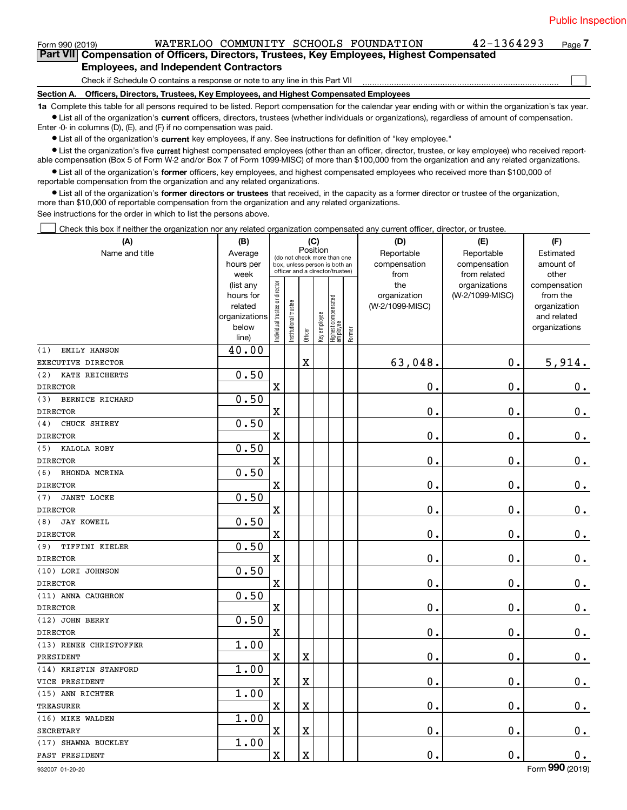| Form 990 (2019) | WATERLOO COMMUNITY SCHOOLS FOUNDATION                                                                                                                      | $42 - 1364293$ | Page 7 |
|-----------------|------------------------------------------------------------------------------------------------------------------------------------------------------------|----------------|--------|
|                 | Part VII Compensation of Officers, Directors, Trustees, Key Employees, Highest Compensated                                                                 |                |        |
|                 | <b>Employees, and Independent Contractors</b>                                                                                                              |                |        |
|                 | Check if Schedule O contains a response or note to any line in this Part VII                                                                               |                |        |
|                 | Section A. Officers, Directors, Trustees, Key Employees, and Highest Compensated Employees                                                                 |                |        |
|                 | 1a Complete this table for all persons required to be listed. Report compensation for the calendar year ending with or within the organization's tax year. |                |        |
|                 | • List all of the organization's current officers, directors, trustees (whether individuals or organizations), regardless of amount of compensation.       |                |        |
|                 | Enter -0- in columns (D), (E), and (F) if no compensation was paid.                                                                                        |                |        |

 $\bullet$  List all of the organization's  $\,$ current key employees, if any. See instructions for definition of "key employee."

■ List the organization's five current highest compensated employees (other than an officer, director, trustee, or key employee) who received report-<br>able compensation (Box 5 of Form W-2 and/or Box 7 of Form 1099-MISC) of

**•** List all of the organization's former officers, key employees, and highest compensated employees who received more than \$100,000 of reportable compensation from the organization and any related organizations.

**former directors or trustees**  ¥ List all of the organization's that received, in the capacity as a former director or trustee of the organization, more than \$10,000 of reportable compensation from the organization and any related organizations.

See instructions for the order in which to list the persons above.

Check this box if neither the organization nor any related organization compensated any current officer, director, or trustee.  $\mathcal{L}^{\text{max}}$ 

| (A)                       | (B)                    |                                |                       | (C)                                                              |              |                                   |        | (D)                 | (E)                              | (F)                      |
|---------------------------|------------------------|--------------------------------|-----------------------|------------------------------------------------------------------|--------------|-----------------------------------|--------|---------------------|----------------------------------|--------------------------|
| Name and title            | Average                |                                |                       | Position<br>(do not check more than one                          |              |                                   |        | Reportable          | Reportable                       | Estimated                |
|                           | hours per              |                                |                       | box, unless person is both an<br>officer and a director/trustee) |              |                                   |        | compensation        | compensation                     | amount of                |
|                           | week                   |                                |                       |                                                                  |              |                                   |        | from                | from related                     | other                    |
|                           | (list any<br>hours for |                                |                       |                                                                  |              |                                   |        | the<br>organization | organizations<br>(W-2/1099-MISC) | compensation<br>from the |
|                           | related                |                                |                       |                                                                  |              |                                   |        | (W-2/1099-MISC)     |                                  | organization             |
|                           | organizations          |                                |                       |                                                                  |              |                                   |        |                     |                                  | and related              |
|                           | below                  | Individual trustee or director | Institutional trustee |                                                                  | Key employee |                                   |        |                     |                                  | organizations            |
|                           | line)                  |                                |                       | Officer                                                          |              | Highest compensated<br>  employee | Former |                     |                                  |                          |
| EMILY HANSON<br>(1)       | 40.00                  |                                |                       |                                                                  |              |                                   |        |                     |                                  |                          |
| EXECUTIVE DIRECTOR        |                        |                                |                       | $\mathbf X$                                                      |              |                                   |        | 63,048.             | $\mathbf 0$ .                    | 5,914.                   |
| (2)<br>KATE REICHERTS     | 0.50                   |                                |                       |                                                                  |              |                                   |        |                     |                                  |                          |
| <b>DIRECTOR</b>           |                        | X                              |                       |                                                                  |              |                                   |        | 0.                  | $\mathbf 0$ .                    | 0.                       |
| BERNICE RICHARD<br>(3)    | 0.50                   |                                |                       |                                                                  |              |                                   |        |                     |                                  |                          |
| <b>DIRECTOR</b>           |                        | $\rm X$                        |                       |                                                                  |              |                                   |        | 0.                  | $\mathbf 0$ .                    | $0$ .                    |
| CHUCK SHIREY<br>(4)       | 0.50                   |                                |                       |                                                                  |              |                                   |        |                     |                                  |                          |
| <b>DIRECTOR</b>           |                        | X                              |                       |                                                                  |              |                                   |        | 0.                  | $\mathbf 0$ .                    | 0.                       |
| KALOLA ROBY<br>(5)        | 0.50                   |                                |                       |                                                                  |              |                                   |        |                     |                                  |                          |
| <b>DIRECTOR</b>           |                        | $\rm X$                        |                       |                                                                  |              |                                   |        | 0.                  | $\mathbf 0$ .                    | $\mathbf 0$ .            |
| (6)<br>RHONDA MCRINA      | 0.50                   |                                |                       |                                                                  |              |                                   |        |                     |                                  |                          |
| <b>DIRECTOR</b>           |                        | X                              |                       |                                                                  |              |                                   |        | $\mathbf{0}$ .      | $\mathbf 0$ .                    | 0.                       |
| <b>JANET LOCKE</b><br>(7) | 0.50                   |                                |                       |                                                                  |              |                                   |        |                     |                                  |                          |
| <b>DIRECTOR</b>           |                        | X                              |                       |                                                                  |              |                                   |        | $\mathbf{0}$ .      | 0.                               | $\mathbf 0$ .            |
| (8)<br><b>JAY KOWEIL</b>  | 0.50                   |                                |                       |                                                                  |              |                                   |        |                     |                                  |                          |
| <b>DIRECTOR</b>           |                        | X                              |                       |                                                                  |              |                                   |        | 0.                  | $\mathbf 0$ .                    | $\mathbf 0$ .            |
| TIFFINI KIELER<br>(9)     | 0.50                   |                                |                       |                                                                  |              |                                   |        |                     |                                  |                          |
| <b>DIRECTOR</b>           |                        | $\rm X$                        |                       |                                                                  |              |                                   |        | 0.                  | $\mathbf 0$ .                    | $\mathbf 0$ .            |
| (10) LORI JOHNSON         | 0.50                   |                                |                       |                                                                  |              |                                   |        |                     |                                  |                          |
| <b>DIRECTOR</b>           |                        | X                              |                       |                                                                  |              |                                   |        | 0.                  | $\mathbf 0$ .                    | $0$ .                    |
| (11) ANNA CAUGHRON        | 0.50                   |                                |                       |                                                                  |              |                                   |        |                     |                                  |                          |
| <b>DIRECTOR</b>           |                        | $\rm X$                        |                       |                                                                  |              |                                   |        | 0.                  | $\mathbf 0$ .                    | $0$ .                    |
| (12) JOHN BERRY           | 0.50                   |                                |                       |                                                                  |              |                                   |        |                     |                                  |                          |
| <b>DIRECTOR</b>           |                        | $\overline{\textbf{X}}$        |                       |                                                                  |              |                                   |        | 0.                  | $\mathbf 0$ .                    | $\mathbf 0$ .            |
| (13) RENEE CHRISTOFFER    | 1.00                   |                                |                       |                                                                  |              |                                   |        |                     |                                  |                          |
| PRESIDENT                 |                        | $\mathbf X$                    |                       | X                                                                |              |                                   |        | 0.                  | $\mathbf 0$ .                    | $\mathbf 0$ .            |
| (14) KRISTIN STANFORD     | 1.00                   |                                |                       |                                                                  |              |                                   |        |                     |                                  |                          |
| VICE PRESIDENT            |                        | X                              |                       | $\overline{\mathbf{X}}$                                          |              |                                   |        | 0.                  | 0.                               | $\mathbf 0$ .            |
| (15) ANN RICHTER          | 1.00                   |                                |                       |                                                                  |              |                                   |        |                     |                                  |                          |
| <b>TREASURER</b>          |                        | $\mathbf X$                    |                       | $\overline{\textbf{X}}$                                          |              |                                   |        | 0.                  | $\mathbf 0$ .                    | $\mathbf 0$ .            |
| (16) MIKE WALDEN          | 1.00                   |                                |                       |                                                                  |              |                                   |        |                     |                                  |                          |
| <b>SECRETARY</b>          |                        | X                              |                       | $\overline{\mathbf{X}}$                                          |              |                                   |        | 0.                  | $\mathbf 0$ .                    | $\mathbf 0$ .            |
| (17) SHAWNA BUCKLEY       | 1.00                   |                                |                       |                                                                  |              |                                   |        |                     |                                  |                          |
| PAST PRESIDENT            |                        | $\mathbf x$                    |                       | $\overline{\textbf{X}}$                                          |              |                                   |        | $\mathbf 0$ .       | $\mathbf 0$ .                    | $\mathbf 0$ .            |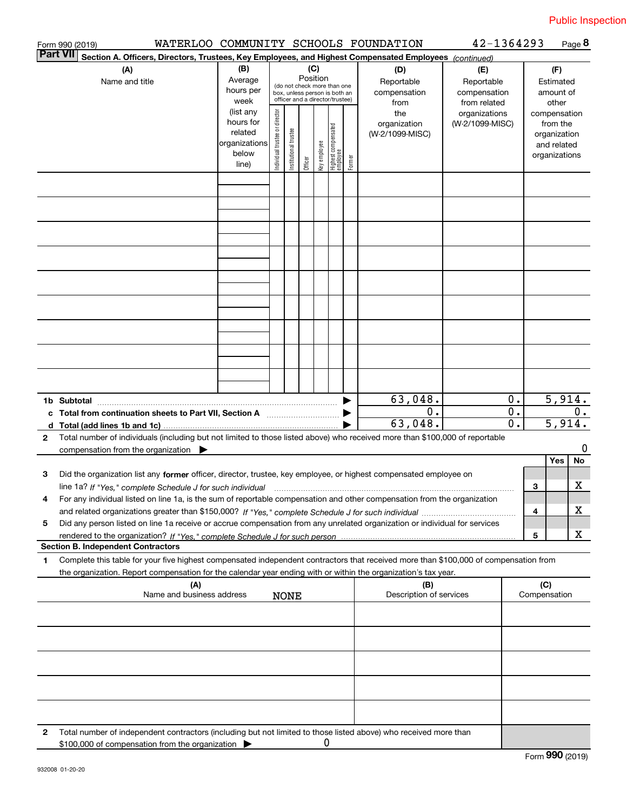|                 | Form 990 (2019)                                                                                                                                                                                                                                                     |                   |                               |                       |          |              |                                                                  |        | WATERLOO COMMUNITY SCHOOLS FOUNDATION | 42-1364293                    |                           |              |                          | Page 8 |
|-----------------|---------------------------------------------------------------------------------------------------------------------------------------------------------------------------------------------------------------------------------------------------------------------|-------------------|-------------------------------|-----------------------|----------|--------------|------------------------------------------------------------------|--------|---------------------------------------|-------------------------------|---------------------------|--------------|--------------------------|--------|
| <b>Part VII</b> | Section A. Officers, Directors, Trustees, Key Employees, and Highest Compensated Employees (continued)                                                                                                                                                              |                   |                               |                       |          |              |                                                                  |        |                                       |                               |                           |              |                          |        |
|                 | (A)                                                                                                                                                                                                                                                                 | (B)               |                               |                       |          | (C)          |                                                                  |        | (D)                                   | (E)                           |                           | (F)          |                          |        |
|                 | Name and title                                                                                                                                                                                                                                                      | Average           |                               |                       | Position |              | (do not check more than one                                      |        | Reportable                            | Reportable                    |                           |              | Estimated                |        |
|                 |                                                                                                                                                                                                                                                                     | hours per         |                               |                       |          |              | box, unless person is both an<br>officer and a director/trustee) |        | compensation                          | compensation                  |                           |              | amount of                |        |
|                 |                                                                                                                                                                                                                                                                     | week<br>(list any |                               |                       |          |              |                                                                  |        | from<br>the                           | from related<br>organizations |                           |              | other                    |        |
|                 |                                                                                                                                                                                                                                                                     | hours for         | ndividual trustee or director |                       |          |              |                                                                  |        | organization                          | (W-2/1099-MISC)               |                           |              | compensation<br>from the |        |
|                 |                                                                                                                                                                                                                                                                     | related           |                               |                       |          |              |                                                                  |        | (W-2/1099-MISC)                       |                               |                           |              | organization             |        |
|                 |                                                                                                                                                                                                                                                                     | organizations     |                               |                       |          |              |                                                                  |        |                                       |                               |                           |              | and related              |        |
|                 |                                                                                                                                                                                                                                                                     | below             |                               | Institutional trustee |          | Key employee | Highest compensated<br>  employee                                | Former |                                       |                               |                           |              | organizations            |        |
|                 |                                                                                                                                                                                                                                                                     | line)             |                               |                       | Officer  |              |                                                                  |        |                                       |                               |                           |              |                          |        |
|                 |                                                                                                                                                                                                                                                                     |                   |                               |                       |          |              |                                                                  |        |                                       |                               |                           |              |                          |        |
|                 |                                                                                                                                                                                                                                                                     |                   |                               |                       |          |              |                                                                  |        |                                       |                               |                           |              |                          |        |
|                 |                                                                                                                                                                                                                                                                     |                   |                               |                       |          |              |                                                                  |        |                                       |                               |                           |              |                          |        |
|                 |                                                                                                                                                                                                                                                                     |                   |                               |                       |          |              |                                                                  |        |                                       |                               |                           |              |                          |        |
|                 |                                                                                                                                                                                                                                                                     |                   |                               |                       |          |              |                                                                  |        |                                       |                               |                           |              |                          |        |
|                 |                                                                                                                                                                                                                                                                     |                   |                               |                       |          |              |                                                                  |        |                                       |                               |                           |              |                          |        |
|                 |                                                                                                                                                                                                                                                                     |                   |                               |                       |          |              |                                                                  |        |                                       |                               |                           |              |                          |        |
|                 |                                                                                                                                                                                                                                                                     |                   |                               |                       |          |              |                                                                  |        |                                       |                               |                           |              |                          |        |
|                 |                                                                                                                                                                                                                                                                     |                   |                               |                       |          |              |                                                                  |        |                                       |                               |                           |              |                          |        |
|                 |                                                                                                                                                                                                                                                                     |                   |                               |                       |          |              |                                                                  |        |                                       |                               |                           |              |                          |        |
|                 |                                                                                                                                                                                                                                                                     |                   |                               |                       |          |              |                                                                  |        |                                       |                               |                           |              |                          |        |
|                 |                                                                                                                                                                                                                                                                     |                   |                               |                       |          |              |                                                                  |        |                                       |                               |                           |              |                          |        |
|                 |                                                                                                                                                                                                                                                                     |                   |                               |                       |          |              |                                                                  |        |                                       |                               |                           |              |                          |        |
|                 |                                                                                                                                                                                                                                                                     |                   |                               |                       |          |              |                                                                  |        |                                       |                               |                           |              |                          |        |
|                 |                                                                                                                                                                                                                                                                     |                   |                               |                       |          |              |                                                                  |        |                                       |                               |                           |              |                          |        |
|                 |                                                                                                                                                                                                                                                                     |                   |                               |                       |          |              |                                                                  |        |                                       |                               |                           |              |                          |        |
|                 |                                                                                                                                                                                                                                                                     |                   |                               |                       |          |              |                                                                  |        |                                       |                               |                           |              |                          |        |
|                 |                                                                                                                                                                                                                                                                     |                   |                               |                       |          |              |                                                                  |        | 63,048.                               |                               | 0.                        |              | 5,914.                   |        |
|                 | 1b Subtotal                                                                                                                                                                                                                                                         |                   |                               |                       |          |              |                                                                  |        | $\overline{0}$ .                      |                               | $\overline{\mathbf{0}}$ . |              |                          | 0.     |
|                 | c Total from continuation sheets to Part VII, Section A [111] [12] Total from continuation sheets to Part VII, Section A                                                                                                                                            |                   |                               |                       |          |              |                                                                  |        | 63,048.                               |                               | $\overline{0}$ .          |              | 5,914.                   |        |
| d               |                                                                                                                                                                                                                                                                     |                   |                               |                       |          |              |                                                                  |        |                                       |                               |                           |              |                          |        |
| $\mathbf{2}$    | Total number of individuals (including but not limited to those listed above) who received more than \$100,000 of reportable                                                                                                                                        |                   |                               |                       |          |              |                                                                  |        |                                       |                               |                           |              |                          | 0      |
|                 | compensation from the organization                                                                                                                                                                                                                                  |                   |                               |                       |          |              |                                                                  |        |                                       |                               |                           |              | Yes                      | No     |
| 3               | Did the organization list any former officer, director, trustee, key employee, or highest compensated employee on                                                                                                                                                   |                   |                               |                       |          |              |                                                                  |        |                                       |                               |                           |              |                          |        |
|                 |                                                                                                                                                                                                                                                                     |                   |                               |                       |          |              |                                                                  |        |                                       |                               |                           | З            |                          | X      |
| 4               | line 1a? If "Yes," complete Schedule J for such individual manufactured contained and the Yes," complete Schedule J for such individual<br>For any individual listed on line 1a, is the sum of reportable compensation and other compensation from the organization |                   |                               |                       |          |              |                                                                  |        |                                       |                               |                           |              |                          |        |
|                 |                                                                                                                                                                                                                                                                     |                   |                               |                       |          |              |                                                                  |        |                                       |                               |                           | 4            |                          | х      |
| 5               | Did any person listed on line 1a receive or accrue compensation from any unrelated organization or individual for services                                                                                                                                          |                   |                               |                       |          |              |                                                                  |        |                                       |                               |                           |              |                          |        |
|                 |                                                                                                                                                                                                                                                                     |                   |                               |                       |          |              |                                                                  |        |                                       |                               |                           | 5            |                          | x      |
|                 | <b>Section B. Independent Contractors</b>                                                                                                                                                                                                                           |                   |                               |                       |          |              |                                                                  |        |                                       |                               |                           |              |                          |        |
| 1               | Complete this table for your five highest compensated independent contractors that received more than \$100,000 of compensation from                                                                                                                                |                   |                               |                       |          |              |                                                                  |        |                                       |                               |                           |              |                          |        |
|                 | the organization. Report compensation for the calendar year ending with or within the organization's tax year.                                                                                                                                                      |                   |                               |                       |          |              |                                                                  |        |                                       |                               |                           |              |                          |        |
|                 | (A)                                                                                                                                                                                                                                                                 |                   |                               |                       |          |              |                                                                  |        | (B)                                   |                               |                           | (C)          |                          |        |
|                 | Name and business address                                                                                                                                                                                                                                           |                   |                               | <b>NONE</b>           |          |              |                                                                  |        | Description of services               |                               |                           | Compensation |                          |        |
|                 |                                                                                                                                                                                                                                                                     |                   |                               |                       |          |              |                                                                  |        |                                       |                               |                           |              |                          |        |
|                 |                                                                                                                                                                                                                                                                     |                   |                               |                       |          |              |                                                                  |        |                                       |                               |                           |              |                          |        |
|                 |                                                                                                                                                                                                                                                                     |                   |                               |                       |          |              |                                                                  |        |                                       |                               |                           |              |                          |        |
|                 |                                                                                                                                                                                                                                                                     |                   |                               |                       |          |              |                                                                  |        |                                       |                               |                           |              |                          |        |
|                 |                                                                                                                                                                                                                                                                     |                   |                               |                       |          |              |                                                                  |        |                                       |                               |                           |              |                          |        |
|                 |                                                                                                                                                                                                                                                                     |                   |                               |                       |          |              |                                                                  |        |                                       |                               |                           |              |                          |        |
|                 |                                                                                                                                                                                                                                                                     |                   |                               |                       |          |              |                                                                  |        |                                       |                               |                           |              |                          |        |
|                 |                                                                                                                                                                                                                                                                     |                   |                               |                       |          |              |                                                                  |        |                                       |                               |                           |              |                          |        |
|                 |                                                                                                                                                                                                                                                                     |                   |                               |                       |          |              |                                                                  |        |                                       |                               |                           |              |                          |        |
|                 |                                                                                                                                                                                                                                                                     |                   |                               |                       |          |              |                                                                  |        |                                       |                               |                           |              |                          |        |
| 2               | Total number of independent contractors (including but not limited to those listed above) who received more than                                                                                                                                                    |                   |                               |                       |          |              |                                                                  |        |                                       |                               |                           |              |                          |        |

 $\pmb{0}$ 

\$100,000 of compensation from the organization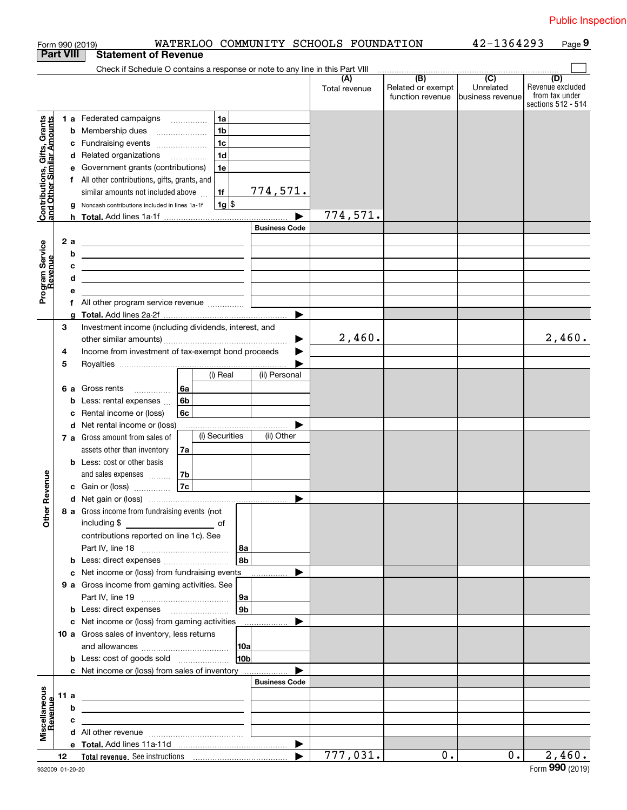|                                                           |                  |     | WATERLOO COMMUNITY SCHOOLS FOUNDATION<br>Form 990 (2019)                                                                                                                                                                             |                      |                      |                                              | 42-1364293                                        | Page 9                                    |
|-----------------------------------------------------------|------------------|-----|--------------------------------------------------------------------------------------------------------------------------------------------------------------------------------------------------------------------------------------|----------------------|----------------------|----------------------------------------------|---------------------------------------------------|-------------------------------------------|
|                                                           | <b>Part VIII</b> |     | <b>Statement of Revenue</b>                                                                                                                                                                                                          |                      |                      |                                              |                                                   |                                           |
|                                                           |                  |     | Check if Schedule O contains a response or note to any line in this Part VIII                                                                                                                                                        |                      |                      |                                              |                                                   |                                           |
|                                                           |                  |     |                                                                                                                                                                                                                                      |                      | (A)<br>Total revenue | (B)<br>Related or exempt<br>function revenue | $\overline{(C)}$<br>Unrelated<br>business revenue | (D)<br>Revenue excluded<br>from tax under |
|                                                           |                  |     |                                                                                                                                                                                                                                      |                      |                      |                                              |                                                   | sections 512 - 514                        |
|                                                           |                  |     | 1 a Federated campaigns<br>1a                                                                                                                                                                                                        |                      |                      |                                              |                                                   |                                           |
| Contributions, Gifts, Grants<br>and Other Similar Amounts |                  |     | 1 <sub>b</sub><br><b>b</b> Membership dues<br>$\ldots \ldots \ldots \ldots \ldots$                                                                                                                                                   |                      |                      |                                              |                                                   |                                           |
|                                                           |                  |     | 1 <sub>c</sub><br>c Fundraising events                                                                                                                                                                                               |                      |                      |                                              |                                                   |                                           |
|                                                           |                  |     | 1 <sub>d</sub><br>d Related organizations                                                                                                                                                                                            |                      |                      |                                              |                                                   |                                           |
|                                                           |                  |     | e Government grants (contributions)<br>1e                                                                                                                                                                                            |                      |                      |                                              |                                                   |                                           |
|                                                           |                  |     |                                                                                                                                                                                                                                      |                      |                      |                                              |                                                   |                                           |
|                                                           |                  |     | f All other contributions, gifts, grants, and                                                                                                                                                                                        |                      |                      |                                              |                                                   |                                           |
|                                                           |                  |     | similar amounts not included above<br>1f                                                                                                                                                                                             | 774,571.             |                      |                                              |                                                   |                                           |
|                                                           |                  |     | $1g$ \$<br>g Noncash contributions included in lines 1a-1f                                                                                                                                                                           |                      |                      |                                              |                                                   |                                           |
|                                                           |                  |     | h Total. Add lines 1a-1f                                                                                                                                                                                                             |                      | 774,571.             |                                              |                                                   |                                           |
|                                                           |                  |     |                                                                                                                                                                                                                                      | <b>Business Code</b> |                      |                                              |                                                   |                                           |
|                                                           |                  | 2 a | <u> 1989 - Andrea Barbara, poeta esperanto-poeta esperanto-poeta esperanto-poeta esperanto-poeta esperanto-poeta</u>                                                                                                                 |                      |                      |                                              |                                                   |                                           |
|                                                           |                  | b   | <u> 1999 - Johann Barbara, martin amerikan personal (</u>                                                                                                                                                                            |                      |                      |                                              |                                                   |                                           |
|                                                           |                  | с   | the control of the control of the control of the control of the control of the control of                                                                                                                                            |                      |                      |                                              |                                                   |                                           |
|                                                           |                  | d   | <u> 1989 - Johann Barn, fransk politik (d. 1989)</u>                                                                                                                                                                                 |                      |                      |                                              |                                                   |                                           |
| Program Service<br>Revenue                                |                  | е   |                                                                                                                                                                                                                                      |                      |                      |                                              |                                                   |                                           |
|                                                           |                  |     |                                                                                                                                                                                                                                      |                      |                      |                                              |                                                   |                                           |
|                                                           |                  | g   |                                                                                                                                                                                                                                      |                      |                      |                                              |                                                   |                                           |
|                                                           | З                |     | Investment income (including dividends, interest, and                                                                                                                                                                                |                      |                      |                                              |                                                   |                                           |
|                                                           |                  |     |                                                                                                                                                                                                                                      | ▶                    | 2,460.               |                                              |                                                   | 2,460.                                    |
|                                                           | 4                |     | Income from investment of tax-exempt bond proceeds                                                                                                                                                                                   |                      |                      |                                              |                                                   |                                           |
|                                                           | 5                |     |                                                                                                                                                                                                                                      |                      |                      |                                              |                                                   |                                           |
|                                                           |                  |     | (i) Real                                                                                                                                                                                                                             | (ii) Personal        |                      |                                              |                                                   |                                           |
|                                                           |                  |     | 6 a Gross rents<br>l 6a                                                                                                                                                                                                              |                      |                      |                                              |                                                   |                                           |
|                                                           |                  |     | .                                                                                                                                                                                                                                    |                      |                      |                                              |                                                   |                                           |
|                                                           |                  |     | 6b<br><b>b</b> Less: rental expenses                                                                                                                                                                                                 |                      |                      |                                              |                                                   |                                           |
|                                                           |                  |     | c Rental income or (loss)<br>6c                                                                                                                                                                                                      |                      |                      |                                              |                                                   |                                           |
|                                                           |                  |     | d Net rental income or (loss)                                                                                                                                                                                                        |                      |                      |                                              |                                                   |                                           |
|                                                           |                  |     | (i) Securities<br>7 a Gross amount from sales of                                                                                                                                                                                     | (ii) Other           |                      |                                              |                                                   |                                           |
|                                                           |                  |     | assets other than inventory<br>7a                                                                                                                                                                                                    |                      |                      |                                              |                                                   |                                           |
|                                                           |                  |     | <b>b</b> Less: cost or other basis                                                                                                                                                                                                   |                      |                      |                                              |                                                   |                                           |
|                                                           |                  |     | and sales expenses<br>7b                                                                                                                                                                                                             |                      |                      |                                              |                                                   |                                           |
| anueve                                                    |                  |     | 7c<br>c Gain or (loss)                                                                                                                                                                                                               |                      |                      |                                              |                                                   |                                           |
|                                                           |                  |     |                                                                                                                                                                                                                                      |                      |                      |                                              |                                                   |                                           |
| Other R                                                   |                  |     | 8 a Gross income from fundraising events (not                                                                                                                                                                                        |                      |                      |                                              |                                                   |                                           |
|                                                           |                  |     | including \$                                                                                                                                                                                                                         |                      |                      |                                              |                                                   |                                           |
|                                                           |                  |     | contributions reported on line 1c). See                                                                                                                                                                                              |                      |                      |                                              |                                                   |                                           |
|                                                           |                  |     |                                                                                                                                                                                                                                      | 8a                   |                      |                                              |                                                   |                                           |
|                                                           |                  |     |                                                                                                                                                                                                                                      | 8 <sub>b</sub>       |                      |                                              |                                                   |                                           |
|                                                           |                  |     | c Net income or (loss) from fundraising events                                                                                                                                                                                       |                      |                      |                                              |                                                   |                                           |
|                                                           |                  |     | 9 a Gross income from gaming activities. See                                                                                                                                                                                         |                      |                      |                                              |                                                   |                                           |
|                                                           |                  |     |                                                                                                                                                                                                                                      | 9а                   |                      |                                              |                                                   |                                           |
|                                                           |                  |     |                                                                                                                                                                                                                                      | 9 <sub>b</sub>       |                      |                                              |                                                   |                                           |
|                                                           |                  |     | c Net income or (loss) from gaming activities                                                                                                                                                                                        |                      |                      |                                              |                                                   |                                           |
|                                                           |                  |     |                                                                                                                                                                                                                                      |                      |                      |                                              |                                                   |                                           |
|                                                           |                  |     | 10 a Gross sales of inventory, less returns                                                                                                                                                                                          |                      |                      |                                              |                                                   |                                           |
|                                                           |                  |     |                                                                                                                                                                                                                                      | 10a                  |                      |                                              |                                                   |                                           |
|                                                           |                  |     |                                                                                                                                                                                                                                      | 10 <sub>b</sub>      |                      |                                              |                                                   |                                           |
|                                                           |                  |     | c Net income or (loss) from sales of inventory                                                                                                                                                                                       |                      |                      |                                              |                                                   |                                           |
|                                                           |                  |     |                                                                                                                                                                                                                                      | <b>Business Code</b> |                      |                                              |                                                   |                                           |
|                                                           | 11 a             |     | <u>and the state of the state of the state of the state of the state of the state of the state of the state of the state of the state of the state of the state of the state of the state of the state of the state of the state</u> |                      |                      |                                              |                                                   |                                           |
|                                                           |                  | b   | <u> 1989 - Johann Stoff, fransk politik (d. 1989)</u>                                                                                                                                                                                |                      |                      |                                              |                                                   |                                           |
| Revenue                                                   |                  | c   | <u> 1989 - Johann Barn, mars ann an t-Amhain an t-Amhain an t-Amhain an t-Amhain an t-Amhain an t-Amhain an t-A</u>                                                                                                                  |                      |                      |                                              |                                                   |                                           |
| Miscellaneous                                             |                  |     |                                                                                                                                                                                                                                      |                      |                      |                                              |                                                   |                                           |
|                                                           |                  |     |                                                                                                                                                                                                                                      |                      |                      |                                              |                                                   |                                           |
|                                                           | 12               |     |                                                                                                                                                                                                                                      |                      | 777,031.             | 0.                                           | $0$ .                                             | 2,460.                                    |
| 932009 01-20-20                                           |                  |     |                                                                                                                                                                                                                                      |                      |                      |                                              |                                                   | Form $990$ (2019)                         |
|                                                           |                  |     |                                                                                                                                                                                                                                      |                      |                      |                                              |                                                   |                                           |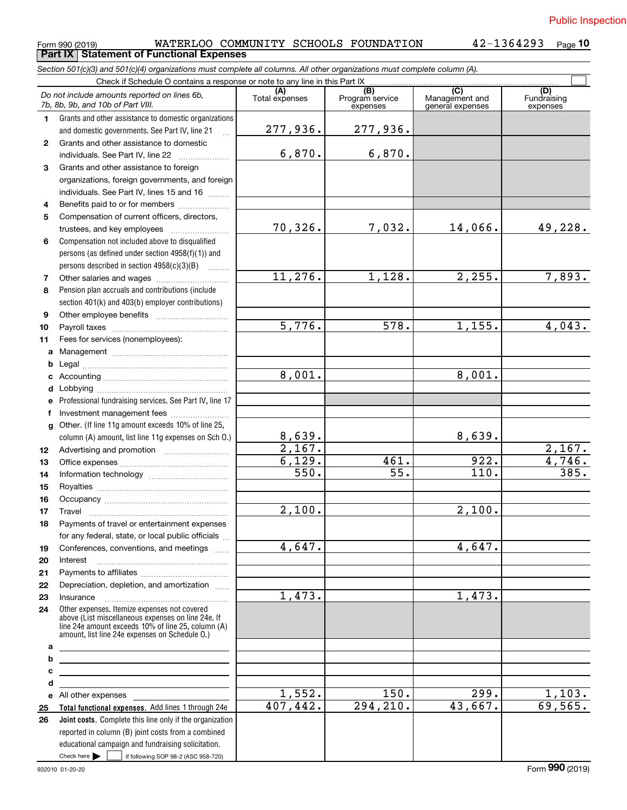**10**

Form 990 (2019) WATERLOO COMMUNITY SCHOOLS FOUNDATION 42-1364293 <sub>Page</sub><br>Part IX | Statement of Functional Expenses

*Section 501(c)(3) and 501(c)(4) organizations must complete all columns. All other organizations must complete column (A).*

|              | Check if Schedule O contains a response or note to any line in this Part IX                                                                                                                                |                                                      |           |                                                      |                                |
|--------------|------------------------------------------------------------------------------------------------------------------------------------------------------------------------------------------------------------|------------------------------------------------------|-----------|------------------------------------------------------|--------------------------------|
|              | Do not include amounts reported on lines 6b,<br>7b, 8b, 9b, and 10b of Part VIII.                                                                                                                          | (B)<br>Program service<br>Total expenses<br>expenses |           | $\overline{C}$<br>Management and<br>general expenses | (D)<br>Fundraising<br>expenses |
| 1.           | Grants and other assistance to domestic organizations                                                                                                                                                      |                                                      |           |                                                      |                                |
|              | and domestic governments. See Part IV, line 21                                                                                                                                                             | 277,936.                                             | 277,936.  |                                                      |                                |
| $\mathbf{2}$ | Grants and other assistance to domestic                                                                                                                                                                    |                                                      |           |                                                      |                                |
|              | individuals. See Part IV, line 22                                                                                                                                                                          | 6,870.                                               | 6,870.    |                                                      |                                |
| 3            | Grants and other assistance to foreign                                                                                                                                                                     |                                                      |           |                                                      |                                |
|              | organizations, foreign governments, and foreign                                                                                                                                                            |                                                      |           |                                                      |                                |
|              | individuals. See Part IV, lines 15 and 16                                                                                                                                                                  |                                                      |           |                                                      |                                |
| 4            | Benefits paid to or for members                                                                                                                                                                            |                                                      |           |                                                      |                                |
| 5            | Compensation of current officers, directors,                                                                                                                                                               |                                                      |           |                                                      |                                |
|              | trustees, and key employees                                                                                                                                                                                | 70,326.                                              | 7,032.    | 14,066.                                              | 49,228.                        |
| 6            | Compensation not included above to disqualified                                                                                                                                                            |                                                      |           |                                                      |                                |
|              | persons (as defined under section 4958(f)(1)) and                                                                                                                                                          |                                                      |           |                                                      |                                |
|              | persons described in section 4958(c)(3)(B)                                                                                                                                                                 |                                                      |           |                                                      |                                |
| 7            | Other salaries and wages                                                                                                                                                                                   | 11,276.                                              | 1,128.    | 2,255.                                               | 7,893.                         |
| 8            | Pension plan accruals and contributions (include                                                                                                                                                           |                                                      |           |                                                      |                                |
|              | section 401(k) and 403(b) employer contributions)                                                                                                                                                          |                                                      |           |                                                      |                                |
| 9            |                                                                                                                                                                                                            |                                                      |           |                                                      |                                |
| 10           |                                                                                                                                                                                                            | 5,776.                                               | 578.      | 1,155.                                               | 4,043.                         |
| 11           | Fees for services (nonemployees):                                                                                                                                                                          |                                                      |           |                                                      |                                |
| а            |                                                                                                                                                                                                            |                                                      |           |                                                      |                                |
| b            |                                                                                                                                                                                                            |                                                      |           |                                                      |                                |
| с            |                                                                                                                                                                                                            | 8,001.                                               |           | 8,001.                                               |                                |
| d            |                                                                                                                                                                                                            |                                                      |           |                                                      |                                |
| е            | Professional fundraising services. See Part IV, line 17                                                                                                                                                    |                                                      |           |                                                      |                                |
| f            | Investment management fees                                                                                                                                                                                 |                                                      |           |                                                      |                                |
| g            | Other. (If line 11g amount exceeds 10% of line 25,                                                                                                                                                         |                                                      |           |                                                      |                                |
|              | column (A) amount, list line 11g expenses on Sch O.)                                                                                                                                                       | 8,639.                                               |           | 8,639.                                               |                                |
| 12           |                                                                                                                                                                                                            | $\overline{2,167}$ .                                 |           |                                                      | 2,167.                         |
| 13           |                                                                                                                                                                                                            | 6,129.                                               | 461.      | 922.                                                 | 4,746.                         |
| 14           |                                                                                                                                                                                                            | 550.                                                 | 55.       | 110.                                                 | 385.                           |
| 15           |                                                                                                                                                                                                            |                                                      |           |                                                      |                                |
| 16           |                                                                                                                                                                                                            |                                                      |           |                                                      |                                |
| 17           | Travel                                                                                                                                                                                                     | 2,100.                                               |           | 2,100.                                               |                                |
| 18           | Payments of travel or entertainment expenses                                                                                                                                                               |                                                      |           |                                                      |                                |
|              | for any federal, state, or local public officials                                                                                                                                                          |                                                      |           |                                                      |                                |
| 19           | Conferences, conventions, and meetings                                                                                                                                                                     | 4,647.                                               |           | 4,647.                                               |                                |
| 20           | Interest                                                                                                                                                                                                   |                                                      |           |                                                      |                                |
| 21           |                                                                                                                                                                                                            |                                                      |           |                                                      |                                |
| 22           | Depreciation, depletion, and amortization                                                                                                                                                                  |                                                      |           |                                                      |                                |
| 23           | Insurance                                                                                                                                                                                                  | 1,473.                                               |           | 1,473.                                               |                                |
| 24           | Other expenses. Itemize expenses not covered<br>above (List miscellaneous expenses on line 24e. If<br>line 24e amount exceeds 10% of line 25, column (A)<br>amount, list line 24e expenses on Schedule 0.) |                                                      |           |                                                      |                                |
| а            | <u> 1989 - Johann Barn, mars ann an t-Amhain Aonaich an t-Aonaich an t-Aonaich ann an t-Aonaich ann an t-Aonaich</u>                                                                                       |                                                      |           |                                                      |                                |
| b            |                                                                                                                                                                                                            |                                                      |           |                                                      |                                |
| c            | <u> 1980 - Johann Barbara, martin amerikan personal (</u>                                                                                                                                                  |                                                      |           |                                                      |                                |
| d            |                                                                                                                                                                                                            |                                                      |           |                                                      |                                |
| е            | All other expenses                                                                                                                                                                                         | 1,552.                                               | 150.      | 299.                                                 | $\frac{1,103.}{69,565.}$       |
| 25           | Total functional expenses. Add lines 1 through 24e                                                                                                                                                         | 407, 442.                                            | 294, 210. | 43,667.                                              |                                |
| 26           | Joint costs. Complete this line only if the organization                                                                                                                                                   |                                                      |           |                                                      |                                |
|              | reported in column (B) joint costs from a combined                                                                                                                                                         |                                                      |           |                                                      |                                |
|              | educational campaign and fundraising solicitation.                                                                                                                                                         |                                                      |           |                                                      |                                |
|              | Check here $\blacktriangleright$<br>if following SOP 98-2 (ASC 958-720)                                                                                                                                    |                                                      |           |                                                      |                                |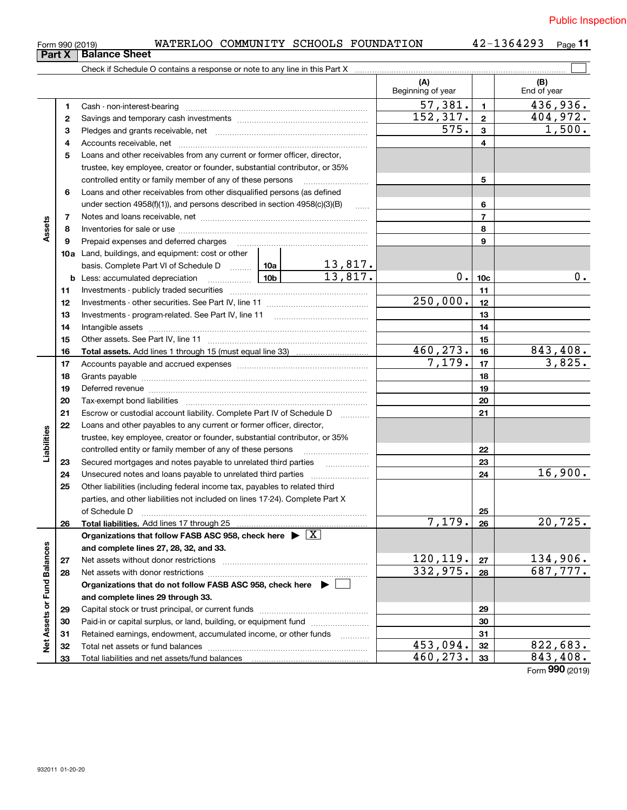| Form 990 (2019) |  |  |
|-----------------|--|--|
|                 |  |  |

### $_{\rm Form}$   $_{990}$  (2019) <code>WATERLOO COMMUNITY SCHOOLS FOUNDATION</code>  $42$  –  $1364293$   $_{\rm Page}$

**11**

|                             |              | <b>Balance Sheet</b>                                                                                                                                                                                                           |                         |                           |                          |                 |                             |
|-----------------------------|--------------|--------------------------------------------------------------------------------------------------------------------------------------------------------------------------------------------------------------------------------|-------------------------|---------------------------|--------------------------|-----------------|-----------------------------|
|                             | Part X       |                                                                                                                                                                                                                                |                         |                           |                          |                 |                             |
|                             |              |                                                                                                                                                                                                                                |                         |                           | (A)<br>Beginning of year |                 | (B)<br>End of year          |
|                             | 1            |                                                                                                                                                                                                                                |                         |                           | 57,381.                  | $\mathbf{1}$    | 436,936.                    |
|                             | $\mathbf{2}$ |                                                                                                                                                                                                                                |                         |                           | 152, 317.                | $\mathbf{2}$    | 404,972.                    |
|                             | З            |                                                                                                                                                                                                                                |                         |                           | 575.                     | $\mathbf{3}$    | 1,500.                      |
|                             | 4            |                                                                                                                                                                                                                                |                         |                           |                          | 4               |                             |
|                             | 5            | Loans and other receivables from any current or former officer, director,                                                                                                                                                      |                         |                           |                          |                 |                             |
|                             |              | trustee, key employee, creator or founder, substantial contributor, or 35%                                                                                                                                                     |                         |                           |                          |                 |                             |
|                             |              | controlled entity or family member of any of these persons                                                                                                                                                                     |                         |                           |                          | 5               |                             |
|                             | 6            | Loans and other receivables from other disqualified persons (as defined                                                                                                                                                        |                         |                           |                          |                 |                             |
|                             |              | under section 4958(f)(1)), and persons described in section 4958(c)(3)(B)                                                                                                                                                      |                         |                           |                          | 6               |                             |
|                             | 7            |                                                                                                                                                                                                                                |                         |                           |                          | $\overline{7}$  |                             |
| Assets                      | 8            |                                                                                                                                                                                                                                |                         |                           |                          | 8               |                             |
|                             | 9            | Prepaid expenses and deferred charges                                                                                                                                                                                          |                         |                           |                          | 9               |                             |
|                             |              | 10a Land, buildings, and equipment: cost or other                                                                                                                                                                              |                         |                           |                          |                 |                             |
|                             |              | basis. Complete Part VI of Schedule D  10a   The Complete Part VI of Schedule D                                                                                                                                                |                         | $\frac{13,817.}{13,817.}$ |                          |                 |                             |
|                             |              |                                                                                                                                                                                                                                |                         |                           | 0.                       | 10 <sub>c</sub> | 0.                          |
|                             | 11           |                                                                                                                                                                                                                                |                         |                           |                          | 11              |                             |
|                             | 12           |                                                                                                                                                                                                                                |                         |                           | 250,000.                 | 12              |                             |
|                             | 13           |                                                                                                                                                                                                                                |                         |                           |                          | 13              |                             |
|                             | 14           |                                                                                                                                                                                                                                |                         |                           |                          | 14              |                             |
|                             | 15           |                                                                                                                                                                                                                                |                         |                           | 15                       |                 |                             |
|                             | 16           |                                                                                                                                                                                                                                | $\overline{460}$ , 273. | 16                        | 843,408.                 |                 |                             |
|                             | 17           |                                                                                                                                                                                                                                | 7,179.                  | 17                        | 3,825.                   |                 |                             |
|                             | 18           |                                                                                                                                                                                                                                |                         | 18                        |                          |                 |                             |
|                             | 19           | Deferred revenue material contracts and a contract of the contract of the contract of the contract of the contract of the contract of the contract of the contract of the contract of the contract of the contract of the cont |                         | 19                        |                          |                 |                             |
|                             | 20           |                                                                                                                                                                                                                                |                         |                           |                          | 20              |                             |
|                             | 21           | Escrow or custodial account liability. Complete Part IV of Schedule D                                                                                                                                                          |                         |                           |                          | 21              |                             |
|                             | 22           | Loans and other payables to any current or former officer, director,                                                                                                                                                           |                         |                           |                          |                 |                             |
| Liabilities                 |              | trustee, key employee, creator or founder, substantial contributor, or 35%                                                                                                                                                     |                         |                           |                          |                 |                             |
|                             |              | controlled entity or family member of any of these persons                                                                                                                                                                     |                         | 22                        |                          |                 |                             |
|                             | 23           | Secured mortgages and notes payable to unrelated third parties                                                                                                                                                                 |                         |                           | 23                       |                 |                             |
|                             | 24           |                                                                                                                                                                                                                                |                         |                           | 24                       | 16,900.         |                             |
|                             | 25           | Other liabilities (including federal income tax, payables to related third                                                                                                                                                     |                         |                           |                          |                 |                             |
|                             |              | parties, and other liabilities not included on lines 17-24). Complete Part X                                                                                                                                                   |                         |                           |                          |                 |                             |
|                             |              | of Schedule D                                                                                                                                                                                                                  |                         |                           |                          | 25              |                             |
|                             | 26           | Total liabilities. Add lines 17 through 25                                                                                                                                                                                     |                         |                           | 7,179.                   | 26              | 20,725.                     |
|                             |              | Organizations that follow FASB ASC 958, check here $\blacktriangleright \lfloor X \rfloor$                                                                                                                                     |                         |                           |                          |                 |                             |
|                             |              | and complete lines 27, 28, 32, and 33.                                                                                                                                                                                         |                         |                           |                          |                 |                             |
|                             | 27           | Net assets without donor restrictions                                                                                                                                                                                          |                         | 120,119.                  | 27                       | 134,906.        |                             |
|                             | 28           |                                                                                                                                                                                                                                |                         |                           | 332,975.                 | 28              | 687,777.                    |
|                             |              | Organizations that do not follow FASB ASC 958, check here ▶ □                                                                                                                                                                  |                         |                           |                          |                 |                             |
|                             |              | and complete lines 29 through 33.                                                                                                                                                                                              |                         |                           |                          |                 |                             |
|                             | 29           |                                                                                                                                                                                                                                |                         |                           |                          | 29              |                             |
|                             | 30           | Paid-in or capital surplus, or land, building, or equipment fund                                                                                                                                                               |                         |                           |                          | 30              |                             |
| Net Assets or Fund Balances | 31           | Retained earnings, endowment, accumulated income, or other funds                                                                                                                                                               |                         | 1.1.1.1.1.1.1.1.1.1       |                          | 31              |                             |
|                             | 32           |                                                                                                                                                                                                                                |                         |                           | 453,094.                 | 32              | 822,683.                    |
|                             | 33           |                                                                                                                                                                                                                                |                         |                           | 460,273.                 | 33              | 843,408.<br>Form 990 (2019) |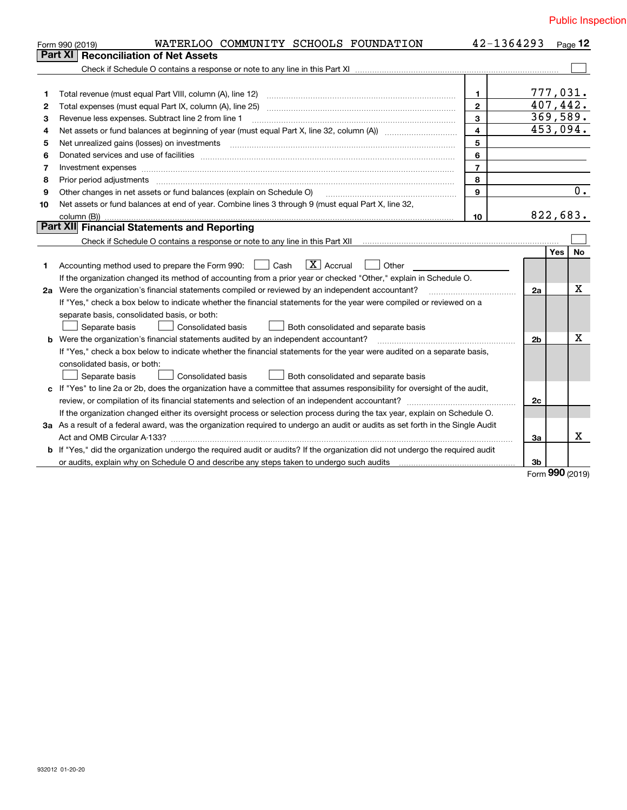|         | WATERLOO COMMUNITY SCHOOLS FOUNDATION<br>Form 990 (2019)                                                                        |                         | 42-1364293     |      | $P$ age 12 |
|---------|---------------------------------------------------------------------------------------------------------------------------------|-------------------------|----------------|------|------------|
| Part XI | <b>Reconciliation of Net Assets</b>                                                                                             |                         |                |      |            |
|         |                                                                                                                                 |                         |                |      |            |
|         |                                                                                                                                 |                         |                |      |            |
| 1       |                                                                                                                                 | $\mathbf{1}$            | 777,031.       |      |            |
| 2       |                                                                                                                                 | $\mathbf{2}$            | 407, 442.      |      |            |
| 3       | Revenue less expenses. Subtract line 2 from line 1                                                                              | 3                       | 369,589.       |      |            |
| 4       |                                                                                                                                 | $\overline{\mathbf{4}}$ | 453,094.       |      |            |
| 5       |                                                                                                                                 | 5                       |                |      |            |
| 6       |                                                                                                                                 | 6                       |                |      |            |
| 7       | Investment expenses www.communication.com/www.communication.com/www.communication.com/www.com                                   | $\overline{7}$          |                |      |            |
| 8       | Prior period adjustments www.communication.communication.com/news/communication.com/news/communication.com/news/                | 8                       |                |      |            |
| 9       | Other changes in net assets or fund balances (explain on Schedule O)                                                            | 9                       |                |      | $0$ .      |
| 10      | Net assets or fund balances at end of year. Combine lines 3 through 9 (must equal Part X, line 32,                              |                         |                |      |            |
|         |                                                                                                                                 | 10                      | 822,683.       |      |            |
|         | Part XII Financial Statements and Reporting                                                                                     |                         |                |      |            |
|         |                                                                                                                                 |                         |                |      |            |
|         |                                                                                                                                 |                         |                | Yes. | No         |
| 1       | $\boxed{\mathbf{X}}$ Accrual<br>Cash<br>Other<br>Accounting method used to prepare the Form 990:                                |                         |                |      |            |
|         | If the organization changed its method of accounting from a prior year or checked "Other," explain in Schedule O.               |                         |                |      |            |
|         | 2a Were the organization's financial statements compiled or reviewed by an independent accountant?                              |                         | 2a             |      | X          |
|         | If "Yes," check a box below to indicate whether the financial statements for the year were compiled or reviewed on a            |                         |                |      |            |
|         | separate basis, consolidated basis, or both:                                                                                    |                         |                |      |            |
|         | Separate basis<br><b>Consolidated basis</b><br>Both consolidated and separate basis                                             |                         |                |      |            |
|         |                                                                                                                                 |                         | 2 <sub>b</sub> |      | X          |
|         | If "Yes," check a box below to indicate whether the financial statements for the year were audited on a separate basis,         |                         |                |      |            |
|         | consolidated basis, or both:                                                                                                    |                         |                |      |            |
|         | Separate basis<br><b>Consolidated basis</b><br>Both consolidated and separate basis                                             |                         |                |      |            |
|         | c If "Yes" to line 2a or 2b, does the organization have a committee that assumes responsibility for oversight of the audit,     |                         |                |      |            |
|         |                                                                                                                                 |                         | 2c             |      |            |
|         | If the organization changed either its oversight process or selection process during the tax year, explain on Schedule O.       |                         |                |      |            |
|         | 3a As a result of a federal award, was the organization required to undergo an audit or audits as set forth in the Single Audit |                         |                |      |            |
|         |                                                                                                                                 |                         | За             |      | x          |
|         | b If "Yes," did the organization undergo the required audit or audits? If the organization did not undergo the required audit   |                         |                |      |            |
|         |                                                                                                                                 |                         | 3b             |      |            |

Form (2019) **990**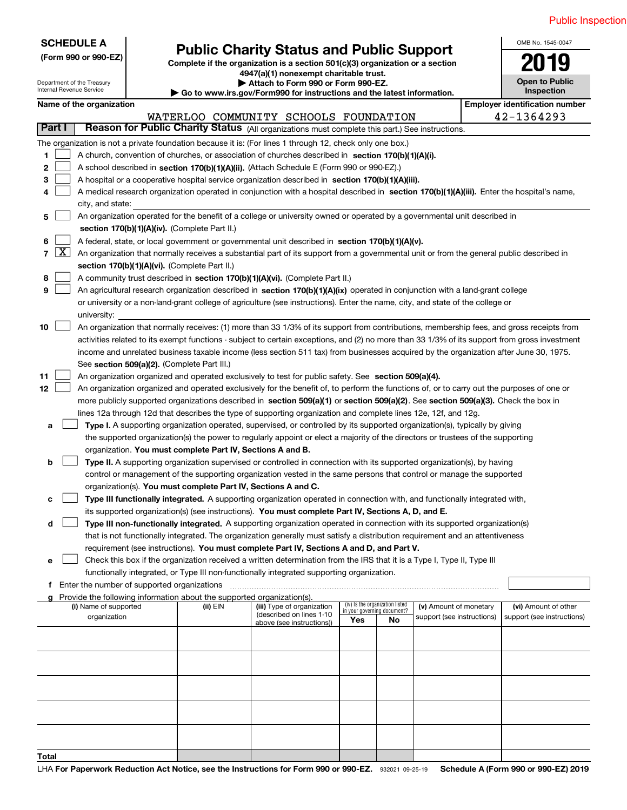|                                                                                                                                     |                                                                                                                                                                                                                                                                |                                                                                                                                                                                                                         |  |                                                                        |                                                                                                                                               |                             |                                            |                            |  | PUDIIC III:                           |
|-------------------------------------------------------------------------------------------------------------------------------------|----------------------------------------------------------------------------------------------------------------------------------------------------------------------------------------------------------------------------------------------------------------|-------------------------------------------------------------------------------------------------------------------------------------------------------------------------------------------------------------------------|--|------------------------------------------------------------------------|-----------------------------------------------------------------------------------------------------------------------------------------------|-----------------------------|--------------------------------------------|----------------------------|--|---------------------------------------|
|                                                                                                                                     |                                                                                                                                                                                                                                                                | <b>SCHEDULE A</b><br><b>Public Charity Status and Public Support</b><br>(Form 990 or 990-EZ)<br>Complete if the organization is a section 501(c)(3) organization or a section<br>4947(a)(1) nonexempt charitable trust. |  |                                                                        |                                                                                                                                               |                             | OMB No. 1545-0047<br><b>Open to Public</b> |                            |  |                                       |
|                                                                                                                                     |                                                                                                                                                                                                                                                                | Department of the Treasury<br>Internal Revenue Service                                                                                                                                                                  |  |                                                                        | Attach to Form 990 or Form 990-EZ.<br>Go to www.irs.gov/Form990 for instructions and the latest information.                                  |                             |                                            |                            |  | Inspection                            |
|                                                                                                                                     |                                                                                                                                                                                                                                                                | Name of the organization                                                                                                                                                                                                |  |                                                                        |                                                                                                                                               |                             |                                            |                            |  | <b>Employer identification number</b> |
|                                                                                                                                     |                                                                                                                                                                                                                                                                |                                                                                                                                                                                                                         |  |                                                                        | WATERLOO COMMUNITY SCHOOLS FOUNDATION                                                                                                         |                             |                                            |                            |  | 42-1364293                            |
| Part I                                                                                                                              |                                                                                                                                                                                                                                                                |                                                                                                                                                                                                                         |  |                                                                        | Reason for Public Charity Status (All organizations must complete this part.) See instructions.                                               |                             |                                            |                            |  |                                       |
|                                                                                                                                     |                                                                                                                                                                                                                                                                |                                                                                                                                                                                                                         |  |                                                                        | The organization is not a private foundation because it is: (For lines 1 through 12, check only one box.)                                     |                             |                                            |                            |  |                                       |
| 1                                                                                                                                   |                                                                                                                                                                                                                                                                |                                                                                                                                                                                                                         |  |                                                                        | A church, convention of churches, or association of churches described in section 170(b)(1)(A)(i).                                            |                             |                                            |                            |  |                                       |
| 2                                                                                                                                   |                                                                                                                                                                                                                                                                |                                                                                                                                                                                                                         |  |                                                                        | A school described in section 170(b)(1)(A)(ii). (Attach Schedule E (Form 990 or 990-EZ).)                                                     |                             |                                            |                            |  |                                       |
| 3                                                                                                                                   |                                                                                                                                                                                                                                                                |                                                                                                                                                                                                                         |  |                                                                        | A hospital or a cooperative hospital service organization described in section 170(b)(1)(A)(iii).                                             |                             |                                            |                            |  |                                       |
| 4                                                                                                                                   |                                                                                                                                                                                                                                                                |                                                                                                                                                                                                                         |  |                                                                        | A medical research organization operated in conjunction with a hospital described in section 170(b)(1)(A)(iii). Enter the hospital's name,    |                             |                                            |                            |  |                                       |
|                                                                                                                                     |                                                                                                                                                                                                                                                                | city, and state:                                                                                                                                                                                                        |  |                                                                        |                                                                                                                                               |                             |                                            |                            |  |                                       |
| 5                                                                                                                                   |                                                                                                                                                                                                                                                                |                                                                                                                                                                                                                         |  |                                                                        | An organization operated for the benefit of a college or university owned or operated by a governmental unit described in                     |                             |                                            |                            |  |                                       |
|                                                                                                                                     |                                                                                                                                                                                                                                                                |                                                                                                                                                                                                                         |  | section 170(b)(1)(A)(iv). (Complete Part II.)                          |                                                                                                                                               |                             |                                            |                            |  |                                       |
| 6                                                                                                                                   |                                                                                                                                                                                                                                                                |                                                                                                                                                                                                                         |  |                                                                        | A federal, state, or local government or governmental unit described in section 170(b)(1)(A)(v).                                              |                             |                                            |                            |  |                                       |
| $\overline{7}$                                                                                                                      | $\mathbf{X}$                                                                                                                                                                                                                                                   |                                                                                                                                                                                                                         |  |                                                                        | An organization that normally receives a substantial part of its support from a governmental unit or from the general public described in     |                             |                                            |                            |  |                                       |
|                                                                                                                                     |                                                                                                                                                                                                                                                                |                                                                                                                                                                                                                         |  | section 170(b)(1)(A)(vi). (Complete Part II.)                          |                                                                                                                                               |                             |                                            |                            |  |                                       |
| 8                                                                                                                                   |                                                                                                                                                                                                                                                                |                                                                                                                                                                                                                         |  |                                                                        | A community trust described in section 170(b)(1)(A)(vi). (Complete Part II.)                                                                  |                             |                                            |                            |  |                                       |
| 9                                                                                                                                   |                                                                                                                                                                                                                                                                |                                                                                                                                                                                                                         |  |                                                                        | An agricultural research organization described in section 170(b)(1)(A)(ix) operated in conjunction with a land-grant college                 |                             |                                            |                            |  |                                       |
|                                                                                                                                     |                                                                                                                                                                                                                                                                |                                                                                                                                                                                                                         |  |                                                                        | or university or a non-land-grant college of agriculture (see instructions). Enter the name, city, and state of the college or                |                             |                                            |                            |  |                                       |
|                                                                                                                                     |                                                                                                                                                                                                                                                                | university:                                                                                                                                                                                                             |  |                                                                        |                                                                                                                                               |                             |                                            |                            |  |                                       |
| 10                                                                                                                                  |                                                                                                                                                                                                                                                                |                                                                                                                                                                                                                         |  |                                                                        | An organization that normally receives: (1) more than 33 1/3% of its support from contributions, membership fees, and gross receipts from     |                             |                                            |                            |  |                                       |
|                                                                                                                                     |                                                                                                                                                                                                                                                                |                                                                                                                                                                                                                         |  |                                                                        | activities related to its exempt functions - subject to certain exceptions, and (2) no more than 33 1/3% of its support from gross investment |                             |                                            |                            |  |                                       |
|                                                                                                                                     |                                                                                                                                                                                                                                                                |                                                                                                                                                                                                                         |  |                                                                        | income and unrelated business taxable income (less section 511 tax) from businesses acquired by the organization after June 30, 1975.         |                             |                                            |                            |  |                                       |
|                                                                                                                                     |                                                                                                                                                                                                                                                                |                                                                                                                                                                                                                         |  | See section 509(a)(2). (Complete Part III.)                            |                                                                                                                                               |                             |                                            |                            |  |                                       |
| 11                                                                                                                                  |                                                                                                                                                                                                                                                                |                                                                                                                                                                                                                         |  |                                                                        | An organization organized and operated exclusively to test for public safety. See section 509(a)(4).                                          |                             |                                            |                            |  |                                       |
| 12                                                                                                                                  |                                                                                                                                                                                                                                                                |                                                                                                                                                                                                                         |  |                                                                        | An organization organized and operated exclusively for the benefit of, to perform the functions of, or to carry out the purposes of one or    |                             |                                            |                            |  |                                       |
|                                                                                                                                     |                                                                                                                                                                                                                                                                |                                                                                                                                                                                                                         |  |                                                                        | more publicly supported organizations described in section 509(a)(1) or section 509(a)(2). See section 509(a)(3). Check the box in            |                             |                                            |                            |  |                                       |
|                                                                                                                                     |                                                                                                                                                                                                                                                                |                                                                                                                                                                                                                         |  |                                                                        | lines 12a through 12d that describes the type of supporting organization and complete lines 12e, 12f, and 12g.                                |                             |                                            |                            |  |                                       |
| а                                                                                                                                   |                                                                                                                                                                                                                                                                |                                                                                                                                                                                                                         |  |                                                                        | Type I. A supporting organization operated, supervised, or controlled by its supported organization(s), typically by giving                   |                             |                                            |                            |  |                                       |
|                                                                                                                                     |                                                                                                                                                                                                                                                                |                                                                                                                                                                                                                         |  |                                                                        | the supported organization(s) the power to regularly appoint or elect a majority of the directors or trustees of the supporting               |                             |                                            |                            |  |                                       |
|                                                                                                                                     |                                                                                                                                                                                                                                                                |                                                                                                                                                                                                                         |  | organization. You must complete Part IV, Sections A and B.             |                                                                                                                                               |                             |                                            |                            |  |                                       |
| b<br><b>Type II.</b> A supporting organization supervised or controlled in connection with its supported organization(s), by having |                                                                                                                                                                                                                                                                |                                                                                                                                                                                                                         |  |                                                                        |                                                                                                                                               |                             |                                            |                            |  |                                       |
|                                                                                                                                     |                                                                                                                                                                                                                                                                |                                                                                                                                                                                                                         |  |                                                                        | control or management of the supporting organization vested in the same persons that control or manage the supported                          |                             |                                            |                            |  |                                       |
|                                                                                                                                     |                                                                                                                                                                                                                                                                |                                                                                                                                                                                                                         |  | organization(s). You must complete Part IV, Sections A and C.          |                                                                                                                                               |                             |                                            |                            |  |                                       |
| с                                                                                                                                   |                                                                                                                                                                                                                                                                |                                                                                                                                                                                                                         |  |                                                                        | Type III functionally integrated. A supporting organization operated in connection with, and functionally integrated with,                    |                             |                                            |                            |  |                                       |
|                                                                                                                                     |                                                                                                                                                                                                                                                                |                                                                                                                                                                                                                         |  |                                                                        | its supported organization(s) (see instructions). You must complete Part IV, Sections A, D, and E.                                            |                             |                                            |                            |  |                                       |
|                                                                                                                                     | Type III non-functionally integrated. A supporting organization operated in connection with its supported organization(s)<br>d<br>that is not functionally integrated. The organization generally must satisfy a distribution requirement and an attentiveness |                                                                                                                                                                                                                         |  |                                                                        |                                                                                                                                               |                             |                                            |                            |  |                                       |
|                                                                                                                                     |                                                                                                                                                                                                                                                                |                                                                                                                                                                                                                         |  |                                                                        | requirement (see instructions). You must complete Part IV, Sections A and D, and Part V.                                                      |                             |                                            |                            |  |                                       |
|                                                                                                                                     |                                                                                                                                                                                                                                                                |                                                                                                                                                                                                                         |  |                                                                        | Check this box if the organization received a written determination from the IRS that it is a Type I, Type II, Type III                       |                             |                                            |                            |  |                                       |
| е                                                                                                                                   |                                                                                                                                                                                                                                                                |                                                                                                                                                                                                                         |  |                                                                        | functionally integrated, or Type III non-functionally integrated supporting organization.                                                     |                             |                                            |                            |  |                                       |
| t                                                                                                                                   |                                                                                                                                                                                                                                                                | Enter the number of supported organizations                                                                                                                                                                             |  |                                                                        |                                                                                                                                               |                             |                                            |                            |  |                                       |
|                                                                                                                                     |                                                                                                                                                                                                                                                                |                                                                                                                                                                                                                         |  | Provide the following information about the supported organization(s). |                                                                                                                                               |                             |                                            |                            |  |                                       |
|                                                                                                                                     |                                                                                                                                                                                                                                                                | (i) Name of supported                                                                                                                                                                                                   |  | (ii) EIN                                                               | (iii) Type of organization                                                                                                                    | in your governing document? | (iv) Is the organization listed            | (v) Amount of monetary     |  | (vi) Amount of other                  |
|                                                                                                                                     |                                                                                                                                                                                                                                                                | organization                                                                                                                                                                                                            |  |                                                                        | (described on lines 1-10<br>above (see instructions))                                                                                         | Yes                         | No                                         | support (see instructions) |  | support (see instructions)            |
|                                                                                                                                     |                                                                                                                                                                                                                                                                |                                                                                                                                                                                                                         |  |                                                                        |                                                                                                                                               |                             |                                            |                            |  |                                       |
|                                                                                                                                     |                                                                                                                                                                                                                                                                |                                                                                                                                                                                                                         |  |                                                                        |                                                                                                                                               |                             |                                            |                            |  |                                       |

**Total**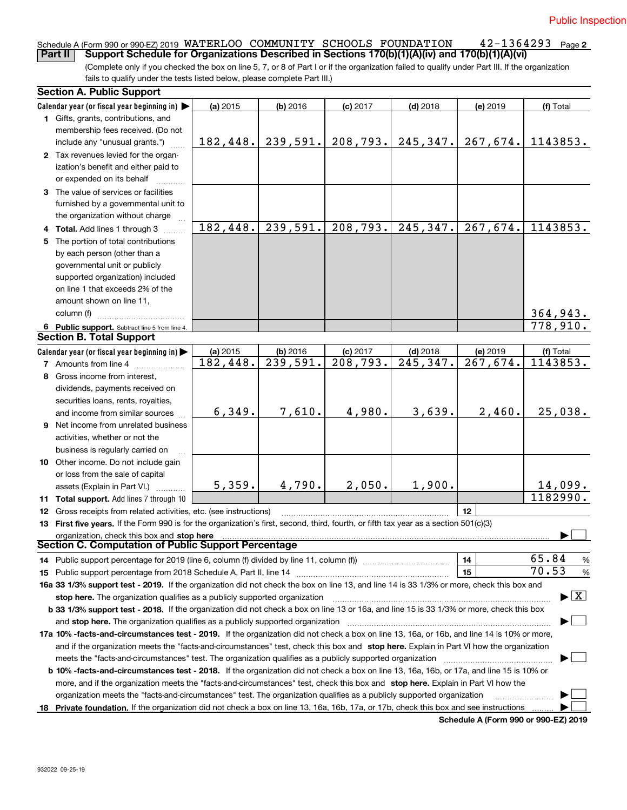**2** Schedule A (Form 990 or 990-EZ) 2019 WATERLOO COMMUNITY SCHOOLS FOUNDATION 42–1364293 Page <br>Part II L. Support Schedule for Organizations Described in Sections 170(b)(1)(A)(v) and 170(b)(1)(A)(vi)

(Complete only if you checked the box on line 5, 7, or 8 of Part I or if the organization failed to qualify under Part III. If the organization fails to qualify under the tests listed below, please complete Part III.) **Part II Support Schedule for Organizations Described in Sections 170(b)(1)(A)(iv) and 170(b)(1)(A)(vi)**

|    | <b>Section A. Public Support</b>                                                                                                               |          |                       |                        |                         |                                             |                                          |
|----|------------------------------------------------------------------------------------------------------------------------------------------------|----------|-----------------------|------------------------|-------------------------|---------------------------------------------|------------------------------------------|
|    | Calendar year (or fiscal year beginning in)                                                                                                    | (a) 2015 | $(b)$ 2016            | $(c)$ 2017             | $(d)$ 2018              | (e) 2019                                    | (f) Total                                |
|    | 1 Gifts, grants, contributions, and                                                                                                            |          |                       |                        |                         |                                             |                                          |
|    | membership fees received. (Do not                                                                                                              |          |                       |                        |                         |                                             |                                          |
|    | include any "unusual grants.")                                                                                                                 | 182,448. | 239,591.              | 208, 793.              | 245, 347.               | 267,674.                                    | 1143853.                                 |
|    | 2 Tax revenues levied for the organ-                                                                                                           |          |                       |                        |                         |                                             |                                          |
|    | ization's benefit and either paid to                                                                                                           |          |                       |                        |                         |                                             |                                          |
|    | or expended on its behalf                                                                                                                      |          |                       |                        |                         |                                             |                                          |
|    | 3 The value of services or facilities                                                                                                          |          |                       |                        |                         |                                             |                                          |
|    | furnished by a governmental unit to                                                                                                            |          |                       |                        |                         |                                             |                                          |
|    | the organization without charge                                                                                                                |          |                       |                        |                         |                                             |                                          |
|    | 4 Total. Add lines 1 through 3                                                                                                                 | 182,448. | 239,591.              | 208,793.               | $\overline{245}$ , 347. | 267,674.                                    | 1143853.                                 |
|    | 5 The portion of total contributions                                                                                                           |          |                       |                        |                         |                                             |                                          |
|    | by each person (other than a                                                                                                                   |          |                       |                        |                         |                                             |                                          |
|    | governmental unit or publicly                                                                                                                  |          |                       |                        |                         |                                             |                                          |
|    | supported organization) included                                                                                                               |          |                       |                        |                         |                                             |                                          |
|    | on line 1 that exceeds 2% of the                                                                                                               |          |                       |                        |                         |                                             |                                          |
|    | amount shown on line 11,                                                                                                                       |          |                       |                        |                         |                                             |                                          |
|    | column (f)                                                                                                                                     |          |                       |                        |                         |                                             |                                          |
|    | 6 Public support. Subtract line 5 from line 4.                                                                                                 |          |                       |                        |                         |                                             | 364,943.<br>778,910.                     |
|    | <b>Section B. Total Support</b>                                                                                                                |          |                       |                        |                         |                                             |                                          |
|    | Calendar year (or fiscal year beginning in)                                                                                                    | (a) 2015 | $(b)$ 2016            | $(c)$ 2017             | $(d)$ 2018              | (e) 2019                                    | (f) Total                                |
|    | <b>7</b> Amounts from line 4                                                                                                                   | 182,448. | $\overline{239,}591.$ | $\overline{208,793}$ . | $\overline{245, 347}$ . | 267,674.                                    | 1143853.                                 |
|    | 8 Gross income from interest,                                                                                                                  |          |                       |                        |                         |                                             |                                          |
|    | dividends, payments received on                                                                                                                |          |                       |                        |                         |                                             |                                          |
|    | securities loans, rents, royalties,                                                                                                            |          |                       |                        |                         |                                             |                                          |
|    | and income from similar sources                                                                                                                | 6,349.   | 7,610.                | 4,980.                 | 3,639.                  | 2,460.                                      | 25,038.                                  |
|    | 9 Net income from unrelated business                                                                                                           |          |                       |                        |                         |                                             |                                          |
|    | activities, whether or not the                                                                                                                 |          |                       |                        |                         |                                             |                                          |
|    | business is regularly carried on                                                                                                               |          |                       |                        |                         |                                             |                                          |
|    | 10 Other income. Do not include gain                                                                                                           |          |                       |                        |                         |                                             |                                          |
|    | or loss from the sale of capital                                                                                                               |          |                       |                        |                         |                                             |                                          |
|    | assets (Explain in Part VI.)                                                                                                                   | 5,359.   | 4,790.                | 2,050.                 | 1,900.                  |                                             |                                          |
|    | 11 Total support. Add lines 7 through 10                                                                                                       |          |                       |                        |                         |                                             | $\frac{14,099.}{1182990.}$               |
|    | 12 Gross receipts from related activities, etc. (see instructions)                                                                             |          |                       |                        |                         | 12                                          |                                          |
|    | 13 First five years. If the Form 990 is for the organization's first, second, third, fourth, or fifth tax year as a section 501(c)(3)          |          |                       |                        |                         |                                             |                                          |
|    | organization, check this box and stop here                                                                                                     |          |                       |                        |                         |                                             |                                          |
|    | Section C. Computation of Public Support Percentage                                                                                            |          |                       |                        |                         |                                             |                                          |
|    | 14 Public support percentage for 2019 (line 6, column (f) divided by line 11, column (f) <i>mummeronom</i>                                     |          |                       |                        |                         | 14                                          | 65.84<br>%                               |
|    |                                                                                                                                                |          |                       |                        |                         | 15                                          | 70.53<br>%                               |
|    | 16a 33 1/3% support test - 2019. If the organization did not check the box on line 13, and line 14 is 33 1/3% or more, check this box and      |          |                       |                        |                         |                                             |                                          |
|    | stop here. The organization qualifies as a publicly supported organization                                                                     |          |                       |                        |                         |                                             | $\blacktriangleright$ $\boxed{\text{X}}$ |
|    | b 33 1/3% support test - 2018. If the organization did not check a box on line 13 or 16a, and line 15 is 33 1/3% or more, check this box       |          |                       |                        |                         |                                             |                                          |
|    | and stop here. The organization qualifies as a publicly supported organization                                                                 |          |                       |                        |                         |                                             |                                          |
|    | 17a 10% -facts-and-circumstances test - 2019. If the organization did not check a box on line 13, 16a, or 16b, and line 14 is 10% or more,     |          |                       |                        |                         |                                             |                                          |
|    | and if the organization meets the "facts-and-circumstances" test, check this box and stop here. Explain in Part VI how the organization        |          |                       |                        |                         |                                             |                                          |
|    | meets the "facts-and-circumstances" test. The organization qualifies as a publicly supported organization                                      |          |                       |                        |                         |                                             |                                          |
|    | <b>b 10% -facts-and-circumstances test - 2018.</b> If the organization did not check a box on line 13, 16a, 16b, or 17a, and line 15 is 10% or |          |                       |                        |                         |                                             |                                          |
|    | more, and if the organization meets the "facts-and-circumstances" test, check this box and stop here. Explain in Part VI how the               |          |                       |                        |                         |                                             |                                          |
|    | organization meets the "facts-and-circumstances" test. The organization qualifies as a publicly supported organization                         |          |                       |                        |                         |                                             |                                          |
| 18 | Private foundation. If the organization did not check a box on line 13, 16a, 16b, 17a, or 17b, check this box and see instructions             |          |                       |                        |                         |                                             |                                          |
|    |                                                                                                                                                |          |                       |                        |                         | <b>Cohodulo A (Form 000 or 000 EZ) 2010</b> |                                          |

**Schedule A (Form 990 or 990-EZ) 2019**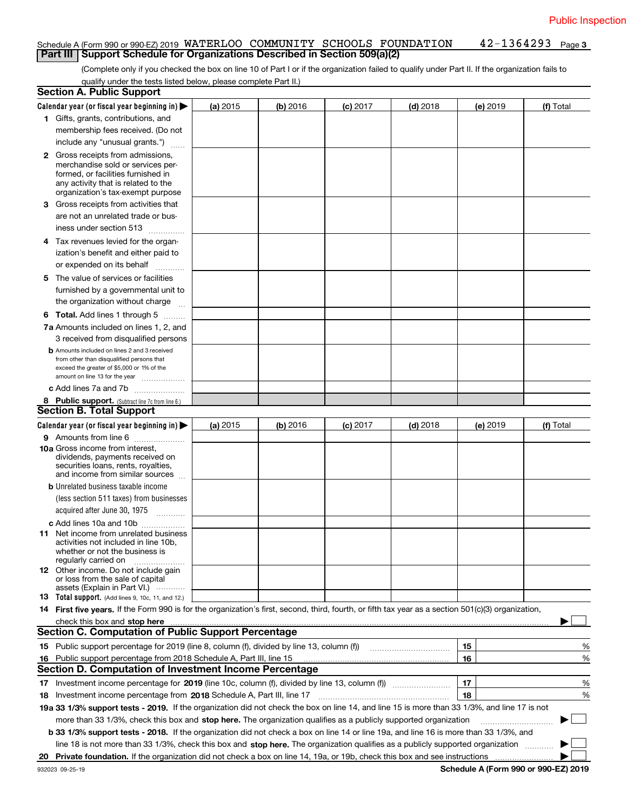#### **3** Schedule A (Form 990 or 990-EZ) 2019 WATERLOO COMMUNITY SCHOOLS FOUNDATION 42–1364293 Page<br>| Part III | Support Schedule for Organizations Described in Section 509(a)(2) **Part III** | Support Schedule for Organizations Described in Section 509(a)(2)

(Complete only if you checked the box on line 10 of Part I or if the organization failed to qualify under Part II. If the organization fails to qualify under the tests listed below, please complete Part II.)

|    | <b>Section A. Public Support</b>                                                                                                                                                                                               |          |          |            |            |          |                                      |
|----|--------------------------------------------------------------------------------------------------------------------------------------------------------------------------------------------------------------------------------|----------|----------|------------|------------|----------|--------------------------------------|
|    | Calendar year (or fiscal year beginning in) $\blacktriangleright$                                                                                                                                                              | (a) 2015 | (b) 2016 | $(c)$ 2017 | $(d)$ 2018 | (e) 2019 | (f) Total                            |
|    | 1 Gifts, grants, contributions, and                                                                                                                                                                                            |          |          |            |            |          |                                      |
|    | membership fees received. (Do not                                                                                                                                                                                              |          |          |            |            |          |                                      |
|    | include any "unusual grants.")                                                                                                                                                                                                 |          |          |            |            |          |                                      |
|    | <b>2</b> Gross receipts from admissions,<br>merchandise sold or services per-<br>formed, or facilities furnished in                                                                                                            |          |          |            |            |          |                                      |
|    | any activity that is related to the<br>organization's tax-exempt purpose                                                                                                                                                       |          |          |            |            |          |                                      |
|    | 3 Gross receipts from activities that                                                                                                                                                                                          |          |          |            |            |          |                                      |
|    | are not an unrelated trade or bus-                                                                                                                                                                                             |          |          |            |            |          |                                      |
|    | iness under section 513                                                                                                                                                                                                        |          |          |            |            |          |                                      |
|    | 4 Tax revenues levied for the organ-                                                                                                                                                                                           |          |          |            |            |          |                                      |
|    | ization's benefit and either paid to                                                                                                                                                                                           |          |          |            |            |          |                                      |
|    | or expended on its behalf<br>.                                                                                                                                                                                                 |          |          |            |            |          |                                      |
|    | 5 The value of services or facilities                                                                                                                                                                                          |          |          |            |            |          |                                      |
|    | furnished by a governmental unit to                                                                                                                                                                                            |          |          |            |            |          |                                      |
|    | the organization without charge                                                                                                                                                                                                |          |          |            |            |          |                                      |
|    | <b>6 Total.</b> Add lines 1 through 5                                                                                                                                                                                          |          |          |            |            |          |                                      |
|    | 7a Amounts included on lines 1, 2, and                                                                                                                                                                                         |          |          |            |            |          |                                      |
|    | 3 received from disqualified persons                                                                                                                                                                                           |          |          |            |            |          |                                      |
|    | <b>b</b> Amounts included on lines 2 and 3 received                                                                                                                                                                            |          |          |            |            |          |                                      |
|    | from other than disqualified persons that                                                                                                                                                                                      |          |          |            |            |          |                                      |
|    | exceed the greater of \$5,000 or 1% of the                                                                                                                                                                                     |          |          |            |            |          |                                      |
|    | amount on line 13 for the year                                                                                                                                                                                                 |          |          |            |            |          |                                      |
|    | c Add lines 7a and 7b                                                                                                                                                                                                          |          |          |            |            |          |                                      |
|    | 8 Public support. (Subtract line 7c from line 6.)<br><b>Section B. Total Support</b>                                                                                                                                           |          |          |            |            |          |                                      |
|    |                                                                                                                                                                                                                                |          |          |            |            |          |                                      |
|    | Calendar year (or fiscal year beginning in)                                                                                                                                                                                    | (a) 2015 | (b) 2016 | $(c)$ 2017 | $(d)$ 2018 | (e) 2019 | (f) Total                            |
|    | 9 Amounts from line 6                                                                                                                                                                                                          |          |          |            |            |          |                                      |
|    | 10a Gross income from interest,<br>dividends, payments received on<br>securities loans, rents, royalties,<br>and income from similar sources                                                                                   |          |          |            |            |          |                                      |
|    | <b>b</b> Unrelated business taxable income                                                                                                                                                                                     |          |          |            |            |          |                                      |
|    | (less section 511 taxes) from businesses                                                                                                                                                                                       |          |          |            |            |          |                                      |
|    | acquired after June 30, 1975                                                                                                                                                                                                   |          |          |            |            |          |                                      |
|    | c Add lines 10a and 10b                                                                                                                                                                                                        |          |          |            |            |          |                                      |
|    | 11 Net income from unrelated business<br>activities not included in line 10b,<br>whether or not the business is<br>regularly carried on                                                                                        |          |          |            |            |          |                                      |
|    | <b>12</b> Other income. Do not include gain<br>or loss from the sale of capital                                                                                                                                                |          |          |            |            |          |                                      |
|    | assets (Explain in Part VI.)<br>13 Total support. (Add lines 9, 10c, 11, and 12.)                                                                                                                                              |          |          |            |            |          |                                      |
|    | 14 First five years. If the Form 990 is for the organization's first, second, third, fourth, or fifth tax year as a section 501(c)(3) organization,                                                                            |          |          |            |            |          |                                      |
|    | check this box and stop here measurements are all the state of the state of the state of the state of the state of the state of the state of the state of the state of the state of the state of the state of the state of the |          |          |            |            |          |                                      |
|    | <b>Section C. Computation of Public Support Percentage</b>                                                                                                                                                                     |          |          |            |            |          |                                      |
|    | 15 Public support percentage for 2019 (line 8, column (f), divided by line 13, column (f))                                                                                                                                     |          |          |            |            | 15       | %                                    |
|    | 16 Public support percentage from 2018 Schedule A, Part III, line 15                                                                                                                                                           |          |          |            |            | 16       | %                                    |
|    | <b>Section D. Computation of Investment Income Percentage</b>                                                                                                                                                                  |          |          |            |            |          |                                      |
|    |                                                                                                                                                                                                                                |          |          |            |            |          |                                      |
|    | 17 Investment income percentage for 2019 (line 10c, column (f), divided by line 13, column (f))                                                                                                                                |          |          |            |            | 17       | %                                    |
|    | <b>18</b> Investment income percentage from <b>2018</b> Schedule A, Part III, line 17                                                                                                                                          |          |          |            |            | 18       | %                                    |
|    | 19a 33 1/3% support tests - 2019. If the organization did not check the box on line 14, and line 15 is more than 33 1/3%, and line 17 is not                                                                                   |          |          |            |            |          |                                      |
|    | more than 33 1/3%, check this box and stop here. The organization qualifies as a publicly supported organization                                                                                                               |          |          |            |            |          | $\sim$ 1                             |
|    | b 33 1/3% support tests - 2018. If the organization did not check a box on line 14 or line 19a, and line 16 is more than 33 1/3%, and                                                                                          |          |          |            |            |          |                                      |
|    | line 18 is not more than 33 1/3%, check this box and stop here. The organization qualifies as a publicly supported organization                                                                                                |          |          |            |            |          |                                      |
| 20 | Private foundation. If the organization did not check a box on line 14, 19a, or 19b, check this box and see instructions                                                                                                       |          |          |            |            |          |                                      |
|    | 932023 09-25-19                                                                                                                                                                                                                |          |          |            |            |          | Schedule A (Form 990 or 990-EZ) 2019 |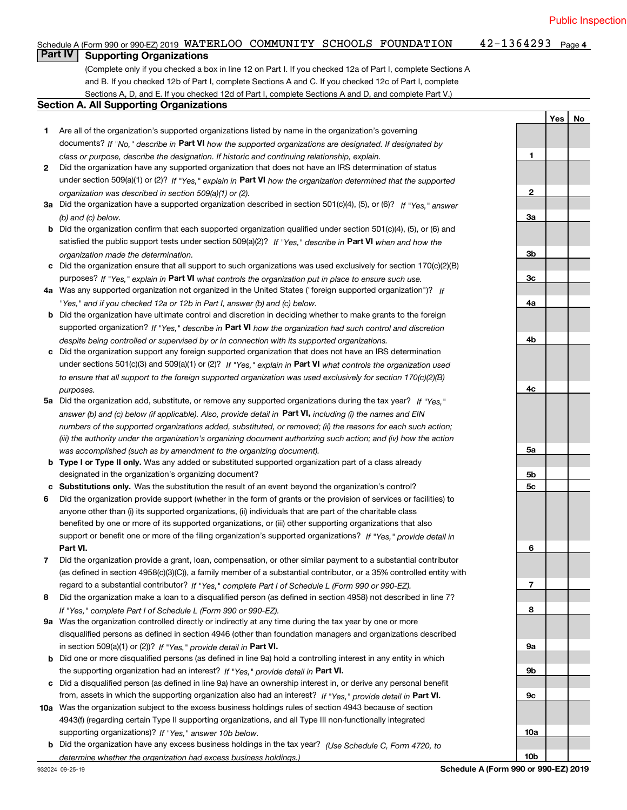**Yes No**

**1**

#### $42 - 1364293$  Page 4 Schedule A (Form 990 or 990-EZ) 2019 WATERLOO COMMUNITY SCHOOLS FOUNDATION 42-1364293 Page<br>L**Part IV L. Supporting Organizations Part IV Supporting Organizations**

(Complete only if you checked a box in line 12 on Part I. If you checked 12a of Part I, complete Sections A and B. If you checked 12b of Part I, complete Sections A and C. If you checked 12c of Part I, complete Sections A, D, and E. If you checked 12d of Part I, complete Sections A and D, and complete Part V.)

#### **Section A. All Supporting Organizations**

- **1** Are all of the organization's supported organizations listed by name in the organization's governing documents? If "No," describe in **Part VI** how the supported organizations are designated. If designated by *class or purpose, describe the designation. If historic and continuing relationship, explain.*
- **2** Did the organization have any supported organization that does not have an IRS determination of status under section 509(a)(1) or (2)? If "Yes," explain in Part VI how the organization determined that the supported *organization was described in section 509(a)(1) or (2).*
- **3a** Did the organization have a supported organization described in section 501(c)(4), (5), or (6)? If "Yes," answer *(b) and (c) below.*
- **b** Did the organization confirm that each supported organization qualified under section 501(c)(4), (5), or (6) and satisfied the public support tests under section 509(a)(2)? If "Yes," describe in **Part VI** when and how the *organization made the determination.*
- **c**Did the organization ensure that all support to such organizations was used exclusively for section 170(c)(2)(B) purposes? If "Yes," explain in **Part VI** what controls the organization put in place to ensure such use.
- **4a***If* Was any supported organization not organized in the United States ("foreign supported organization")? *"Yes," and if you checked 12a or 12b in Part I, answer (b) and (c) below.*
- **b** Did the organization have ultimate control and discretion in deciding whether to make grants to the foreign supported organization? If "Yes," describe in **Part VI** how the organization had such control and discretion *despite being controlled or supervised by or in connection with its supported organizations.*
- **c** Did the organization support any foreign supported organization that does not have an IRS determination under sections 501(c)(3) and 509(a)(1) or (2)? If "Yes," explain in **Part VI** what controls the organization used *to ensure that all support to the foreign supported organization was used exclusively for section 170(c)(2)(B) purposes.*
- **5a***If "Yes,"* Did the organization add, substitute, or remove any supported organizations during the tax year? answer (b) and (c) below (if applicable). Also, provide detail in **Part VI,** including (i) the names and EIN *numbers of the supported organizations added, substituted, or removed; (ii) the reasons for each such action; (iii) the authority under the organization's organizing document authorizing such action; and (iv) how the action was accomplished (such as by amendment to the organizing document).*
- **b** Type I or Type II only. Was any added or substituted supported organization part of a class already designated in the organization's organizing document?
- **cSubstitutions only.**  Was the substitution the result of an event beyond the organization's control?
- **6** Did the organization provide support (whether in the form of grants or the provision of services or facilities) to **Part VI.** *If "Yes," provide detail in* support or benefit one or more of the filing organization's supported organizations? anyone other than (i) its supported organizations, (ii) individuals that are part of the charitable class benefited by one or more of its supported organizations, or (iii) other supporting organizations that also
- **7**Did the organization provide a grant, loan, compensation, or other similar payment to a substantial contributor *If "Yes," complete Part I of Schedule L (Form 990 or 990-EZ).* regard to a substantial contributor? (as defined in section 4958(c)(3)(C)), a family member of a substantial contributor, or a 35% controlled entity with
- **8** Did the organization make a loan to a disqualified person (as defined in section 4958) not described in line 7? *If "Yes," complete Part I of Schedule L (Form 990 or 990-EZ).*
- **9a** Was the organization controlled directly or indirectly at any time during the tax year by one or more in section 509(a)(1) or (2))? If "Yes," *provide detail in* <code>Part VI.</code> disqualified persons as defined in section 4946 (other than foundation managers and organizations described
- **b** Did one or more disqualified persons (as defined in line 9a) hold a controlling interest in any entity in which the supporting organization had an interest? If "Yes," provide detail in P**art VI**.
- **c**Did a disqualified person (as defined in line 9a) have an ownership interest in, or derive any personal benefit from, assets in which the supporting organization also had an interest? If "Yes," provide detail in P**art VI.**
- **10a** Was the organization subject to the excess business holdings rules of section 4943 because of section supporting organizations)? If "Yes," answer 10b below. 4943(f) (regarding certain Type II supporting organizations, and all Type III non-functionally integrated
- **b** Did the organization have any excess business holdings in the tax year? (Use Schedule C, Form 4720, to *determine whether the organization had excess business holdings.)*

**10b**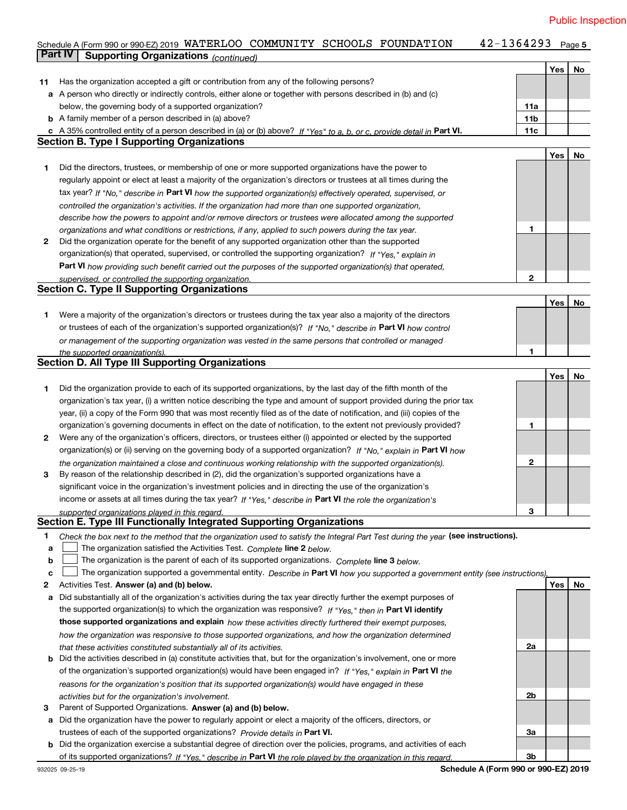42-1364293 Page 5

#### **Yes No 11** Has the organization accepted a gift or contribution from any of the following persons? **a** A person who directly or indirectly controls, either alone or together with persons described in (b) and (c) **b** A family member of a person described in (a) above? **c** A 35% controlled entity of a person described in (a) or (b) above? If "Yes" to a, b, or c, provide detail in Part VI. **11c 11a11bYes No 1** Did the directors, trustees, or membership of one or more supported organizations have the power to **2** Did the organization operate for the benefit of any supported organization other than the supported tax year? If "No," describe in Part VI how the supported organization(s) effectively operated, supervised, or **12Part VI**  *how providing such benefit carried out the purposes of the supported organization(s) that operated,* **Yes No 1** Were a majority of the organization's directors or trustees during the tax year also a majority of the directors or trustees of each of the organization's supported organization(s)? If "No," describe in **Part VI** how control **1Yes No 12** Were any of the organization's officers, directors, or trustees either (i) appointed or elected by the supported **3123**organization(s) or (ii) serving on the governing body of a supported organization? If "No," explain in **Part VI** how income or assets at all times during the tax year? If "Yes," describe in **Part VI** the role the organization's **12**Activities Test. **3** Parent of Supported Organizations. Answer (a) and (b) below. Check the box next to the method that the organization used to satisfy the Integral Part Test during the year (see instructions). **abclinupy** The organization satisfied the Activities Test. Complete line 2 below. The organization is the parent of each of its supported organizations. *Complete* line 3 below.<br>The state of the state of the state of the state of the state of the state of the state of the state of the state of the state The organization supported a governmental entity. *Describe in* Part **VI** how you supported a government entity (see instructions), **Activities Test. Answer (a) and (b) below.**<br>**a** Did substantially all of the organization's activities during the tax year directly further the exempt purposes of **b** Did the activities described in (a) constitute activities that, but for the organization's involvement, one or more **a** Did the organization have the power to regularly appoint or elect a majority of the officers, directors, or **b** Did the organization exercise a substantial degree of direction over the policies, programs, and activities of each the supported organization(s) to which the organization was responsive? If "Yes," then in **Part VI identify those supported organizations and explain**  *how these activities directly furthered their exempt purposes,* **2a 2b3a3b**of the organization's supported organization(s) would have been engaged in? If "Yes," explain in **Part VI** the trustees of each of the supported organizations? *Provide details in* Part VI. **Part VI**  *If "Yes," describe in the role played by the organization in this regard.* of its supported organizations? *controlled the organization's activities. If the organization had more than one supported organization, describe how the powers to appoint and/or remove directors or trustees were allocated among the supported organizations and what conditions or restrictions, if any, applied to such powers during the tax year. If "Yes," explain in* organization(s) that operated, supervised, or controlled the supporting organization? *supervised, or controlled the supporting organization. or management of the supporting organization was vested in the same persons that controlled or managed the supported organization(s). the organization maintained a close and continuous working relationship with the supported organization(s). supported organizations played in this regard. how the organization was responsive to those supported organizations, and how the organization determined that these activities constituted substantially all of its activities. reasons for the organization's position that its supported organization(s) would have engaged in these activities but for the organization's involvement.* below, the governing body of a supported organization? regularly appoint or elect at least a majority of the organization's directors or trustees at all times during the Did the organization provide to each of its supported organizations, by the last day of the fifth month of the organization's tax year, (i) a written notice describing the type and amount of support provided during the prior tax year, (ii) a copy of the Form 990 that was most recently filed as of the date of notification, and (iii) copies of the organization's governing documents in effect on the date of notification, to the extent not previously provided? By reason of the relationship described in (2), did the organization's supported organizations have a significant voice in the organization's investment policies and in directing the use of the organization's **Part IV Supporting Organizations** *(continued)* **Section B. Type I Supporting Organizations Section C. Type II Supporting Organizations Section D. All Type III Supporting Organizations Section E. Type III Functionally Integrated Supporting Organizations**  $\mathcal{L}^{\text{max}}$  $\mathcal{L}^{\text{max}}$

Schedule A (Form 990 or 990-EZ) 2019 WATERLOO COMMUNITY SCHOOLS FOUNDATION 42-1364293 Page<br>Part IV Supporting Organizations / www.shipping.com/

**Schedule A (Form 990 or 990-EZ) 2019**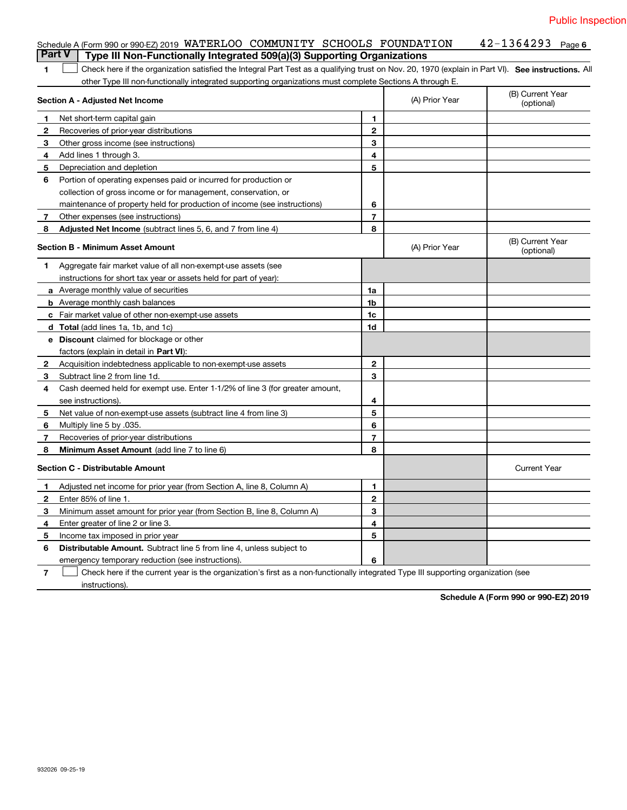|               | Schedule A (Form 990 or 990-EZ) 2019 WATERLOO COMMUNITY SCHOOLS FOUNDATION                                                                        |                |                | $42 - 1364293$ Page 6          |
|---------------|---------------------------------------------------------------------------------------------------------------------------------------------------|----------------|----------------|--------------------------------|
| <b>Part V</b> | Type III Non-Functionally Integrated 509(a)(3) Supporting Organizations                                                                           |                |                |                                |
| 1.            | Check here if the organization satisfied the Integral Part Test as a qualifying trust on Nov. 20, 1970 (explain in Part VI). See instructions. Al |                |                |                                |
|               | other Type III non-functionally integrated supporting organizations must complete Sections A through E.                                           |                |                |                                |
|               | Section A - Adjusted Net Income                                                                                                                   |                | (A) Prior Year | (B) Current Year<br>(optional) |
| 1             | Net short-term capital gain                                                                                                                       | 1              |                |                                |
| 2             | Recoveries of prior-year distributions                                                                                                            | $\overline{2}$ |                |                                |
| 3             | Other gross income (see instructions)                                                                                                             | 3              |                |                                |
| 4             | Add lines 1 through 3.                                                                                                                            | 4              |                |                                |
| 5             | Depreciation and depletion                                                                                                                        | 5              |                |                                |
| 6             | Portion of operating expenses paid or incurred for production or                                                                                  |                |                |                                |
|               | collection of gross income or for management, conservation, or                                                                                    |                |                |                                |
|               | maintenance of property held for production of income (see instructions)                                                                          | 6              |                |                                |
| 7             | Other expenses (see instructions)                                                                                                                 | $\overline{7}$ |                |                                |
| 8             | Adjusted Net Income (subtract lines 5, 6, and 7 from line 4)                                                                                      | 8              |                |                                |
|               | Section B - Minimum Asset Amount                                                                                                                  |                | (A) Prior Year | (B) Current Year<br>(optional) |
| 1             | Aggregate fair market value of all non-exempt-use assets (see                                                                                     |                |                |                                |
|               | instructions for short tax year or assets held for part of year):                                                                                 |                |                |                                |
|               | a Average monthly value of securities                                                                                                             | 1a             |                |                                |
|               | <b>b</b> Average monthly cash balances                                                                                                            | 1 <sub>b</sub> |                |                                |
|               | c Fair market value of other non-exempt-use assets                                                                                                | 1c             |                |                                |
|               | <b>d</b> Total (add lines 1a, 1b, and 1c)                                                                                                         | 1d             |                |                                |
|               | e Discount claimed for blockage or other                                                                                                          |                |                |                                |
|               | factors (explain in detail in Part VI):                                                                                                           |                |                |                                |
| $\mathbf{2}$  | Acquisition indebtedness applicable to non-exempt-use assets                                                                                      | $\mathbf{2}$   |                |                                |
| 3             | Subtract line 2 from line 1d.                                                                                                                     | 3              |                |                                |
| 4             | Cash deemed held for exempt use. Enter 1-1/2% of line 3 (for greater amount,                                                                      |                |                |                                |
|               | see instructions).                                                                                                                                | 4              |                |                                |
| 5             | Net value of non-exempt-use assets (subtract line 4 from line 3)                                                                                  | 5              |                |                                |
| 6             | Multiply line 5 by .035.                                                                                                                          | 6              |                |                                |
| 7             | Recoveries of prior-year distributions                                                                                                            | $\overline{7}$ |                |                                |
| 8             | Minimum Asset Amount (add line 7 to line 6)                                                                                                       | 8              |                |                                |
|               | <b>Section C - Distributable Amount</b>                                                                                                           |                |                | <b>Current Year</b>            |
| 1             | Adjusted net income for prior year (from Section A, line 8, Column A)                                                                             | 1              |                |                                |
| $\mathbf{2}$  | Enter 85% of line 1.                                                                                                                              | $\mathbf{2}$   |                |                                |
| 3             | Minimum asset amount for prior year (from Section B, line 8, Column A)                                                                            | 3              |                |                                |
| 4             | Enter greater of line 2 or line 3.                                                                                                                | 4              |                |                                |
| 5             | Income tax imposed in prior year                                                                                                                  | 5              |                |                                |
| 6             | <b>Distributable Amount.</b> Subtract line 5 from line 4, unless subject to                                                                       |                |                |                                |
|               | emergency temporary reduction (see instructions).                                                                                                 | 6              |                |                                |

**7** Check here if the current year is the organization's first as a non-functionally integrated Type III supporting organization (see instructions).

**Schedule A (Form 990 or 990-EZ) 2019**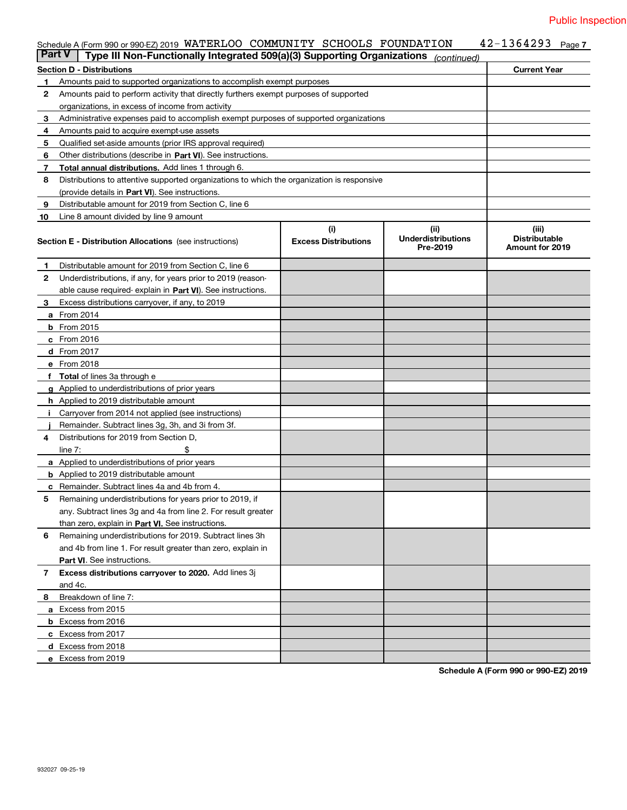|        | Schedule A (Form 990 or 990-EZ) 2019 WATERLOO COMMUNITY SCHOOLS FOUNDATION                 |                             |                           | 42-1364293<br>Page 7                    |
|--------|--------------------------------------------------------------------------------------------|-----------------------------|---------------------------|-----------------------------------------|
| Part V | Type III Non-Functionally Integrated 509(a)(3) Supporting Organizations                    |                             | (continued)               |                                         |
|        | Section D - Distributions                                                                  |                             |                           | <b>Current Year</b>                     |
| 1.     | Amounts paid to supported organizations to accomplish exempt purposes                      |                             |                           |                                         |
| 2      | Amounts paid to perform activity that directly furthers exempt purposes of supported       |                             |                           |                                         |
|        | organizations, in excess of income from activity                                           |                             |                           |                                         |
| 3      | Administrative expenses paid to accomplish exempt purposes of supported organizations      |                             |                           |                                         |
| 4      | Amounts paid to acquire exempt-use assets                                                  |                             |                           |                                         |
| 5      | Qualified set-aside amounts (prior IRS approval required)                                  |                             |                           |                                         |
| 6      | Other distributions (describe in Part VI). See instructions.                               |                             |                           |                                         |
| 7      | Total annual distributions. Add lines 1 through 6.                                         |                             |                           |                                         |
| 8      | Distributions to attentive supported organizations to which the organization is responsive |                             |                           |                                         |
|        | (provide details in Part VI). See instructions.                                            |                             |                           |                                         |
| 9      | Distributable amount for 2019 from Section C, line 6                                       |                             |                           |                                         |
| 10     | Line 8 amount divided by line 9 amount                                                     |                             |                           |                                         |
|        |                                                                                            | (i)                         | (ii)                      | (iii)                                   |
|        | <b>Section E - Distribution Allocations</b> (see instructions)                             | <b>Excess Distributions</b> | <b>Underdistributions</b> | <b>Distributable</b><br>Amount for 2019 |
|        |                                                                                            |                             | Pre-2019                  |                                         |
| 1.     | Distributable amount for 2019 from Section C, line 6                                       |                             |                           |                                         |
| 2      | Underdistributions, if any, for years prior to 2019 (reason-                               |                             |                           |                                         |
|        | able cause required-explain in Part VI). See instructions.                                 |                             |                           |                                         |
| 3      | Excess distributions carryover, if any, to 2019                                            |                             |                           |                                         |
|        | a From 2014                                                                                |                             |                           |                                         |
|        | $b$ From 2015                                                                              |                             |                           |                                         |
|        | c From 2016                                                                                |                             |                           |                                         |
|        | d From 2017                                                                                |                             |                           |                                         |
|        | e From 2018                                                                                |                             |                           |                                         |
|        | f Total of lines 3a through e                                                              |                             |                           |                                         |
|        | g Applied to underdistributions of prior years                                             |                             |                           |                                         |
|        | <b>h</b> Applied to 2019 distributable amount                                              |                             |                           |                                         |
|        | i Carryover from 2014 not applied (see instructions)                                       |                             |                           |                                         |
|        | Remainder. Subtract lines 3g, 3h, and 3i from 3f.                                          |                             |                           |                                         |
| 4      | Distributions for 2019 from Section D.                                                     |                             |                           |                                         |
|        | \$<br>line $7:$                                                                            |                             |                           |                                         |
|        | <b>a</b> Applied to underdistributions of prior years                                      |                             |                           |                                         |
|        | <b>b</b> Applied to 2019 distributable amount                                              |                             |                           |                                         |
|        | <b>c</b> Remainder. Subtract lines 4a and 4b from 4.                                       |                             |                           |                                         |
|        | Remaining underdistributions for years prior to 2019, if                                   |                             |                           |                                         |
|        | any. Subtract lines 3g and 4a from line 2. For result greater                              |                             |                           |                                         |
|        | than zero, explain in Part VI. See instructions.                                           |                             |                           |                                         |
| 6      | Remaining underdistributions for 2019. Subtract lines 3h                                   |                             |                           |                                         |
|        | and 4b from line 1. For result greater than zero, explain in                               |                             |                           |                                         |
|        | <b>Part VI.</b> See instructions.                                                          |                             |                           |                                         |
| 7      | Excess distributions carryover to 2020. Add lines 3j                                       |                             |                           |                                         |
|        | and 4c.                                                                                    |                             |                           |                                         |
| 8      | Breakdown of line 7:                                                                       |                             |                           |                                         |
|        | a Excess from 2015                                                                         |                             |                           |                                         |
|        | <b>b</b> Excess from 2016                                                                  |                             |                           |                                         |
|        | c Excess from 2017                                                                         |                             |                           |                                         |
|        | d Excess from 2018                                                                         |                             |                           |                                         |
|        | e Excess from 2019                                                                         |                             |                           |                                         |

**Schedule A (Form 990 or 990-EZ) 2019**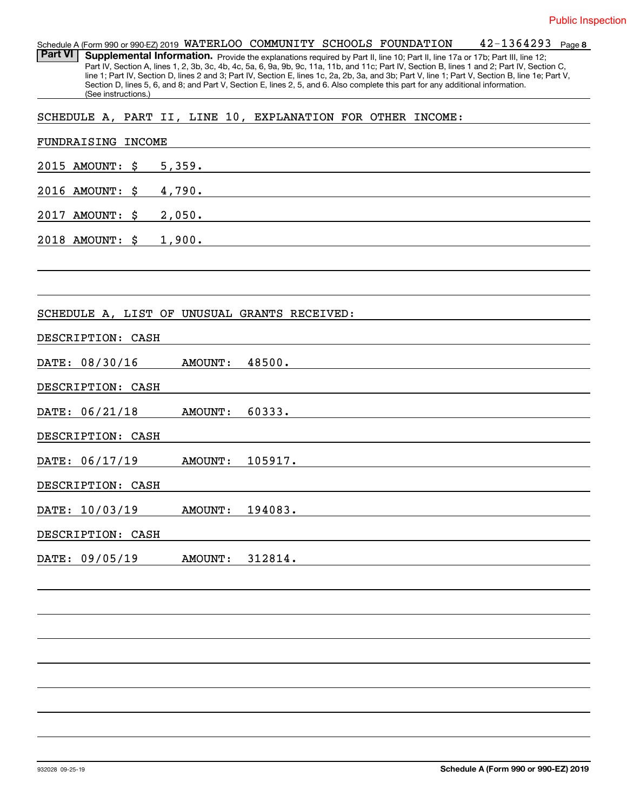|                | Schedule A (Form 990 or 990-EZ) 2019 WATERLOO COMMUNITY SCHOOLS FOUNDATION                                                                       |  |  | 42-1364293 | Page 8 |
|----------------|--------------------------------------------------------------------------------------------------------------------------------------------------|--|--|------------|--------|
| <b>Part VI</b> | Supplemental Information. Provide the explanations required by Part II, line 10; Part II, line 17a or 17b; Part III, line 12;                    |  |  |            |        |
|                | Part IV, Section A, lines 1, 2, 3b, 3c, 4b, 4c, 5a, 6, 9a, 9b, 9c, 11a, 11b, and 11c; Part IV, Section B, lines 1 and 2; Part IV, Section C,     |  |  |            |        |
|                | line 1; Part IV, Section D, lines 2 and 3; Part IV, Section E, lines 1c, 2a, 2b, 3a, and 3b; Part V, line 1; Part V, Section B, line 1e; Part V, |  |  |            |        |
|                | Section D, lines 5, 6, and 8; and Part V, Section E, lines 2, 5, and 6. Also complete this part for any additional information.                  |  |  |            |        |
|                | (See instructions.)                                                                                                                              |  |  |            |        |

SCHEDULE A, PART II, LINE 10, EXPLANATION FOR OTHER INCOME:

| FUNDRAISING INCOME                           |
|----------------------------------------------|
| 2015 AMOUNT: \$<br>5,359.                    |
| 2016 AMOUNT:<br>4,790.<br>\$                 |
| 2017 AMOUNT:<br>2,050.<br>\$                 |
| 1,900.<br>2018 AMOUNT: \$                    |
|                                              |
|                                              |
| SCHEDULE A, LIST OF UNUSUAL GRANTS RECEIVED: |
| DESCRIPTION: CASH                            |
| DATE: 08/30/16<br><b>AMOUNT:</b><br>48500.   |
| DESCRIPTION: CASH                            |
| DATE: 06/21/18<br><b>AMOUNT:</b><br>60333.   |
| DESCRIPTION: CASH                            |
| DATE: 06/17/19<br><b>AMOUNT:</b><br>105917.  |
| DESCRIPTION: CASH                            |
| DATE: 10/03/19<br><b>AMOUNT:</b><br>194083.  |
| DESCRIPTION: CASH                            |
| 312814.<br>DATE: 09/05/19<br><b>AMOUNT:</b>  |
|                                              |
|                                              |
|                                              |
|                                              |
|                                              |
|                                              |
|                                              |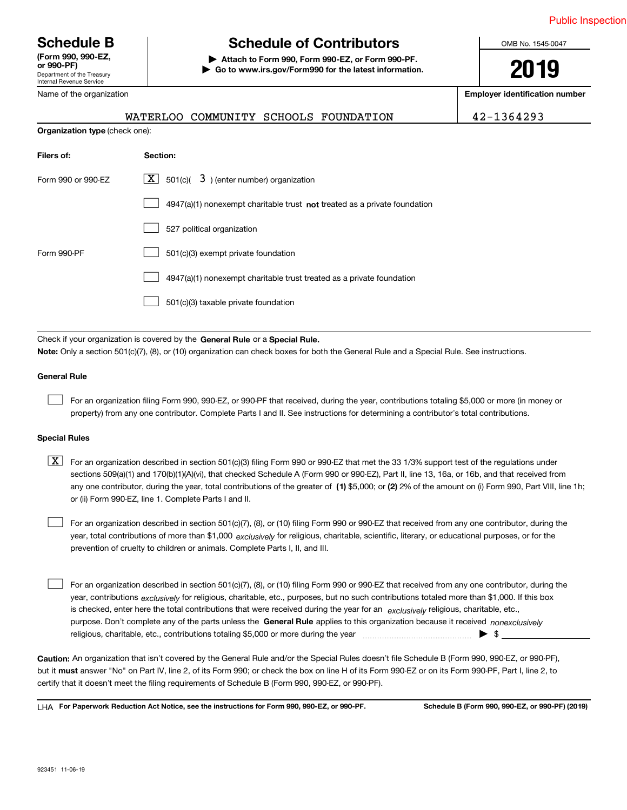Department of the Treasury Internal Revenue Service **(Form 990, 990-EZ, or 990-PF)**

Name of the organization

# **Schedule B Schedule of Contributors**

**| Attach to Form 990, Form 990-EZ, or Form 990-PF. | Go to www.irs.gov/Form990 for the latest information.** OMB No. 1545-0047

**2019**

**Employer identification number**

|                                       | WATERLOO COMMUNITY SCHOOLS FOUNDATION                                              | 42-1364293 |
|---------------------------------------|------------------------------------------------------------------------------------|------------|
| <b>Organization type (check one):</b> |                                                                                    |            |
| Filers of:                            | Section:                                                                           |            |
| Form 990 or 990-EZ                    | $\lfloor x \rfloor$ 501(c)( 3) (enter number) organization                         |            |
|                                       | $4947(a)(1)$ nonexempt charitable trust <b>not</b> treated as a private foundation |            |
|                                       | 527 political organization                                                         |            |
| Form 990-PF                           | 501(c)(3) exempt private foundation                                                |            |
|                                       | 4947(a)(1) nonexempt charitable trust treated as a private foundation              |            |
|                                       | 501(c)(3) taxable private foundation                                               |            |

Check if your organization is covered by the **General Rule** or a **Special Rule.**<br>Nota: Only a section 501(c)(7), (8), or (10) erganization can chock boxes for be **Note:**  Only a section 501(c)(7), (8), or (10) organization can check boxes for both the General Rule and a Special Rule. See instructions.

#### **General Rule**

 $\mathcal{L}^{\text{max}}$ 

For an organization filing Form 990, 990-EZ, or 990-PF that received, during the year, contributions totaling \$5,000 or more (in money or property) from any one contributor. Complete Parts I and II. See instructions for determining a contributor's total contributions.

#### **Special Rules**

any one contributor, during the year, total contributions of the greater of  $\,$  (1) \$5,000; or **(2)** 2% of the amount on (i) Form 990, Part VIII, line 1h;  $\boxed{\textbf{X}}$  For an organization described in section 501(c)(3) filing Form 990 or 990-EZ that met the 33 1/3% support test of the regulations under sections 509(a)(1) and 170(b)(1)(A)(vi), that checked Schedule A (Form 990 or 990-EZ), Part II, line 13, 16a, or 16b, and that received from or (ii) Form 990-EZ, line 1. Complete Parts I and II.

year, total contributions of more than \$1,000 *exclusively* for religious, charitable, scientific, literary, or educational purposes, or for the For an organization described in section 501(c)(7), (8), or (10) filing Form 990 or 990-EZ that received from any one contributor, during the prevention of cruelty to children or animals. Complete Parts I, II, and III.  $\mathcal{L}^{\text{max}}$ 

purpose. Don't complete any of the parts unless the **General Rule** applies to this organization because it received *nonexclusively* year, contributions <sub>exclusively</sub> for religious, charitable, etc., purposes, but no such contributions totaled more than \$1,000. If this box is checked, enter here the total contributions that were received during the year for an *exclusively* religious, charitable, etc., For an organization described in section 501(c)(7), (8), or (10) filing Form 990 or 990-EZ that received from any one contributor, during the religious, charitable, etc., contributions totaling \$5,000 or more during the year  $\Box$ — $\Box$   $\Box$  $\mathcal{L}^{\text{max}}$ 

**Caution:**  An organization that isn't covered by the General Rule and/or the Special Rules doesn't file Schedule B (Form 990, 990-EZ, or 990-PF), but it **must** answer "No" on Part IV, line 2, of its Form 990; or check the box on line H of its Form 990-EZ or on its Form 990-PF, Part I, line 2, to<br>cortify that it doesn't meet the filipe requirements of Schodule B (Fer certify that it doesn't meet the filing requirements of Schedule B (Form 990, 990-EZ, or 990-PF).

**For Paperwork Reduction Act Notice, see the instructions for Form 990, 990-EZ, or 990-PF. Schedule B (Form 990, 990-EZ, or 990-PF) (2019)** LHA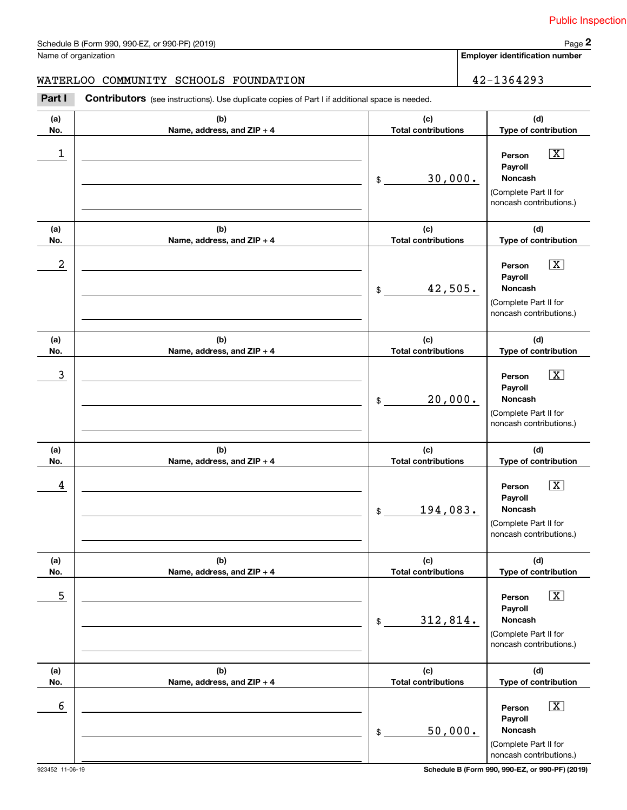**Employer identification number**

#### WATERLOO COMMUNITY SCHOOLS FOUNDATION  $|$  42-1364293

**(a)No.(b)Name, address, and ZIP + 4 (c)Total contributions (d)Type of contribution PersonPayrollNoncash(a)No.(b)Name, address, and ZIP + 4 (c)Total contributions (d)Type of contribution PersonPayrollNoncash(a)No.(b)Name, address, and ZIP + 4 (c)Total contributions (d)Type of contribution Person PayrollNoncash(a) No.(b) Name, address, and ZIP + 4 (c) Total contributions (d) Type of contribution PersonPayrollNoncash(a) No.(b) Name, address, and ZIP + 4 (c) Total contributions (d) Type of contribution Person PayrollNoncash(a) No.(b)Name, address, and ZIP + 4 (c) Total contributions (d)Type of contribution PersonPayrollNoncashContributors** (see instructions). Use duplicate copies of Part I if additional space is needed. \$(Complete Part II for noncash contributions.) \$(Complete Part II for noncash contributions.) \$(Complete Part II for noncash contributions.) \$(Complete Part II for noncash contributions.) \$(Complete Part II for noncash contributions.) \$(Complete Part II for noncash contributions.) **2** Chedule B (Form 990, 990-EZ, or 990-PF) (2019)<br> **2Part I COMMUNITY SCHOOLS FOUNDATION**<br> **Part I Contributors** (see instructions). Use duplicate copies of Part I if additional space is needed.  $\boxed{\mathbf{X}}$  $\boxed{\mathbf{X}}$  $|\mathbf{X}|$  $\sqrt{X}$  $\sqrt{X}$  $\sqrt{X}$  $\begin{array}{c|c|c|c|c|c} 1 & \hspace{1.5cm} & \hspace{1.5cm} & \hspace{1.5cm} & \hspace{1.5cm} & \hspace{1.5cm} & \hspace{1.5cm} & \hspace{1.5cm} & \hspace{1.5cm} & \hspace{1.5cm} & \hspace{1.5cm} & \hspace{1.5cm} & \hspace{1.5cm} & \hspace{1.5cm} & \hspace{1.5cm} & \hspace{1.5cm} & \hspace{1.5cm} & \hspace{1.5cm} & \hspace{1.5cm} & \hspace{1.5cm} & \hspace{1.5cm} &$ 30,000.  $2$  | Person  $\overline{\text{X}}$ 42,505.  $\overline{3}$  | Person  $\overline{X}$ 20,000.  $4$  | Person  $\overline{\text{X}}$ 194,083.  $\sim$  5 | Person X 312,814.  $\sim$  6 | Person X 50,000.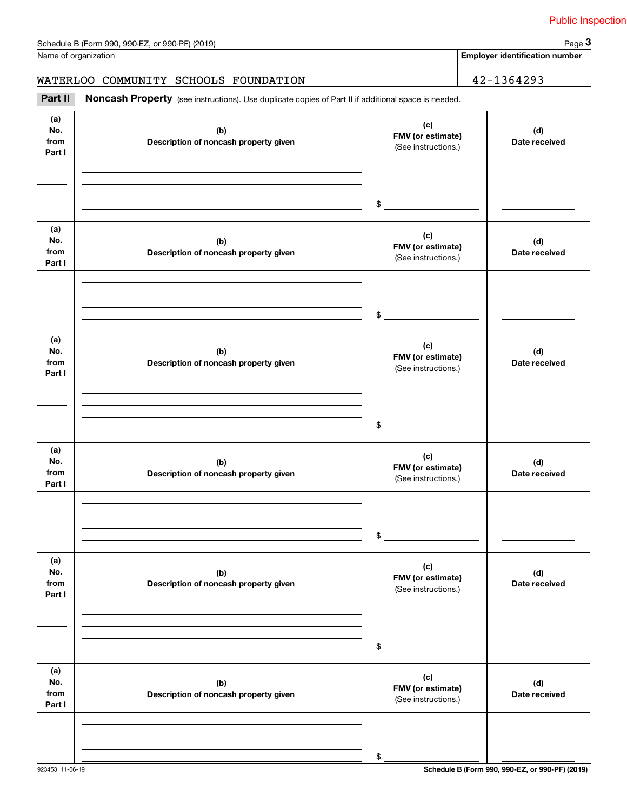| Name of organization |
|----------------------|
|----------------------|

# WATERLOO COMMUNITY SCHOOLS FOUNDATION 42-1364293

|                              | Schedule B (Form 990, 990-EZ, or 990-PF) (2019)                                                     |                                                 | Page 3                                |
|------------------------------|-----------------------------------------------------------------------------------------------------|-------------------------------------------------|---------------------------------------|
|                              | Name of organization                                                                                |                                                 | <b>Employer identification number</b> |
|                              | WATERLOO COMMUNITY SCHOOLS FOUNDATION                                                               |                                                 | 42-1364293                            |
| Part II                      | Noncash Property (see instructions). Use duplicate copies of Part II if additional space is needed. |                                                 |                                       |
| (a)<br>No.<br>from<br>Part I | (b)<br>Description of noncash property given                                                        | (c)<br>FMV (or estimate)<br>(See instructions.) | (d)<br>Date received                  |
|                              |                                                                                                     | \$                                              |                                       |
| (a)<br>No.<br>from<br>Part I | (b)<br>Description of noncash property given                                                        | (c)<br>FMV (or estimate)<br>(See instructions.) | (d)<br>Date received                  |
|                              |                                                                                                     | \$                                              |                                       |
| (a)<br>No.<br>from<br>Part I | (b)<br>Description of noncash property given                                                        | (c)<br>FMV (or estimate)<br>(See instructions.) | (d)<br>Date received                  |
|                              |                                                                                                     | \$                                              |                                       |
| (a)<br>No.<br>from<br>Part I | (b)<br>Description of noncash property given                                                        | (c)<br>FMV (or estimate)<br>(See instructions.) | (d)<br>Date received                  |
|                              |                                                                                                     | \$                                              |                                       |
| (a)<br>No.<br>from<br>Part I | (b)<br>Description of noncash property given                                                        | (c)<br>FMV (or estimate)<br>(See instructions.) | (d)<br>Date received                  |
|                              |                                                                                                     | \$                                              |                                       |
| (a)<br>No.<br>from<br>Part I | (b)<br>Description of noncash property given                                                        | (c)<br>FMV (or estimate)<br>(See instructions.) | (d)<br>Date received                  |
|                              |                                                                                                     | \$                                              |                                       |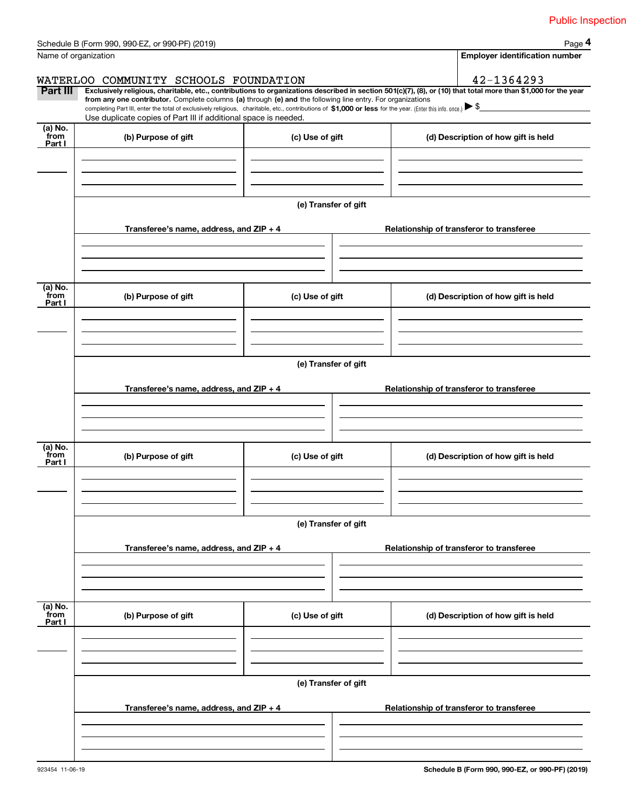|                           | Schedule B (Form 990, 990-EZ, or 990-PF) (2019)                                                                                                                                                                                                                                                                                                                                                                                                                                                                 |                      |  |                                     | Page 4                                   |
|---------------------------|-----------------------------------------------------------------------------------------------------------------------------------------------------------------------------------------------------------------------------------------------------------------------------------------------------------------------------------------------------------------------------------------------------------------------------------------------------------------------------------------------------------------|----------------------|--|-------------------------------------|------------------------------------------|
|                           | Name of organization                                                                                                                                                                                                                                                                                                                                                                                                                                                                                            |                      |  |                                     | <b>Employer identification number</b>    |
|                           | WATERLOO COMMUNITY SCHOOLS FOUNDATION                                                                                                                                                                                                                                                                                                                                                                                                                                                                           |                      |  |                                     | 42-1364293                               |
| <b>Part III</b>           | Exclusively religious, charitable, etc., contributions to organizations described in section 501(c)(7), (8), or (10) that total more than \$1,000 for the year<br>from any one contributor. Complete columns (a) through (e) and the following line entry. For organizations<br>completing Part III, enter the total of exclusively religious, charitable, etc., contributions of \$1,000 or less for the year. (Enter this info. once.) \\$<br>Use duplicate copies of Part III if additional space is needed. |                      |  |                                     |                                          |
| (a) No.<br>from<br>Part I | (b) Purpose of gift                                                                                                                                                                                                                                                                                                                                                                                                                                                                                             | (c) Use of gift      |  | (d) Description of how gift is held |                                          |
|                           |                                                                                                                                                                                                                                                                                                                                                                                                                                                                                                                 |                      |  |                                     |                                          |
|                           |                                                                                                                                                                                                                                                                                                                                                                                                                                                                                                                 | (e) Transfer of gift |  |                                     |                                          |
|                           | Transferee's name, address, and $ZIP + 4$                                                                                                                                                                                                                                                                                                                                                                                                                                                                       |                      |  |                                     | Relationship of transferor to transferee |
| (a) No.                   |                                                                                                                                                                                                                                                                                                                                                                                                                                                                                                                 |                      |  |                                     |                                          |
| from<br>Part I            | (b) Purpose of gift                                                                                                                                                                                                                                                                                                                                                                                                                                                                                             | (c) Use of gift      |  |                                     | (d) Description of how gift is held      |
|                           |                                                                                                                                                                                                                                                                                                                                                                                                                                                                                                                 |                      |  |                                     |                                          |
|                           | (e) Transfer of gift<br>Transferee's name, address, and ZIP + 4<br>Relationship of transferor to transferee                                                                                                                                                                                                                                                                                                                                                                                                     |                      |  |                                     |                                          |
|                           |                                                                                                                                                                                                                                                                                                                                                                                                                                                                                                                 |                      |  |                                     |                                          |
| (a) No.<br>from<br>Part I | (b) Purpose of gift                                                                                                                                                                                                                                                                                                                                                                                                                                                                                             | (c) Use of gift      |  |                                     | (d) Description of how gift is held      |
|                           |                                                                                                                                                                                                                                                                                                                                                                                                                                                                                                                 |                      |  |                                     |                                          |
|                           | (e) Transfer of gift                                                                                                                                                                                                                                                                                                                                                                                                                                                                                            |                      |  |                                     |                                          |
|                           | Transferee's name, address, and ZIP + 4                                                                                                                                                                                                                                                                                                                                                                                                                                                                         |                      |  |                                     | Relationship of transferor to transferee |
|                           |                                                                                                                                                                                                                                                                                                                                                                                                                                                                                                                 |                      |  |                                     |                                          |
| (a) No.<br>from<br>Part I | (b) Purpose of gift                                                                                                                                                                                                                                                                                                                                                                                                                                                                                             | (c) Use of gift      |  |                                     | (d) Description of how gift is held      |
|                           |                                                                                                                                                                                                                                                                                                                                                                                                                                                                                                                 |                      |  |                                     |                                          |
|                           |                                                                                                                                                                                                                                                                                                                                                                                                                                                                                                                 | (e) Transfer of gift |  |                                     |                                          |
|                           | Transferee's name, address, and ZIP + 4                                                                                                                                                                                                                                                                                                                                                                                                                                                                         |                      |  |                                     | Relationship of transferor to transferee |
|                           |                                                                                                                                                                                                                                                                                                                                                                                                                                                                                                                 |                      |  |                                     |                                          |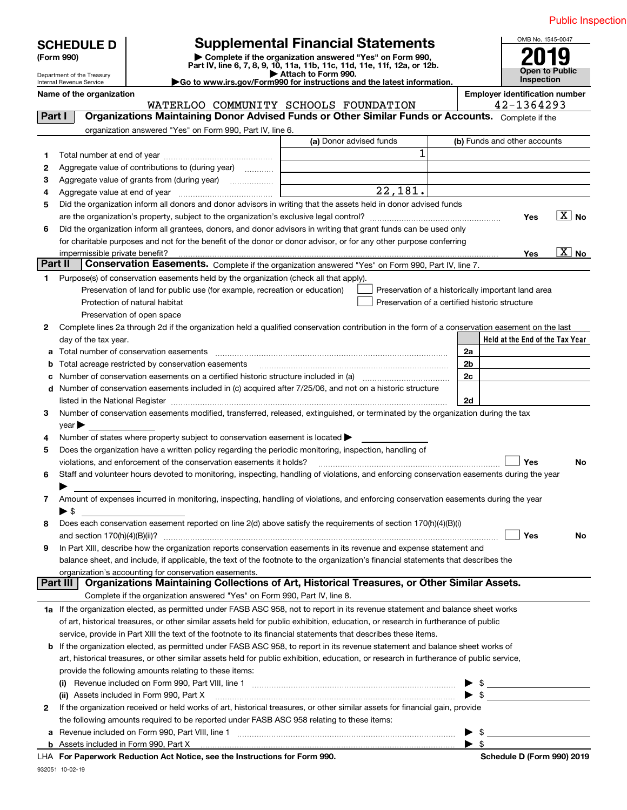| Complete if the organization answered "Yes" on Form 990,<br>(Form 990)<br>Part IV, line 6, 7, 8, 9, 10, 11a, 11b, 11c, 11d, 11e, 11f, 12a, or 12b.<br>Open to Public<br>Attach to Form 990.<br>Department of the Treasury<br><b>Inspection</b><br>Go to www.irs.gov/Form990 for instructions and the latest information.<br>Internal Revenue Service<br>Name of the organization<br><b>Employer identification number</b><br>42-1364293<br>WATERLOO COMMUNITY SCHOOLS FOUNDATION<br>Organizations Maintaining Donor Advised Funds or Other Similar Funds or Accounts. Complete if the<br>Part I<br>organization answered "Yes" on Form 990, Part IV, line 6.<br>(a) Donor advised funds<br>(b) Funds and other accounts<br>1<br>1.<br>Aggregate value of contributions to (during year)<br>2<br>З<br>$\overline{22,181}$ .<br>4<br>Did the organization inform all donors and donor advisors in writing that the assets held in donor advised funds<br>5<br>$\overline{X}$ No<br>Yes<br>Did the organization inform all grantees, donors, and donor advisors in writing that grant funds can be used only<br>6<br>for charitable purposes and not for the benefit of the donor or donor advisor, or for any other purpose conferring<br>$\overline{\text{X}}$ No<br>Yes<br>Part II<br>Conservation Easements. Complete if the organization answered "Yes" on Form 990, Part IV, line 7.<br>Purpose(s) of conservation easements held by the organization (check all that apply).<br>1.<br>Preservation of land for public use (for example, recreation or education)<br>Preservation of a historically important land area<br>Preservation of a certified historic structure<br>Protection of natural habitat<br>Preservation of open space<br>Complete lines 2a through 2d if the organization held a qualified conservation contribution in the form of a conservation easement on the last<br>2<br>Held at the End of the Tax Year<br>day of the tax year.<br>2a<br>Total acreage restricted by conservation easements<br>2b<br>b<br>2c<br>Number of conservation easements included in (c) acquired after 7/25/06, and not on a historic structure<br>d<br>2d<br>Number of conservation easements modified, transferred, released, extinguished, or terminated by the organization during the tax<br>3<br>year<br>Number of states where property subject to conservation easement is located<br>4<br>Does the organization have a written policy regarding the periodic monitoring, inspection, handling of<br>5<br>Yes<br>violations, and enforcement of the conservation easements it holds?<br>No<br>Staff and volunteer hours devoted to monitoring, inspecting, handling of violations, and enforcing conservation easements during the year<br>6<br>Amount of expenses incurred in monitoring, inspecting, handling of violations, and enforcing conservation easements during the year<br>7<br>$\blacktriangleright$ \$<br>Does each conservation easement reported on line 2(d) above satisfy the requirements of section 170(h)(4)(B)(i)<br>8<br>Yes<br>No<br>In Part XIII, describe how the organization reports conservation easements in its revenue and expense statement and<br>9<br>balance sheet, and include, if applicable, the text of the footnote to the organization's financial statements that describes the<br>organization's accounting for conservation easements.<br>Organizations Maintaining Collections of Art, Historical Treasures, or Other Similar Assets.<br>Part III<br>Complete if the organization answered "Yes" on Form 990, Part IV, line 8.<br>1a If the organization elected, as permitted under FASB ASC 958, not to report in its revenue statement and balance sheet works<br>of art, historical treasures, or other similar assets held for public exhibition, education, or research in furtherance of public<br>service, provide in Part XIII the text of the footnote to its financial statements that describes these items.<br><b>b</b> If the organization elected, as permitted under FASB ASC 958, to report in its revenue statement and balance sheet works of<br>art, historical treasures, or other similar assets held for public exhibition, education, or research in furtherance of public service,<br>provide the following amounts relating to these items:<br>$\triangleright$ \$<br>$\bullet$ \$<br>(ii) Assets included in Form 990, Part X<br>If the organization received or held works of art, historical treasures, or other similar assets for financial gain, provide<br>2<br>the following amounts required to be reported under FASB ASC 958 relating to these items:<br>Revenue included on Form 990, Part VIII, line 1 manufactured contracts and contract and contract and contract o<br>$\sim$ $\sim$<br>а<br>Pohodulo D (Form 000) 2010<br><b>Departually Reduction Act Notice, and the Instructions for Form 000</b> | <b>Supplemental Financial Statements</b><br><b>SCHEDULE D</b> |  |  | OMB No. 1545-0047 |  |  |
|--------------------------------------------------------------------------------------------------------------------------------------------------------------------------------------------------------------------------------------------------------------------------------------------------------------------------------------------------------------------------------------------------------------------------------------------------------------------------------------------------------------------------------------------------------------------------------------------------------------------------------------------------------------------------------------------------------------------------------------------------------------------------------------------------------------------------------------------------------------------------------------------------------------------------------------------------------------------------------------------------------------------------------------------------------------------------------------------------------------------------------------------------------------------------------------------------------------------------------------------------------------------------------------------------------------------------------------------------------------------------------------------------------------------------------------------------------------------------------------------------------------------------------------------------------------------------------------------------------------------------------------------------------------------------------------------------------------------------------------------------------------------------------------------------------------------------------------------------------------------------------------------------------------------------------------------------------------------------------------------------------------------------------------------------------------------------------------------------------------------------------------------------------------------------------------------------------------------------------------------------------------------------------------------------------------------------------------------------------------------------------------------------------------------------------------------------------------------------------------------------------------------------------------------------------------------------------------------------------------------------------------------------------------------------------------------------------------------------------------------------------------------------------------------------------------------------------------------------------------------------------------------------------------------------------------------------------------------------------------------------------------------------------------------------------------------------------------------------------------------------------------------------------------------------------------------------------------------------------------------------------------------------------------------------------------------------------------------------------------------------------------------------------------------------------------------------------------------------------------------------------------------------------------------------------------------------------------------------------------------------------------------------------------------------------------------------------------------------------------------------------------------------------------------------------------------------------------------------------------------------------------------------------------------------------------------------------------------------------------------------------------------------------------------------------------------------------------------------------------------------------------------------------------------------------------------------------------------------------------------------------------------------------------------------------------------------------------------------------------------------------------------------------------------------------------------------------------------------------------------------------------------------------------------------------------------------------------------------------------------------------------------------------------------------------------------------------------------------------------------------------------------------------------------------------------------------------------------------------------------------------------------------------------|---------------------------------------------------------------|--|--|-------------------|--|--|
|                                                                                                                                                                                                                                                                                                                                                                                                                                                                                                                                                                                                                                                                                                                                                                                                                                                                                                                                                                                                                                                                                                                                                                                                                                                                                                                                                                                                                                                                                                                                                                                                                                                                                                                                                                                                                                                                                                                                                                                                                                                                                                                                                                                                                                                                                                                                                                                                                                                                                                                                                                                                                                                                                                                                                                                                                                                                                                                                                                                                                                                                                                                                                                                                                                                                                                                                                                                                                                                                                                                                                                                                                                                                                                                                                                                                                                                                                                                                                                                                                                                                                                                                                                                                                                                                                                                                                                                                                                                                                                                                                                                                                                                                                                                                                                                                                                                                                                              |                                                               |  |  |                   |  |  |
|                                                                                                                                                                                                                                                                                                                                                                                                                                                                                                                                                                                                                                                                                                                                                                                                                                                                                                                                                                                                                                                                                                                                                                                                                                                                                                                                                                                                                                                                                                                                                                                                                                                                                                                                                                                                                                                                                                                                                                                                                                                                                                                                                                                                                                                                                                                                                                                                                                                                                                                                                                                                                                                                                                                                                                                                                                                                                                                                                                                                                                                                                                                                                                                                                                                                                                                                                                                                                                                                                                                                                                                                                                                                                                                                                                                                                                                                                                                                                                                                                                                                                                                                                                                                                                                                                                                                                                                                                                                                                                                                                                                                                                                                                                                                                                                                                                                                                                              |                                                               |  |  |                   |  |  |
|                                                                                                                                                                                                                                                                                                                                                                                                                                                                                                                                                                                                                                                                                                                                                                                                                                                                                                                                                                                                                                                                                                                                                                                                                                                                                                                                                                                                                                                                                                                                                                                                                                                                                                                                                                                                                                                                                                                                                                                                                                                                                                                                                                                                                                                                                                                                                                                                                                                                                                                                                                                                                                                                                                                                                                                                                                                                                                                                                                                                                                                                                                                                                                                                                                                                                                                                                                                                                                                                                                                                                                                                                                                                                                                                                                                                                                                                                                                                                                                                                                                                                                                                                                                                                                                                                                                                                                                                                                                                                                                                                                                                                                                                                                                                                                                                                                                                                                              |                                                               |  |  |                   |  |  |
|                                                                                                                                                                                                                                                                                                                                                                                                                                                                                                                                                                                                                                                                                                                                                                                                                                                                                                                                                                                                                                                                                                                                                                                                                                                                                                                                                                                                                                                                                                                                                                                                                                                                                                                                                                                                                                                                                                                                                                                                                                                                                                                                                                                                                                                                                                                                                                                                                                                                                                                                                                                                                                                                                                                                                                                                                                                                                                                                                                                                                                                                                                                                                                                                                                                                                                                                                                                                                                                                                                                                                                                                                                                                                                                                                                                                                                                                                                                                                                                                                                                                                                                                                                                                                                                                                                                                                                                                                                                                                                                                                                                                                                                                                                                                                                                                                                                                                                              |                                                               |  |  |                   |  |  |
|                                                                                                                                                                                                                                                                                                                                                                                                                                                                                                                                                                                                                                                                                                                                                                                                                                                                                                                                                                                                                                                                                                                                                                                                                                                                                                                                                                                                                                                                                                                                                                                                                                                                                                                                                                                                                                                                                                                                                                                                                                                                                                                                                                                                                                                                                                                                                                                                                                                                                                                                                                                                                                                                                                                                                                                                                                                                                                                                                                                                                                                                                                                                                                                                                                                                                                                                                                                                                                                                                                                                                                                                                                                                                                                                                                                                                                                                                                                                                                                                                                                                                                                                                                                                                                                                                                                                                                                                                                                                                                                                                                                                                                                                                                                                                                                                                                                                                                              |                                                               |  |  |                   |  |  |
|                                                                                                                                                                                                                                                                                                                                                                                                                                                                                                                                                                                                                                                                                                                                                                                                                                                                                                                                                                                                                                                                                                                                                                                                                                                                                                                                                                                                                                                                                                                                                                                                                                                                                                                                                                                                                                                                                                                                                                                                                                                                                                                                                                                                                                                                                                                                                                                                                                                                                                                                                                                                                                                                                                                                                                                                                                                                                                                                                                                                                                                                                                                                                                                                                                                                                                                                                                                                                                                                                                                                                                                                                                                                                                                                                                                                                                                                                                                                                                                                                                                                                                                                                                                                                                                                                                                                                                                                                                                                                                                                                                                                                                                                                                                                                                                                                                                                                                              |                                                               |  |  |                   |  |  |
|                                                                                                                                                                                                                                                                                                                                                                                                                                                                                                                                                                                                                                                                                                                                                                                                                                                                                                                                                                                                                                                                                                                                                                                                                                                                                                                                                                                                                                                                                                                                                                                                                                                                                                                                                                                                                                                                                                                                                                                                                                                                                                                                                                                                                                                                                                                                                                                                                                                                                                                                                                                                                                                                                                                                                                                                                                                                                                                                                                                                                                                                                                                                                                                                                                                                                                                                                                                                                                                                                                                                                                                                                                                                                                                                                                                                                                                                                                                                                                                                                                                                                                                                                                                                                                                                                                                                                                                                                                                                                                                                                                                                                                                                                                                                                                                                                                                                                                              |                                                               |  |  |                   |  |  |
|                                                                                                                                                                                                                                                                                                                                                                                                                                                                                                                                                                                                                                                                                                                                                                                                                                                                                                                                                                                                                                                                                                                                                                                                                                                                                                                                                                                                                                                                                                                                                                                                                                                                                                                                                                                                                                                                                                                                                                                                                                                                                                                                                                                                                                                                                                                                                                                                                                                                                                                                                                                                                                                                                                                                                                                                                                                                                                                                                                                                                                                                                                                                                                                                                                                                                                                                                                                                                                                                                                                                                                                                                                                                                                                                                                                                                                                                                                                                                                                                                                                                                                                                                                                                                                                                                                                                                                                                                                                                                                                                                                                                                                                                                                                                                                                                                                                                                                              |                                                               |  |  |                   |  |  |
|                                                                                                                                                                                                                                                                                                                                                                                                                                                                                                                                                                                                                                                                                                                                                                                                                                                                                                                                                                                                                                                                                                                                                                                                                                                                                                                                                                                                                                                                                                                                                                                                                                                                                                                                                                                                                                                                                                                                                                                                                                                                                                                                                                                                                                                                                                                                                                                                                                                                                                                                                                                                                                                                                                                                                                                                                                                                                                                                                                                                                                                                                                                                                                                                                                                                                                                                                                                                                                                                                                                                                                                                                                                                                                                                                                                                                                                                                                                                                                                                                                                                                                                                                                                                                                                                                                                                                                                                                                                                                                                                                                                                                                                                                                                                                                                                                                                                                                              |                                                               |  |  |                   |  |  |
|                                                                                                                                                                                                                                                                                                                                                                                                                                                                                                                                                                                                                                                                                                                                                                                                                                                                                                                                                                                                                                                                                                                                                                                                                                                                                                                                                                                                                                                                                                                                                                                                                                                                                                                                                                                                                                                                                                                                                                                                                                                                                                                                                                                                                                                                                                                                                                                                                                                                                                                                                                                                                                                                                                                                                                                                                                                                                                                                                                                                                                                                                                                                                                                                                                                                                                                                                                                                                                                                                                                                                                                                                                                                                                                                                                                                                                                                                                                                                                                                                                                                                                                                                                                                                                                                                                                                                                                                                                                                                                                                                                                                                                                                                                                                                                                                                                                                                                              |                                                               |  |  |                   |  |  |
|                                                                                                                                                                                                                                                                                                                                                                                                                                                                                                                                                                                                                                                                                                                                                                                                                                                                                                                                                                                                                                                                                                                                                                                                                                                                                                                                                                                                                                                                                                                                                                                                                                                                                                                                                                                                                                                                                                                                                                                                                                                                                                                                                                                                                                                                                                                                                                                                                                                                                                                                                                                                                                                                                                                                                                                                                                                                                                                                                                                                                                                                                                                                                                                                                                                                                                                                                                                                                                                                                                                                                                                                                                                                                                                                                                                                                                                                                                                                                                                                                                                                                                                                                                                                                                                                                                                                                                                                                                                                                                                                                                                                                                                                                                                                                                                                                                                                                                              |                                                               |  |  |                   |  |  |
|                                                                                                                                                                                                                                                                                                                                                                                                                                                                                                                                                                                                                                                                                                                                                                                                                                                                                                                                                                                                                                                                                                                                                                                                                                                                                                                                                                                                                                                                                                                                                                                                                                                                                                                                                                                                                                                                                                                                                                                                                                                                                                                                                                                                                                                                                                                                                                                                                                                                                                                                                                                                                                                                                                                                                                                                                                                                                                                                                                                                                                                                                                                                                                                                                                                                                                                                                                                                                                                                                                                                                                                                                                                                                                                                                                                                                                                                                                                                                                                                                                                                                                                                                                                                                                                                                                                                                                                                                                                                                                                                                                                                                                                                                                                                                                                                                                                                                                              |                                                               |  |  |                   |  |  |
|                                                                                                                                                                                                                                                                                                                                                                                                                                                                                                                                                                                                                                                                                                                                                                                                                                                                                                                                                                                                                                                                                                                                                                                                                                                                                                                                                                                                                                                                                                                                                                                                                                                                                                                                                                                                                                                                                                                                                                                                                                                                                                                                                                                                                                                                                                                                                                                                                                                                                                                                                                                                                                                                                                                                                                                                                                                                                                                                                                                                                                                                                                                                                                                                                                                                                                                                                                                                                                                                                                                                                                                                                                                                                                                                                                                                                                                                                                                                                                                                                                                                                                                                                                                                                                                                                                                                                                                                                                                                                                                                                                                                                                                                                                                                                                                                                                                                                                              |                                                               |  |  |                   |  |  |
|                                                                                                                                                                                                                                                                                                                                                                                                                                                                                                                                                                                                                                                                                                                                                                                                                                                                                                                                                                                                                                                                                                                                                                                                                                                                                                                                                                                                                                                                                                                                                                                                                                                                                                                                                                                                                                                                                                                                                                                                                                                                                                                                                                                                                                                                                                                                                                                                                                                                                                                                                                                                                                                                                                                                                                                                                                                                                                                                                                                                                                                                                                                                                                                                                                                                                                                                                                                                                                                                                                                                                                                                                                                                                                                                                                                                                                                                                                                                                                                                                                                                                                                                                                                                                                                                                                                                                                                                                                                                                                                                                                                                                                                                                                                                                                                                                                                                                                              |                                                               |  |  |                   |  |  |
|                                                                                                                                                                                                                                                                                                                                                                                                                                                                                                                                                                                                                                                                                                                                                                                                                                                                                                                                                                                                                                                                                                                                                                                                                                                                                                                                                                                                                                                                                                                                                                                                                                                                                                                                                                                                                                                                                                                                                                                                                                                                                                                                                                                                                                                                                                                                                                                                                                                                                                                                                                                                                                                                                                                                                                                                                                                                                                                                                                                                                                                                                                                                                                                                                                                                                                                                                                                                                                                                                                                                                                                                                                                                                                                                                                                                                                                                                                                                                                                                                                                                                                                                                                                                                                                                                                                                                                                                                                                                                                                                                                                                                                                                                                                                                                                                                                                                                                              |                                                               |  |  |                   |  |  |
|                                                                                                                                                                                                                                                                                                                                                                                                                                                                                                                                                                                                                                                                                                                                                                                                                                                                                                                                                                                                                                                                                                                                                                                                                                                                                                                                                                                                                                                                                                                                                                                                                                                                                                                                                                                                                                                                                                                                                                                                                                                                                                                                                                                                                                                                                                                                                                                                                                                                                                                                                                                                                                                                                                                                                                                                                                                                                                                                                                                                                                                                                                                                                                                                                                                                                                                                                                                                                                                                                                                                                                                                                                                                                                                                                                                                                                                                                                                                                                                                                                                                                                                                                                                                                                                                                                                                                                                                                                                                                                                                                                                                                                                                                                                                                                                                                                                                                                              |                                                               |  |  |                   |  |  |
|                                                                                                                                                                                                                                                                                                                                                                                                                                                                                                                                                                                                                                                                                                                                                                                                                                                                                                                                                                                                                                                                                                                                                                                                                                                                                                                                                                                                                                                                                                                                                                                                                                                                                                                                                                                                                                                                                                                                                                                                                                                                                                                                                                                                                                                                                                                                                                                                                                                                                                                                                                                                                                                                                                                                                                                                                                                                                                                                                                                                                                                                                                                                                                                                                                                                                                                                                                                                                                                                                                                                                                                                                                                                                                                                                                                                                                                                                                                                                                                                                                                                                                                                                                                                                                                                                                                                                                                                                                                                                                                                                                                                                                                                                                                                                                                                                                                                                                              |                                                               |  |  |                   |  |  |
|                                                                                                                                                                                                                                                                                                                                                                                                                                                                                                                                                                                                                                                                                                                                                                                                                                                                                                                                                                                                                                                                                                                                                                                                                                                                                                                                                                                                                                                                                                                                                                                                                                                                                                                                                                                                                                                                                                                                                                                                                                                                                                                                                                                                                                                                                                                                                                                                                                                                                                                                                                                                                                                                                                                                                                                                                                                                                                                                                                                                                                                                                                                                                                                                                                                                                                                                                                                                                                                                                                                                                                                                                                                                                                                                                                                                                                                                                                                                                                                                                                                                                                                                                                                                                                                                                                                                                                                                                                                                                                                                                                                                                                                                                                                                                                                                                                                                                                              |                                                               |  |  |                   |  |  |
|                                                                                                                                                                                                                                                                                                                                                                                                                                                                                                                                                                                                                                                                                                                                                                                                                                                                                                                                                                                                                                                                                                                                                                                                                                                                                                                                                                                                                                                                                                                                                                                                                                                                                                                                                                                                                                                                                                                                                                                                                                                                                                                                                                                                                                                                                                                                                                                                                                                                                                                                                                                                                                                                                                                                                                                                                                                                                                                                                                                                                                                                                                                                                                                                                                                                                                                                                                                                                                                                                                                                                                                                                                                                                                                                                                                                                                                                                                                                                                                                                                                                                                                                                                                                                                                                                                                                                                                                                                                                                                                                                                                                                                                                                                                                                                                                                                                                                                              |                                                               |  |  |                   |  |  |
|                                                                                                                                                                                                                                                                                                                                                                                                                                                                                                                                                                                                                                                                                                                                                                                                                                                                                                                                                                                                                                                                                                                                                                                                                                                                                                                                                                                                                                                                                                                                                                                                                                                                                                                                                                                                                                                                                                                                                                                                                                                                                                                                                                                                                                                                                                                                                                                                                                                                                                                                                                                                                                                                                                                                                                                                                                                                                                                                                                                                                                                                                                                                                                                                                                                                                                                                                                                                                                                                                                                                                                                                                                                                                                                                                                                                                                                                                                                                                                                                                                                                                                                                                                                                                                                                                                                                                                                                                                                                                                                                                                                                                                                                                                                                                                                                                                                                                                              |                                                               |  |  |                   |  |  |
|                                                                                                                                                                                                                                                                                                                                                                                                                                                                                                                                                                                                                                                                                                                                                                                                                                                                                                                                                                                                                                                                                                                                                                                                                                                                                                                                                                                                                                                                                                                                                                                                                                                                                                                                                                                                                                                                                                                                                                                                                                                                                                                                                                                                                                                                                                                                                                                                                                                                                                                                                                                                                                                                                                                                                                                                                                                                                                                                                                                                                                                                                                                                                                                                                                                                                                                                                                                                                                                                                                                                                                                                                                                                                                                                                                                                                                                                                                                                                                                                                                                                                                                                                                                                                                                                                                                                                                                                                                                                                                                                                                                                                                                                                                                                                                                                                                                                                                              |                                                               |  |  |                   |  |  |
|                                                                                                                                                                                                                                                                                                                                                                                                                                                                                                                                                                                                                                                                                                                                                                                                                                                                                                                                                                                                                                                                                                                                                                                                                                                                                                                                                                                                                                                                                                                                                                                                                                                                                                                                                                                                                                                                                                                                                                                                                                                                                                                                                                                                                                                                                                                                                                                                                                                                                                                                                                                                                                                                                                                                                                                                                                                                                                                                                                                                                                                                                                                                                                                                                                                                                                                                                                                                                                                                                                                                                                                                                                                                                                                                                                                                                                                                                                                                                                                                                                                                                                                                                                                                                                                                                                                                                                                                                                                                                                                                                                                                                                                                                                                                                                                                                                                                                                              |                                                               |  |  |                   |  |  |
|                                                                                                                                                                                                                                                                                                                                                                                                                                                                                                                                                                                                                                                                                                                                                                                                                                                                                                                                                                                                                                                                                                                                                                                                                                                                                                                                                                                                                                                                                                                                                                                                                                                                                                                                                                                                                                                                                                                                                                                                                                                                                                                                                                                                                                                                                                                                                                                                                                                                                                                                                                                                                                                                                                                                                                                                                                                                                                                                                                                                                                                                                                                                                                                                                                                                                                                                                                                                                                                                                                                                                                                                                                                                                                                                                                                                                                                                                                                                                                                                                                                                                                                                                                                                                                                                                                                                                                                                                                                                                                                                                                                                                                                                                                                                                                                                                                                                                                              |                                                               |  |  |                   |  |  |
|                                                                                                                                                                                                                                                                                                                                                                                                                                                                                                                                                                                                                                                                                                                                                                                                                                                                                                                                                                                                                                                                                                                                                                                                                                                                                                                                                                                                                                                                                                                                                                                                                                                                                                                                                                                                                                                                                                                                                                                                                                                                                                                                                                                                                                                                                                                                                                                                                                                                                                                                                                                                                                                                                                                                                                                                                                                                                                                                                                                                                                                                                                                                                                                                                                                                                                                                                                                                                                                                                                                                                                                                                                                                                                                                                                                                                                                                                                                                                                                                                                                                                                                                                                                                                                                                                                                                                                                                                                                                                                                                                                                                                                                                                                                                                                                                                                                                                                              |                                                               |  |  |                   |  |  |
|                                                                                                                                                                                                                                                                                                                                                                                                                                                                                                                                                                                                                                                                                                                                                                                                                                                                                                                                                                                                                                                                                                                                                                                                                                                                                                                                                                                                                                                                                                                                                                                                                                                                                                                                                                                                                                                                                                                                                                                                                                                                                                                                                                                                                                                                                                                                                                                                                                                                                                                                                                                                                                                                                                                                                                                                                                                                                                                                                                                                                                                                                                                                                                                                                                                                                                                                                                                                                                                                                                                                                                                                                                                                                                                                                                                                                                                                                                                                                                                                                                                                                                                                                                                                                                                                                                                                                                                                                                                                                                                                                                                                                                                                                                                                                                                                                                                                                                              |                                                               |  |  |                   |  |  |
|                                                                                                                                                                                                                                                                                                                                                                                                                                                                                                                                                                                                                                                                                                                                                                                                                                                                                                                                                                                                                                                                                                                                                                                                                                                                                                                                                                                                                                                                                                                                                                                                                                                                                                                                                                                                                                                                                                                                                                                                                                                                                                                                                                                                                                                                                                                                                                                                                                                                                                                                                                                                                                                                                                                                                                                                                                                                                                                                                                                                                                                                                                                                                                                                                                                                                                                                                                                                                                                                                                                                                                                                                                                                                                                                                                                                                                                                                                                                                                                                                                                                                                                                                                                                                                                                                                                                                                                                                                                                                                                                                                                                                                                                                                                                                                                                                                                                                                              |                                                               |  |  |                   |  |  |
|                                                                                                                                                                                                                                                                                                                                                                                                                                                                                                                                                                                                                                                                                                                                                                                                                                                                                                                                                                                                                                                                                                                                                                                                                                                                                                                                                                                                                                                                                                                                                                                                                                                                                                                                                                                                                                                                                                                                                                                                                                                                                                                                                                                                                                                                                                                                                                                                                                                                                                                                                                                                                                                                                                                                                                                                                                                                                                                                                                                                                                                                                                                                                                                                                                                                                                                                                                                                                                                                                                                                                                                                                                                                                                                                                                                                                                                                                                                                                                                                                                                                                                                                                                                                                                                                                                                                                                                                                                                                                                                                                                                                                                                                                                                                                                                                                                                                                                              |                                                               |  |  |                   |  |  |
|                                                                                                                                                                                                                                                                                                                                                                                                                                                                                                                                                                                                                                                                                                                                                                                                                                                                                                                                                                                                                                                                                                                                                                                                                                                                                                                                                                                                                                                                                                                                                                                                                                                                                                                                                                                                                                                                                                                                                                                                                                                                                                                                                                                                                                                                                                                                                                                                                                                                                                                                                                                                                                                                                                                                                                                                                                                                                                                                                                                                                                                                                                                                                                                                                                                                                                                                                                                                                                                                                                                                                                                                                                                                                                                                                                                                                                                                                                                                                                                                                                                                                                                                                                                                                                                                                                                                                                                                                                                                                                                                                                                                                                                                                                                                                                                                                                                                                                              |                                                               |  |  |                   |  |  |
|                                                                                                                                                                                                                                                                                                                                                                                                                                                                                                                                                                                                                                                                                                                                                                                                                                                                                                                                                                                                                                                                                                                                                                                                                                                                                                                                                                                                                                                                                                                                                                                                                                                                                                                                                                                                                                                                                                                                                                                                                                                                                                                                                                                                                                                                                                                                                                                                                                                                                                                                                                                                                                                                                                                                                                                                                                                                                                                                                                                                                                                                                                                                                                                                                                                                                                                                                                                                                                                                                                                                                                                                                                                                                                                                                                                                                                                                                                                                                                                                                                                                                                                                                                                                                                                                                                                                                                                                                                                                                                                                                                                                                                                                                                                                                                                                                                                                                                              |                                                               |  |  |                   |  |  |
|                                                                                                                                                                                                                                                                                                                                                                                                                                                                                                                                                                                                                                                                                                                                                                                                                                                                                                                                                                                                                                                                                                                                                                                                                                                                                                                                                                                                                                                                                                                                                                                                                                                                                                                                                                                                                                                                                                                                                                                                                                                                                                                                                                                                                                                                                                                                                                                                                                                                                                                                                                                                                                                                                                                                                                                                                                                                                                                                                                                                                                                                                                                                                                                                                                                                                                                                                                                                                                                                                                                                                                                                                                                                                                                                                                                                                                                                                                                                                                                                                                                                                                                                                                                                                                                                                                                                                                                                                                                                                                                                                                                                                                                                                                                                                                                                                                                                                                              |                                                               |  |  |                   |  |  |
|                                                                                                                                                                                                                                                                                                                                                                                                                                                                                                                                                                                                                                                                                                                                                                                                                                                                                                                                                                                                                                                                                                                                                                                                                                                                                                                                                                                                                                                                                                                                                                                                                                                                                                                                                                                                                                                                                                                                                                                                                                                                                                                                                                                                                                                                                                                                                                                                                                                                                                                                                                                                                                                                                                                                                                                                                                                                                                                                                                                                                                                                                                                                                                                                                                                                                                                                                                                                                                                                                                                                                                                                                                                                                                                                                                                                                                                                                                                                                                                                                                                                                                                                                                                                                                                                                                                                                                                                                                                                                                                                                                                                                                                                                                                                                                                                                                                                                                              |                                                               |  |  |                   |  |  |
|                                                                                                                                                                                                                                                                                                                                                                                                                                                                                                                                                                                                                                                                                                                                                                                                                                                                                                                                                                                                                                                                                                                                                                                                                                                                                                                                                                                                                                                                                                                                                                                                                                                                                                                                                                                                                                                                                                                                                                                                                                                                                                                                                                                                                                                                                                                                                                                                                                                                                                                                                                                                                                                                                                                                                                                                                                                                                                                                                                                                                                                                                                                                                                                                                                                                                                                                                                                                                                                                                                                                                                                                                                                                                                                                                                                                                                                                                                                                                                                                                                                                                                                                                                                                                                                                                                                                                                                                                                                                                                                                                                                                                                                                                                                                                                                                                                                                                                              |                                                               |  |  |                   |  |  |
|                                                                                                                                                                                                                                                                                                                                                                                                                                                                                                                                                                                                                                                                                                                                                                                                                                                                                                                                                                                                                                                                                                                                                                                                                                                                                                                                                                                                                                                                                                                                                                                                                                                                                                                                                                                                                                                                                                                                                                                                                                                                                                                                                                                                                                                                                                                                                                                                                                                                                                                                                                                                                                                                                                                                                                                                                                                                                                                                                                                                                                                                                                                                                                                                                                                                                                                                                                                                                                                                                                                                                                                                                                                                                                                                                                                                                                                                                                                                                                                                                                                                                                                                                                                                                                                                                                                                                                                                                                                                                                                                                                                                                                                                                                                                                                                                                                                                                                              |                                                               |  |  |                   |  |  |
|                                                                                                                                                                                                                                                                                                                                                                                                                                                                                                                                                                                                                                                                                                                                                                                                                                                                                                                                                                                                                                                                                                                                                                                                                                                                                                                                                                                                                                                                                                                                                                                                                                                                                                                                                                                                                                                                                                                                                                                                                                                                                                                                                                                                                                                                                                                                                                                                                                                                                                                                                                                                                                                                                                                                                                                                                                                                                                                                                                                                                                                                                                                                                                                                                                                                                                                                                                                                                                                                                                                                                                                                                                                                                                                                                                                                                                                                                                                                                                                                                                                                                                                                                                                                                                                                                                                                                                                                                                                                                                                                                                                                                                                                                                                                                                                                                                                                                                              |                                                               |  |  |                   |  |  |
|                                                                                                                                                                                                                                                                                                                                                                                                                                                                                                                                                                                                                                                                                                                                                                                                                                                                                                                                                                                                                                                                                                                                                                                                                                                                                                                                                                                                                                                                                                                                                                                                                                                                                                                                                                                                                                                                                                                                                                                                                                                                                                                                                                                                                                                                                                                                                                                                                                                                                                                                                                                                                                                                                                                                                                                                                                                                                                                                                                                                                                                                                                                                                                                                                                                                                                                                                                                                                                                                                                                                                                                                                                                                                                                                                                                                                                                                                                                                                                                                                                                                                                                                                                                                                                                                                                                                                                                                                                                                                                                                                                                                                                                                                                                                                                                                                                                                                                              |                                                               |  |  |                   |  |  |
|                                                                                                                                                                                                                                                                                                                                                                                                                                                                                                                                                                                                                                                                                                                                                                                                                                                                                                                                                                                                                                                                                                                                                                                                                                                                                                                                                                                                                                                                                                                                                                                                                                                                                                                                                                                                                                                                                                                                                                                                                                                                                                                                                                                                                                                                                                                                                                                                                                                                                                                                                                                                                                                                                                                                                                                                                                                                                                                                                                                                                                                                                                                                                                                                                                                                                                                                                                                                                                                                                                                                                                                                                                                                                                                                                                                                                                                                                                                                                                                                                                                                                                                                                                                                                                                                                                                                                                                                                                                                                                                                                                                                                                                                                                                                                                                                                                                                                                              |                                                               |  |  |                   |  |  |
|                                                                                                                                                                                                                                                                                                                                                                                                                                                                                                                                                                                                                                                                                                                                                                                                                                                                                                                                                                                                                                                                                                                                                                                                                                                                                                                                                                                                                                                                                                                                                                                                                                                                                                                                                                                                                                                                                                                                                                                                                                                                                                                                                                                                                                                                                                                                                                                                                                                                                                                                                                                                                                                                                                                                                                                                                                                                                                                                                                                                                                                                                                                                                                                                                                                                                                                                                                                                                                                                                                                                                                                                                                                                                                                                                                                                                                                                                                                                                                                                                                                                                                                                                                                                                                                                                                                                                                                                                                                                                                                                                                                                                                                                                                                                                                                                                                                                                                              |                                                               |  |  |                   |  |  |
|                                                                                                                                                                                                                                                                                                                                                                                                                                                                                                                                                                                                                                                                                                                                                                                                                                                                                                                                                                                                                                                                                                                                                                                                                                                                                                                                                                                                                                                                                                                                                                                                                                                                                                                                                                                                                                                                                                                                                                                                                                                                                                                                                                                                                                                                                                                                                                                                                                                                                                                                                                                                                                                                                                                                                                                                                                                                                                                                                                                                                                                                                                                                                                                                                                                                                                                                                                                                                                                                                                                                                                                                                                                                                                                                                                                                                                                                                                                                                                                                                                                                                                                                                                                                                                                                                                                                                                                                                                                                                                                                                                                                                                                                                                                                                                                                                                                                                                              |                                                               |  |  |                   |  |  |
|                                                                                                                                                                                                                                                                                                                                                                                                                                                                                                                                                                                                                                                                                                                                                                                                                                                                                                                                                                                                                                                                                                                                                                                                                                                                                                                                                                                                                                                                                                                                                                                                                                                                                                                                                                                                                                                                                                                                                                                                                                                                                                                                                                                                                                                                                                                                                                                                                                                                                                                                                                                                                                                                                                                                                                                                                                                                                                                                                                                                                                                                                                                                                                                                                                                                                                                                                                                                                                                                                                                                                                                                                                                                                                                                                                                                                                                                                                                                                                                                                                                                                                                                                                                                                                                                                                                                                                                                                                                                                                                                                                                                                                                                                                                                                                                                                                                                                                              |                                                               |  |  |                   |  |  |
|                                                                                                                                                                                                                                                                                                                                                                                                                                                                                                                                                                                                                                                                                                                                                                                                                                                                                                                                                                                                                                                                                                                                                                                                                                                                                                                                                                                                                                                                                                                                                                                                                                                                                                                                                                                                                                                                                                                                                                                                                                                                                                                                                                                                                                                                                                                                                                                                                                                                                                                                                                                                                                                                                                                                                                                                                                                                                                                                                                                                                                                                                                                                                                                                                                                                                                                                                                                                                                                                                                                                                                                                                                                                                                                                                                                                                                                                                                                                                                                                                                                                                                                                                                                                                                                                                                                                                                                                                                                                                                                                                                                                                                                                                                                                                                                                                                                                                                              |                                                               |  |  |                   |  |  |
|                                                                                                                                                                                                                                                                                                                                                                                                                                                                                                                                                                                                                                                                                                                                                                                                                                                                                                                                                                                                                                                                                                                                                                                                                                                                                                                                                                                                                                                                                                                                                                                                                                                                                                                                                                                                                                                                                                                                                                                                                                                                                                                                                                                                                                                                                                                                                                                                                                                                                                                                                                                                                                                                                                                                                                                                                                                                                                                                                                                                                                                                                                                                                                                                                                                                                                                                                                                                                                                                                                                                                                                                                                                                                                                                                                                                                                                                                                                                                                                                                                                                                                                                                                                                                                                                                                                                                                                                                                                                                                                                                                                                                                                                                                                                                                                                                                                                                                              |                                                               |  |  |                   |  |  |
|                                                                                                                                                                                                                                                                                                                                                                                                                                                                                                                                                                                                                                                                                                                                                                                                                                                                                                                                                                                                                                                                                                                                                                                                                                                                                                                                                                                                                                                                                                                                                                                                                                                                                                                                                                                                                                                                                                                                                                                                                                                                                                                                                                                                                                                                                                                                                                                                                                                                                                                                                                                                                                                                                                                                                                                                                                                                                                                                                                                                                                                                                                                                                                                                                                                                                                                                                                                                                                                                                                                                                                                                                                                                                                                                                                                                                                                                                                                                                                                                                                                                                                                                                                                                                                                                                                                                                                                                                                                                                                                                                                                                                                                                                                                                                                                                                                                                                                              |                                                               |  |  |                   |  |  |
|                                                                                                                                                                                                                                                                                                                                                                                                                                                                                                                                                                                                                                                                                                                                                                                                                                                                                                                                                                                                                                                                                                                                                                                                                                                                                                                                                                                                                                                                                                                                                                                                                                                                                                                                                                                                                                                                                                                                                                                                                                                                                                                                                                                                                                                                                                                                                                                                                                                                                                                                                                                                                                                                                                                                                                                                                                                                                                                                                                                                                                                                                                                                                                                                                                                                                                                                                                                                                                                                                                                                                                                                                                                                                                                                                                                                                                                                                                                                                                                                                                                                                                                                                                                                                                                                                                                                                                                                                                                                                                                                                                                                                                                                                                                                                                                                                                                                                                              |                                                               |  |  |                   |  |  |
|                                                                                                                                                                                                                                                                                                                                                                                                                                                                                                                                                                                                                                                                                                                                                                                                                                                                                                                                                                                                                                                                                                                                                                                                                                                                                                                                                                                                                                                                                                                                                                                                                                                                                                                                                                                                                                                                                                                                                                                                                                                                                                                                                                                                                                                                                                                                                                                                                                                                                                                                                                                                                                                                                                                                                                                                                                                                                                                                                                                                                                                                                                                                                                                                                                                                                                                                                                                                                                                                                                                                                                                                                                                                                                                                                                                                                                                                                                                                                                                                                                                                                                                                                                                                                                                                                                                                                                                                                                                                                                                                                                                                                                                                                                                                                                                                                                                                                                              |                                                               |  |  |                   |  |  |
|                                                                                                                                                                                                                                                                                                                                                                                                                                                                                                                                                                                                                                                                                                                                                                                                                                                                                                                                                                                                                                                                                                                                                                                                                                                                                                                                                                                                                                                                                                                                                                                                                                                                                                                                                                                                                                                                                                                                                                                                                                                                                                                                                                                                                                                                                                                                                                                                                                                                                                                                                                                                                                                                                                                                                                                                                                                                                                                                                                                                                                                                                                                                                                                                                                                                                                                                                                                                                                                                                                                                                                                                                                                                                                                                                                                                                                                                                                                                                                                                                                                                                                                                                                                                                                                                                                                                                                                                                                                                                                                                                                                                                                                                                                                                                                                                                                                                                                              |                                                               |  |  |                   |  |  |
|                                                                                                                                                                                                                                                                                                                                                                                                                                                                                                                                                                                                                                                                                                                                                                                                                                                                                                                                                                                                                                                                                                                                                                                                                                                                                                                                                                                                                                                                                                                                                                                                                                                                                                                                                                                                                                                                                                                                                                                                                                                                                                                                                                                                                                                                                                                                                                                                                                                                                                                                                                                                                                                                                                                                                                                                                                                                                                                                                                                                                                                                                                                                                                                                                                                                                                                                                                                                                                                                                                                                                                                                                                                                                                                                                                                                                                                                                                                                                                                                                                                                                                                                                                                                                                                                                                                                                                                                                                                                                                                                                                                                                                                                                                                                                                                                                                                                                                              |                                                               |  |  |                   |  |  |
|                                                                                                                                                                                                                                                                                                                                                                                                                                                                                                                                                                                                                                                                                                                                                                                                                                                                                                                                                                                                                                                                                                                                                                                                                                                                                                                                                                                                                                                                                                                                                                                                                                                                                                                                                                                                                                                                                                                                                                                                                                                                                                                                                                                                                                                                                                                                                                                                                                                                                                                                                                                                                                                                                                                                                                                                                                                                                                                                                                                                                                                                                                                                                                                                                                                                                                                                                                                                                                                                                                                                                                                                                                                                                                                                                                                                                                                                                                                                                                                                                                                                                                                                                                                                                                                                                                                                                                                                                                                                                                                                                                                                                                                                                                                                                                                                                                                                                                              |                                                               |  |  |                   |  |  |
|                                                                                                                                                                                                                                                                                                                                                                                                                                                                                                                                                                                                                                                                                                                                                                                                                                                                                                                                                                                                                                                                                                                                                                                                                                                                                                                                                                                                                                                                                                                                                                                                                                                                                                                                                                                                                                                                                                                                                                                                                                                                                                                                                                                                                                                                                                                                                                                                                                                                                                                                                                                                                                                                                                                                                                                                                                                                                                                                                                                                                                                                                                                                                                                                                                                                                                                                                                                                                                                                                                                                                                                                                                                                                                                                                                                                                                                                                                                                                                                                                                                                                                                                                                                                                                                                                                                                                                                                                                                                                                                                                                                                                                                                                                                                                                                                                                                                                                              |                                                               |  |  |                   |  |  |
|                                                                                                                                                                                                                                                                                                                                                                                                                                                                                                                                                                                                                                                                                                                                                                                                                                                                                                                                                                                                                                                                                                                                                                                                                                                                                                                                                                                                                                                                                                                                                                                                                                                                                                                                                                                                                                                                                                                                                                                                                                                                                                                                                                                                                                                                                                                                                                                                                                                                                                                                                                                                                                                                                                                                                                                                                                                                                                                                                                                                                                                                                                                                                                                                                                                                                                                                                                                                                                                                                                                                                                                                                                                                                                                                                                                                                                                                                                                                                                                                                                                                                                                                                                                                                                                                                                                                                                                                                                                                                                                                                                                                                                                                                                                                                                                                                                                                                                              |                                                               |  |  |                   |  |  |
|                                                                                                                                                                                                                                                                                                                                                                                                                                                                                                                                                                                                                                                                                                                                                                                                                                                                                                                                                                                                                                                                                                                                                                                                                                                                                                                                                                                                                                                                                                                                                                                                                                                                                                                                                                                                                                                                                                                                                                                                                                                                                                                                                                                                                                                                                                                                                                                                                                                                                                                                                                                                                                                                                                                                                                                                                                                                                                                                                                                                                                                                                                                                                                                                                                                                                                                                                                                                                                                                                                                                                                                                                                                                                                                                                                                                                                                                                                                                                                                                                                                                                                                                                                                                                                                                                                                                                                                                                                                                                                                                                                                                                                                                                                                                                                                                                                                                                                              |                                                               |  |  |                   |  |  |
|                                                                                                                                                                                                                                                                                                                                                                                                                                                                                                                                                                                                                                                                                                                                                                                                                                                                                                                                                                                                                                                                                                                                                                                                                                                                                                                                                                                                                                                                                                                                                                                                                                                                                                                                                                                                                                                                                                                                                                                                                                                                                                                                                                                                                                                                                                                                                                                                                                                                                                                                                                                                                                                                                                                                                                                                                                                                                                                                                                                                                                                                                                                                                                                                                                                                                                                                                                                                                                                                                                                                                                                                                                                                                                                                                                                                                                                                                                                                                                                                                                                                                                                                                                                                                                                                                                                                                                                                                                                                                                                                                                                                                                                                                                                                                                                                                                                                                                              |                                                               |  |  |                   |  |  |
|                                                                                                                                                                                                                                                                                                                                                                                                                                                                                                                                                                                                                                                                                                                                                                                                                                                                                                                                                                                                                                                                                                                                                                                                                                                                                                                                                                                                                                                                                                                                                                                                                                                                                                                                                                                                                                                                                                                                                                                                                                                                                                                                                                                                                                                                                                                                                                                                                                                                                                                                                                                                                                                                                                                                                                                                                                                                                                                                                                                                                                                                                                                                                                                                                                                                                                                                                                                                                                                                                                                                                                                                                                                                                                                                                                                                                                                                                                                                                                                                                                                                                                                                                                                                                                                                                                                                                                                                                                                                                                                                                                                                                                                                                                                                                                                                                                                                                                              |                                                               |  |  |                   |  |  |
|                                                                                                                                                                                                                                                                                                                                                                                                                                                                                                                                                                                                                                                                                                                                                                                                                                                                                                                                                                                                                                                                                                                                                                                                                                                                                                                                                                                                                                                                                                                                                                                                                                                                                                                                                                                                                                                                                                                                                                                                                                                                                                                                                                                                                                                                                                                                                                                                                                                                                                                                                                                                                                                                                                                                                                                                                                                                                                                                                                                                                                                                                                                                                                                                                                                                                                                                                                                                                                                                                                                                                                                                                                                                                                                                                                                                                                                                                                                                                                                                                                                                                                                                                                                                                                                                                                                                                                                                                                                                                                                                                                                                                                                                                                                                                                                                                                                                                                              |                                                               |  |  |                   |  |  |
|                                                                                                                                                                                                                                                                                                                                                                                                                                                                                                                                                                                                                                                                                                                                                                                                                                                                                                                                                                                                                                                                                                                                                                                                                                                                                                                                                                                                                                                                                                                                                                                                                                                                                                                                                                                                                                                                                                                                                                                                                                                                                                                                                                                                                                                                                                                                                                                                                                                                                                                                                                                                                                                                                                                                                                                                                                                                                                                                                                                                                                                                                                                                                                                                                                                                                                                                                                                                                                                                                                                                                                                                                                                                                                                                                                                                                                                                                                                                                                                                                                                                                                                                                                                                                                                                                                                                                                                                                                                                                                                                                                                                                                                                                                                                                                                                                                                                                                              |                                                               |  |  |                   |  |  |
|                                                                                                                                                                                                                                                                                                                                                                                                                                                                                                                                                                                                                                                                                                                                                                                                                                                                                                                                                                                                                                                                                                                                                                                                                                                                                                                                                                                                                                                                                                                                                                                                                                                                                                                                                                                                                                                                                                                                                                                                                                                                                                                                                                                                                                                                                                                                                                                                                                                                                                                                                                                                                                                                                                                                                                                                                                                                                                                                                                                                                                                                                                                                                                                                                                                                                                                                                                                                                                                                                                                                                                                                                                                                                                                                                                                                                                                                                                                                                                                                                                                                                                                                                                                                                                                                                                                                                                                                                                                                                                                                                                                                                                                                                                                                                                                                                                                                                                              |                                                               |  |  |                   |  |  |

**For Paperwork Reduction Act Notice, see the Instructions for Form 990. Schedule D (Form 990) 2019** LHA

932051 10-02-19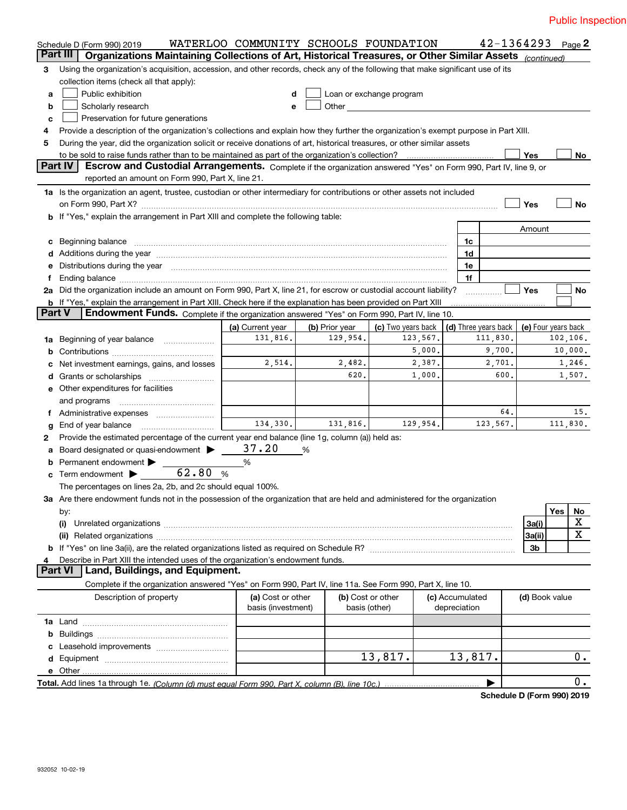|    | Schedule D (Form 990) 2019                                                                                                                                                            | WATERLOO COMMUNITY SCHOOLS FOUNDATION   |                            |                                |                                 |                                  |                | $42 - 1364293$ Page 2           |
|----|---------------------------------------------------------------------------------------------------------------------------------------------------------------------------------------|-----------------------------------------|----------------------------|--------------------------------|---------------------------------|----------------------------------|----------------|---------------------------------|
|    | Part III<br>Organizations Maintaining Collections of Art, Historical Treasures, or Other Similar Assets (continued)                                                                   |                                         |                            |                                |                                 |                                  |                |                                 |
| 3  | Using the organization's acquisition, accession, and other records, check any of the following that make significant use of its                                                       |                                         |                            |                                |                                 |                                  |                |                                 |
|    | collection items (check all that apply):                                                                                                                                              |                                         |                            |                                |                                 |                                  |                |                                 |
| a  | Public exhibition                                                                                                                                                                     | d                                       |                            | Loan or exchange program       |                                 |                                  |                |                                 |
| b  | Scholarly research                                                                                                                                                                    | е                                       |                            |                                |                                 |                                  |                |                                 |
| c  | Preservation for future generations                                                                                                                                                   |                                         |                            |                                |                                 |                                  |                |                                 |
| 4  | Provide a description of the organization's collections and explain how they further the organization's exempt purpose in Part XIII.                                                  |                                         |                            |                                |                                 |                                  |                |                                 |
| 5  | During the year, did the organization solicit or receive donations of art, historical treasures, or other similar assets                                                              |                                         |                            |                                |                                 |                                  |                |                                 |
|    | to be sold to raise funds rather than to be maintained as part of the organization's collection?                                                                                      |                                         |                            |                                |                                 |                                  | Yes            | No                              |
|    | <b>Part IV</b><br>Escrow and Custodial Arrangements. Complete if the organization answered "Yes" on Form 990, Part IV, line 9, or<br>reported an amount on Form 990, Part X, line 21. |                                         |                            |                                |                                 |                                  |                |                                 |
|    |                                                                                                                                                                                       |                                         |                            |                                |                                 |                                  |                |                                 |
|    | 1a Is the organization an agent, trustee, custodian or other intermediary for contributions or other assets not included                                                              |                                         |                            |                                |                                 |                                  |                |                                 |
|    | on Form 990, Part X? [11] matter contracts and contracts and contracts are contracted as a form 990, Part X?                                                                          |                                         |                            |                                |                                 |                                  | Yes            | <b>No</b>                       |
|    | b If "Yes," explain the arrangement in Part XIII and complete the following table:                                                                                                    |                                         |                            |                                |                                 |                                  |                |                                 |
|    |                                                                                                                                                                                       |                                         |                            |                                |                                 |                                  | Amount         |                                 |
| c  | Beginning balance                                                                                                                                                                     |                                         |                            |                                | 1c                              |                                  |                |                                 |
|    |                                                                                                                                                                                       |                                         |                            |                                | 1d                              |                                  |                |                                 |
| е  | Distributions during the year manufactured and continuum and contract the year manufactured and contract the year                                                                     |                                         |                            |                                | 1e                              |                                  |                |                                 |
|    |                                                                                                                                                                                       |                                         |                            |                                | 1f                              |                                  |                |                                 |
|    | 2a Did the organization include an amount on Form 990, Part X, line 21, for escrow or custodial account liability?                                                                    |                                         |                            |                                |                                 |                                  | Yes            | <b>No</b>                       |
|    | b If "Yes," explain the arrangement in Part XIII. Check here if the explanation has been provided on Part XIII<br><b>Part V</b>                                                       |                                         |                            |                                |                                 |                                  |                |                                 |
|    | Endowment Funds. Complete if the organization answered "Yes" on Form 990, Part IV, line 10.                                                                                           |                                         |                            |                                |                                 |                                  |                |                                 |
|    |                                                                                                                                                                                       | (a) Current year<br>131,816.            | (b) Prior year<br>129,954. | (c) Two years back<br>123,567. |                                 | (d) Three years back<br>111,830. |                | (e) Four years back<br>102,106. |
| 1a | Beginning of year balance                                                                                                                                                             |                                         |                            |                                |                                 |                                  |                | 10,000.                         |
| b  |                                                                                                                                                                                       |                                         |                            | 5,000.                         |                                 | 9,700.                           |                |                                 |
|    | Net investment earnings, gains, and losses                                                                                                                                            | 2,514.                                  | 2,482.                     | 2,387.                         |                                 | 2,701.                           |                | 1,246.                          |
| d  |                                                                                                                                                                                       |                                         | 620.                       | 1,000.                         |                                 | 600.                             |                | 1,507.                          |
|    | <b>e</b> Other expenditures for facilities                                                                                                                                            |                                         |                            |                                |                                 |                                  |                |                                 |
|    | and programs                                                                                                                                                                          |                                         |                            |                                |                                 |                                  |                |                                 |
| f  |                                                                                                                                                                                       |                                         |                            |                                |                                 | 64.                              |                | 15.                             |
| g  | End of year balance                                                                                                                                                                   | 134,330.                                | 131,816.                   | 129,954.                       |                                 | 123,567.                         |                | 111,830.                        |
| 2  | Provide the estimated percentage of the current year end balance (line 1g, column (a)) held as:                                                                                       |                                         |                            |                                |                                 |                                  |                |                                 |
| а  | Board designated or quasi-endowment                                                                                                                                                   | 37.20                                   | %                          |                                |                                 |                                  |                |                                 |
| b  | Permanent endowment >                                                                                                                                                                 | %                                       |                            |                                |                                 |                                  |                |                                 |
|    | 62.80 %<br>Term endowment                                                                                                                                                             |                                         |                            |                                |                                 |                                  |                |                                 |
|    | The percentages on lines 2a, 2b, and 2c should equal 100%.                                                                                                                            |                                         |                            |                                |                                 |                                  |                |                                 |
|    | 3a Are there endowment funds not in the possession of the organization that are held and administered for the organization                                                            |                                         |                            |                                |                                 |                                  |                |                                 |
|    | by:                                                                                                                                                                                   |                                         |                            |                                |                                 |                                  |                | Yes<br><u>No</u>                |
|    | (i)                                                                                                                                                                                   |                                         |                            |                                |                                 |                                  | 3a(i)          | X                               |
|    |                                                                                                                                                                                       |                                         |                            |                                |                                 |                                  | 3a(ii)         | X                               |
|    |                                                                                                                                                                                       |                                         |                            |                                |                                 |                                  | 3b             |                                 |
| 4  | Describe in Part XIII the intended uses of the organization's endowment funds.                                                                                                        |                                         |                            |                                |                                 |                                  |                |                                 |
|    | Land, Buildings, and Equipment.<br>Part VI                                                                                                                                            |                                         |                            |                                |                                 |                                  |                |                                 |
|    | Complete if the organization answered "Yes" on Form 990, Part IV, line 11a. See Form 990, Part X, line 10.                                                                            |                                         |                            |                                |                                 |                                  |                |                                 |
|    | Description of property                                                                                                                                                               | (a) Cost or other<br>basis (investment) | basis (other)              | (b) Cost or other              | (c) Accumulated<br>depreciation |                                  | (d) Book value |                                 |
|    |                                                                                                                                                                                       |                                         |                            |                                |                                 |                                  |                |                                 |
| b  |                                                                                                                                                                                       |                                         |                            |                                |                                 |                                  |                |                                 |
|    |                                                                                                                                                                                       |                                         |                            |                                |                                 |                                  |                |                                 |
|    |                                                                                                                                                                                       |                                         |                            | 13,817.                        | 13,817.                         |                                  |                | $0$ .                           |
|    | e Other                                                                                                                                                                               |                                         |                            |                                |                                 |                                  |                |                                 |
|    |                                                                                                                                                                                       |                                         |                            |                                |                                 |                                  |                | $0$ .                           |

**Schedule D (Form 990) 2019**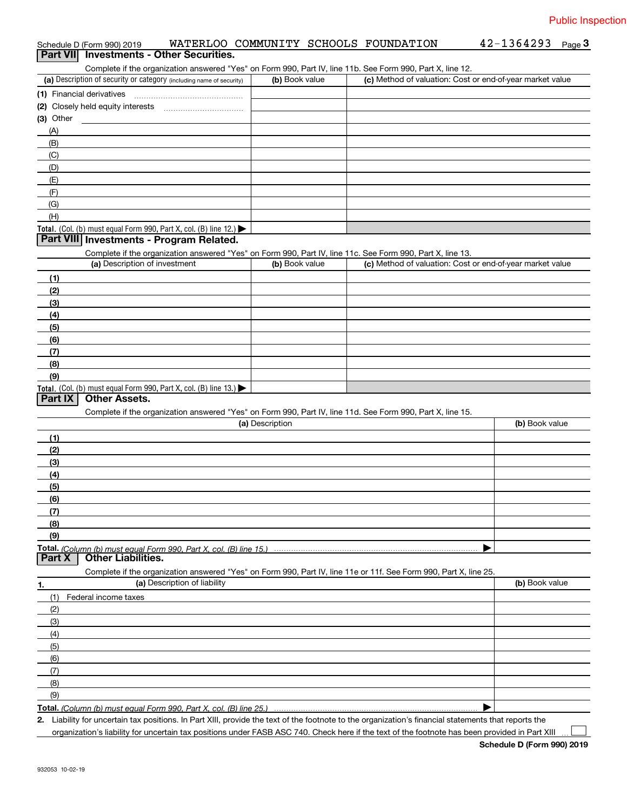# Schedule D (Form 990) 2019 WATERLOO COMMUNITY SCHOOLS FOUNDATION 42-1364293 Page<br>Part VIII, Investments - Other Securities ichedule D (Form 990) 2019 MATERLOO COMMUNITY SCHOOLS FOUNDATION 42-1364293 Page 3<br>**Part VII Investments - Other Securities.**<br>Complete if the organization answered "Yes" on Form 990, Part IV, line 11b. See Form 990, Part

| (a) Description of security or category (including name of security) | (b) Book value | (c) Method of valuation: Cost or end-of-year market value |
|----------------------------------------------------------------------|----------------|-----------------------------------------------------------|
| (1) Financial derivatives                                            |                |                                                           |
| (2) Closely held equity interests                                    |                |                                                           |
| (3) Other                                                            |                |                                                           |
| (A)                                                                  |                |                                                           |
| (B)                                                                  |                |                                                           |
| (C)                                                                  |                |                                                           |
| (D)                                                                  |                |                                                           |
| (E)                                                                  |                |                                                           |
| (F)                                                                  |                |                                                           |
| (G)                                                                  |                |                                                           |
| (H)                                                                  |                |                                                           |
| Total. (Col. (b) must equal Form 990, Part X, col. (B) line $12$ .)  |                |                                                           |

## **Part VIII Investments - Program Related.**

Complete if the organization answered "Yes" on Form 990, Part IV, line 11c. See Form 990, Part X, line 13.

| (a) Description of investment                                       | (b) Book value | (c) Method of valuation: Cost or end-of-year market value |
|---------------------------------------------------------------------|----------------|-----------------------------------------------------------|
| (1)                                                                 |                |                                                           |
| (2)                                                                 |                |                                                           |
| $\frac{1}{2}$                                                       |                |                                                           |
| (4)                                                                 |                |                                                           |
| $\left(5\right)$                                                    |                |                                                           |
| (6)                                                                 |                |                                                           |
| (7)                                                                 |                |                                                           |
| (8)                                                                 |                |                                                           |
| (9)                                                                 |                |                                                           |
| Total. (Col. (b) must equal Form 990, Part X, col. (B) line $13.$ ) |                |                                                           |

#### **Part IX Other Assets.**

Complete if the organization answered "Yes" on Form 990, Part IV, line 11d. See Form 990, Part X, line 15.

|        | (a) Description                                                                                                   | (b) Book value |
|--------|-------------------------------------------------------------------------------------------------------------------|----------------|
| (1)    |                                                                                                                   |                |
| (2)    |                                                                                                                   |                |
| (3)    |                                                                                                                   |                |
| (4)    |                                                                                                                   |                |
| (5)    |                                                                                                                   |                |
| (6)    |                                                                                                                   |                |
| (7)    |                                                                                                                   |                |
| (8)    |                                                                                                                   |                |
| (9)    |                                                                                                                   |                |
|        |                                                                                                                   |                |
| Part X | Other Liabilities.                                                                                                |                |
|        | Complete if the organization answered "Yes" on Form 990, Part IV, line 11e or 11f. See Form 990, Part X, line 25. |                |
| 1.     | (a) Description of liability                                                                                      | (b) Book value |
| (1)    | Federal income taxes                                                                                              |                |
| (2)    |                                                                                                                   |                |
| (0)    |                                                                                                                   |                |

| $\sqrt{2}$ |  |
|------------|--|
| 14         |  |
| (5)        |  |
| (6)        |  |
|            |  |
| (8)        |  |
| (9)        |  |

**Total.**  *(Column (b) must equal Form 990, Part X, col. (B) line 25.)* 

**2.** | Liability for uncertain tax positions. In Part XIII, provide the text of the footnote to the organization's financial statements that reports the organization's liability for uncertain tax positions under FASB ASC 740. Check here if the text of the footnote has been provided in Part XIII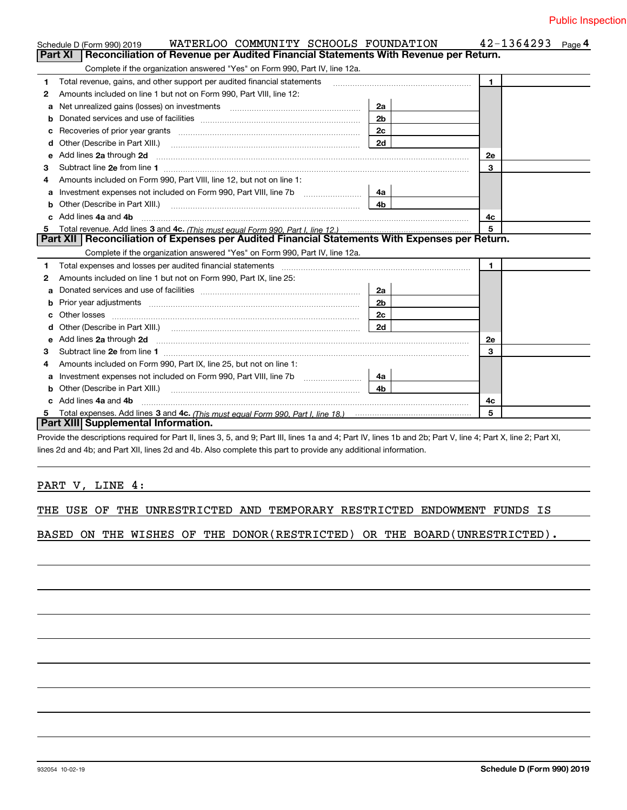|   | WATERLOO COMMUNITY SCHOOLS FOUNDATION<br>Schedule D (Form 990) 2019                                                                                                                                                                  |                | 42-1364293<br>Page <sup>4</sup> |
|---|--------------------------------------------------------------------------------------------------------------------------------------------------------------------------------------------------------------------------------------|----------------|---------------------------------|
|   | Part XI<br>Reconciliation of Revenue per Audited Financial Statements With Revenue per Return.                                                                                                                                       |                |                                 |
|   | Complete if the organization answered "Yes" on Form 990, Part IV, line 12a.                                                                                                                                                          |                |                                 |
| 1 | Total revenue, gains, and other support per audited financial statements                                                                                                                                                             |                | $\mathbf{1}$                    |
| 2 | Amounts included on line 1 but not on Form 990, Part VIII, line 12:                                                                                                                                                                  |                |                                 |
| a |                                                                                                                                                                                                                                      | 2a             |                                 |
| b |                                                                                                                                                                                                                                      | 2 <sub>b</sub> |                                 |
| с | Recoveries of prior year grants [11] matter contracts and prior year grants [11] matter contracts and prior year grants and all the contracts and all the contracts and all the contracts and all the contracts and all the co       | 2c             |                                 |
| d |                                                                                                                                                                                                                                      | 2d             |                                 |
| е | Add lines 2a through 2d                                                                                                                                                                                                              |                | 2e                              |
| 3 |                                                                                                                                                                                                                                      |                | 3                               |
| 4 | Amounts included on Form 990, Part VIII, line 12, but not on line 1:                                                                                                                                                                 |                |                                 |
| a |                                                                                                                                                                                                                                      | 4a             |                                 |
|   |                                                                                                                                                                                                                                      | 4b             |                                 |
|   | Add lines 4a and 4b                                                                                                                                                                                                                  |                | 4c                              |
| 5 |                                                                                                                                                                                                                                      |                | 5                               |
|   | Part XII   Reconciliation of Expenses per Audited Financial Statements With Expenses per Return.                                                                                                                                     |                |                                 |
|   | Complete if the organization answered "Yes" on Form 990, Part IV, line 12a.                                                                                                                                                          |                |                                 |
| 1 | Total expenses and losses per audited financial statements [11] [12] contain an according to the statements [11] [12] and the statements [12] and the statements [12] and the statements and the statements and the statements       |                | $\mathbf{1}$                    |
| 2 | Amounts included on line 1 but not on Form 990, Part IX, line 25:                                                                                                                                                                    |                |                                 |
| a |                                                                                                                                                                                                                                      | 2a             |                                 |
|   |                                                                                                                                                                                                                                      | 2 <sub>b</sub> |                                 |
|   |                                                                                                                                                                                                                                      | 2 <sub>c</sub> |                                 |
| d | Other (Describe in Part XIII.) (COLORADIAL CONSERVATION CONTROL)                                                                                                                                                                     | 2d             |                                 |
| е | Add lines 2a through 2d <b>continuum contract and all contract and all contract and all contract and all contract and all contract and all contract and all contract and all contract and all contract and all contract and all </b> |                | 2e                              |
| З |                                                                                                                                                                                                                                      |                | 3                               |
| 4 | Amounts included on Form 990, Part IX, line 25, but not on line 1:                                                                                                                                                                   |                |                                 |
| a | Investment expenses not included on Form 990, Part VIII, line 7b [1000000000000000000000000000000000                                                                                                                                 | 4a             |                                 |
| b |                                                                                                                                                                                                                                      | 4 <sub>h</sub> |                                 |
|   | Add lines 4a and 4b                                                                                                                                                                                                                  |                | 4c                              |
| 5 |                                                                                                                                                                                                                                      |                | 5                               |
|   | Part XIII Supplemental Information.                                                                                                                                                                                                  |                |                                 |
|   | Provide the descriptions required for Part II, lines 3, 5, and 9; Part III, lines 1a and 4; Part IV, lines 1b and 2b; Part V, line 4; Part X, line 2; Part XI,                                                                       |                |                                 |

lines 2d and 4b; and Part XII, lines 2d and 4b. Also complete this part to provide any additional information.

## PART V, LINE 4:

|  |  |  |  | THE USE OF THE UNRESTRICTED AND TEMPORARY RESTRICTED ENDOWMENT FUNDS IS |  |  |  |  |  |  |
|--|--|--|--|-------------------------------------------------------------------------|--|--|--|--|--|--|
|--|--|--|--|-------------------------------------------------------------------------|--|--|--|--|--|--|

BASED ON THE WISHES OF THE DONOR(RESTRICTED) OR THE BOARD(UNRESTRICTED).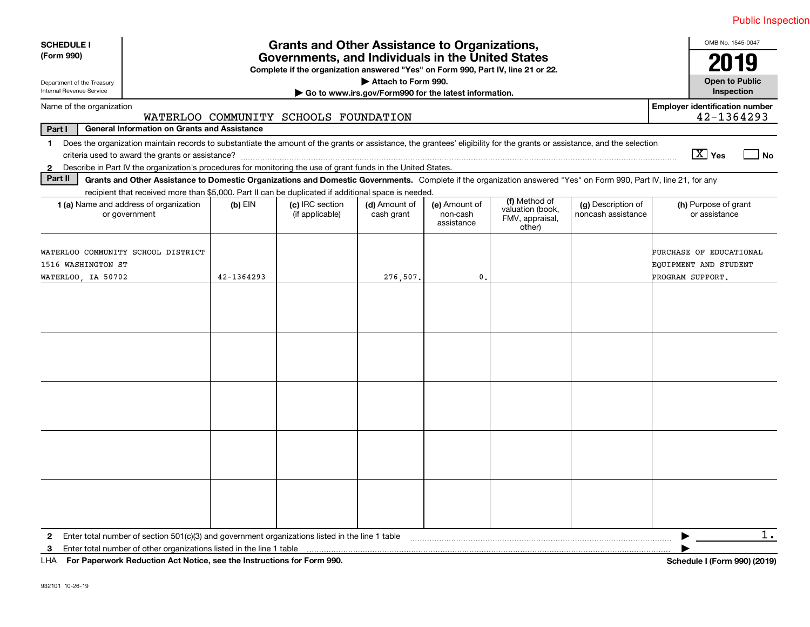| <b>SCHEDULE I</b>                                        |                                                                                                                                                                                                                                                                           | OMB No. 1545-0047 |                                       |                             |                                         |                                                                |                                          |                                                     |
|----------------------------------------------------------|---------------------------------------------------------------------------------------------------------------------------------------------------------------------------------------------------------------------------------------------------------------------------|-------------------|---------------------------------------|-----------------------------|-----------------------------------------|----------------------------------------------------------------|------------------------------------------|-----------------------------------------------------|
| (Form 990)                                               | <b>Grants and Other Assistance to Organizations,</b><br>Governments, and Individuals in the United States<br>Complete if the organization answered "Yes" on Form 990, Part IV, line 21 or 22.                                                                             |                   |                                       |                             |                                         |                                                                |                                          | 2019                                                |
| Department of the Treasury<br>Internal Revenue Service   | Attach to Form 990.<br>Go to www.irs.gov/Form990 for the latest information.                                                                                                                                                                                              |                   |                                       |                             |                                         |                                                                |                                          |                                                     |
| Name of the organization                                 |                                                                                                                                                                                                                                                                           |                   | WATERLOO COMMUNITY SCHOOLS FOUNDATION |                             |                                         |                                                                |                                          | <b>Employer identification number</b><br>42-1364293 |
| Part I                                                   | <b>General Information on Grants and Assistance</b>                                                                                                                                                                                                                       |                   |                                       |                             |                                         |                                                                |                                          |                                                     |
|                                                          | 1 Does the organization maintain records to substantiate the amount of the grants or assistance, the grantees' eligibility for the grants or assistance, and the selection                                                                                                |                   |                                       |                             |                                         |                                                                |                                          |                                                     |
|                                                          |                                                                                                                                                                                                                                                                           |                   |                                       |                             |                                         |                                                                |                                          | $\boxed{\text{X}}$ Yes<br>l No                      |
| $\mathbf{2}$                                             | Describe in Part IV the organization's procedures for monitoring the use of grant funds in the United States.                                                                                                                                                             |                   |                                       |                             |                                         |                                                                |                                          |                                                     |
| Part II                                                  | Grants and Other Assistance to Domestic Organizations and Domestic Governments. Complete if the organization answered "Yes" on Form 990, Part IV, line 21, for any<br>recipient that received more than \$5,000. Part II can be duplicated if additional space is needed. |                   |                                       |                             |                                         |                                                                |                                          |                                                     |
|                                                          | 1 (a) Name and address of organization<br>or government                                                                                                                                                                                                                   | $(b)$ EIN         | (c) IRC section<br>(if applicable)    | (d) Amount of<br>cash grant | (e) Amount of<br>non-cash<br>assistance | (f) Method of<br>valuation (book,<br>FMV, appraisal,<br>other) | (g) Description of<br>noncash assistance | (h) Purpose of grant<br>or assistance               |
| WATERLOO COMMUNITY SCHOOL DISTRICT<br>1516 WASHINGTON ST |                                                                                                                                                                                                                                                                           |                   |                                       |                             |                                         |                                                                |                                          | PURCHASE OF EDUCATIONAL<br>EQUIPMENT AND STUDENT    |
| WATERLOO, IA 50702                                       |                                                                                                                                                                                                                                                                           | 42-1364293        |                                       | 276,507.                    | $\mathbf{0}$ .                          |                                                                |                                          | PROGRAM SUPPORT.                                    |
|                                                          |                                                                                                                                                                                                                                                                           |                   |                                       |                             |                                         |                                                                |                                          |                                                     |
|                                                          |                                                                                                                                                                                                                                                                           |                   |                                       |                             |                                         |                                                                |                                          |                                                     |
|                                                          |                                                                                                                                                                                                                                                                           |                   |                                       |                             |                                         |                                                                |                                          |                                                     |
|                                                          |                                                                                                                                                                                                                                                                           |                   |                                       |                             |                                         |                                                                |                                          |                                                     |
|                                                          |                                                                                                                                                                                                                                                                           |                   |                                       |                             |                                         |                                                                |                                          |                                                     |
| $\mathbf{2}$                                             | Enter total number of section $501(c)(3)$ and government organizations listed in the line 1 table                                                                                                                                                                         |                   |                                       |                             |                                         |                                                                |                                          | $1$ .                                               |
| 3                                                        | Enter total number of other organizations listed in the line 1 table<br>LHA For Paperwork Reduction Act Notice, see the Instructions for Form 990.                                                                                                                        |                   |                                       |                             |                                         |                                                                |                                          | Schedule I (Form 990) (2019)                        |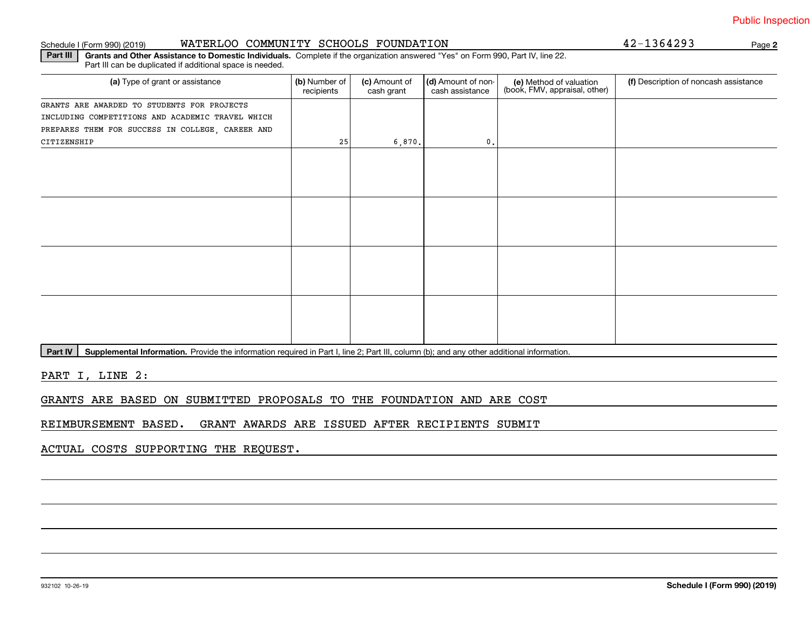#### Schedule I (Form 990) (2019) **WATERLOO COMMUNITY SCHOOLS FOUNDATION Page**

**Part III | Grants and Other Assistance to Domestic Individuals. Complete if the organization answered "Yes" on Form 990, Part IV, line 22.** Part III can be duplicated if additional space is needed.

| (a) Type of grant or assistance                  | (b) Number of<br>recipients | (c) Amount of<br>cash grant | (d) Amount of non-<br>cash assistance | (e) Method of valuation<br>(book, FMV, appraisal, other) | (f) Description of noncash assistance |
|--------------------------------------------------|-----------------------------|-----------------------------|---------------------------------------|----------------------------------------------------------|---------------------------------------|
| GRANTS ARE AWARDED TO STUDENTS FOR PROJECTS      |                             |                             |                                       |                                                          |                                       |
| INCLUDING COMPETITIONS AND ACADEMIC TRAVEL WHICH |                             |                             |                                       |                                                          |                                       |
| PREPARES THEM FOR SUCCESS IN COLLEGE, CAREER AND |                             |                             |                                       |                                                          |                                       |
| CITIZENSHIP                                      | 25                          | 6,870.                      | 0.                                    |                                                          |                                       |
|                                                  |                             |                             |                                       |                                                          |                                       |
|                                                  |                             |                             |                                       |                                                          |                                       |
|                                                  |                             |                             |                                       |                                                          |                                       |
|                                                  |                             |                             |                                       |                                                          |                                       |
|                                                  |                             |                             |                                       |                                                          |                                       |
|                                                  |                             |                             |                                       |                                                          |                                       |
|                                                  |                             |                             |                                       |                                                          |                                       |
|                                                  |                             |                             |                                       |                                                          |                                       |
|                                                  |                             |                             |                                       |                                                          |                                       |
|                                                  |                             |                             |                                       |                                                          |                                       |
|                                                  |                             |                             |                                       |                                                          |                                       |
|                                                  |                             |                             |                                       |                                                          |                                       |
|                                                  |                             |                             |                                       |                                                          |                                       |
|                                                  |                             |                             |                                       |                                                          |                                       |
|                                                  |                             |                             |                                       |                                                          |                                       |
|                                                  |                             |                             |                                       |                                                          |                                       |

**Part IV** | Supplemental Information. Provide the information required in Part I, line 2; Part III, column (b); and any other additional information.<br>

PART I, LINE 2:

GRANTS ARE BASED ON SUBMITTED PROPOSALS TO THE FOUNDATION AND ARE COST

REIMBURSEMENT BASED. GRANT AWARDS ARE ISSUED AFTER RECIPIENTS SUBMIT

ACTUAL COSTS SUPPORTING THE REQUEST.

### **2**